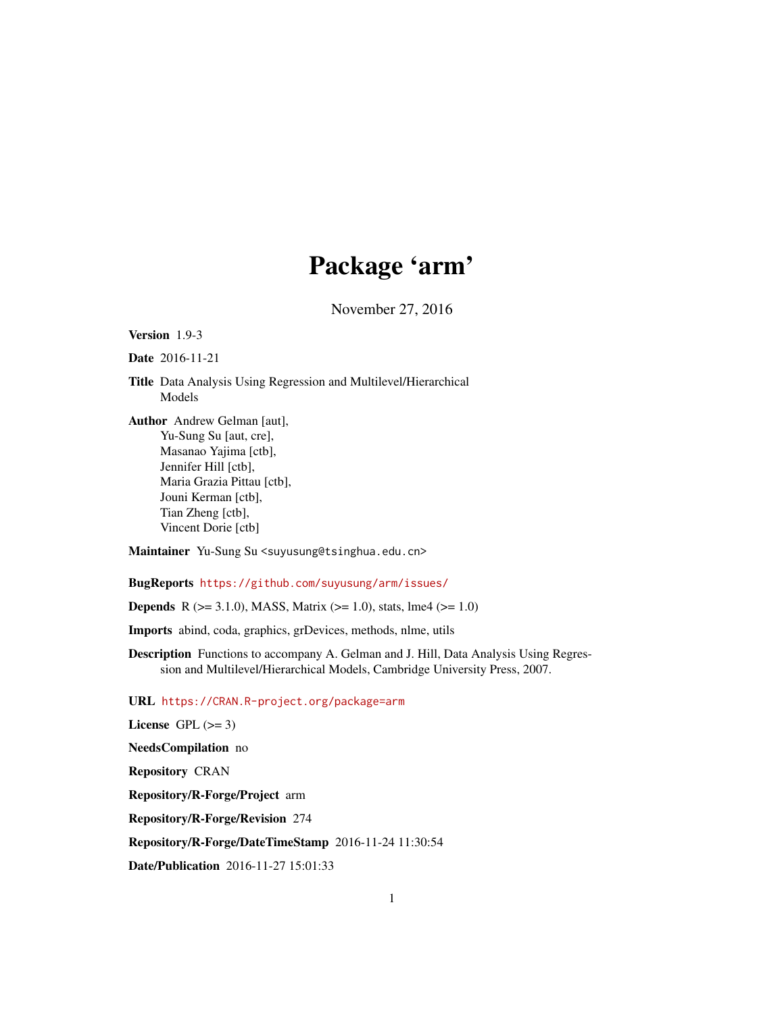# Package 'arm'

November 27, 2016

<span id="page-0-0"></span>Version 1.9-3

Date 2016-11-21

Title Data Analysis Using Regression and Multilevel/Hierarchical Models

Author Andrew Gelman [aut], Yu-Sung Su [aut, cre], Masanao Yajima [ctb], Jennifer Hill [ctb], Maria Grazia Pittau [ctb], Jouni Kerman [ctb], Tian Zheng [ctb], Vincent Dorie [ctb]

Maintainer Yu-Sung Su <suyusung@tsinghua.edu.cn>

BugReports <https://github.com/suyusung/arm/issues/>

**Depends** R ( $>= 3.1.0$ ), MASS, Matrix ( $>= 1.0$ ), stats, lme4 ( $>= 1.0$ )

Imports abind, coda, graphics, grDevices, methods, nlme, utils

Description Functions to accompany A. Gelman and J. Hill, Data Analysis Using Regression and Multilevel/Hierarchical Models, Cambridge University Press, 2007.

URL <https://CRAN.R-project.org/package=arm>

License GPL  $(>= 3)$ NeedsCompilation no Repository CRAN Repository/R-Forge/Project arm Repository/R-Forge/Revision 274 Repository/R-Forge/DateTimeStamp 2016-11-24 11:30:54 Date/Publication 2016-11-27 15:01:33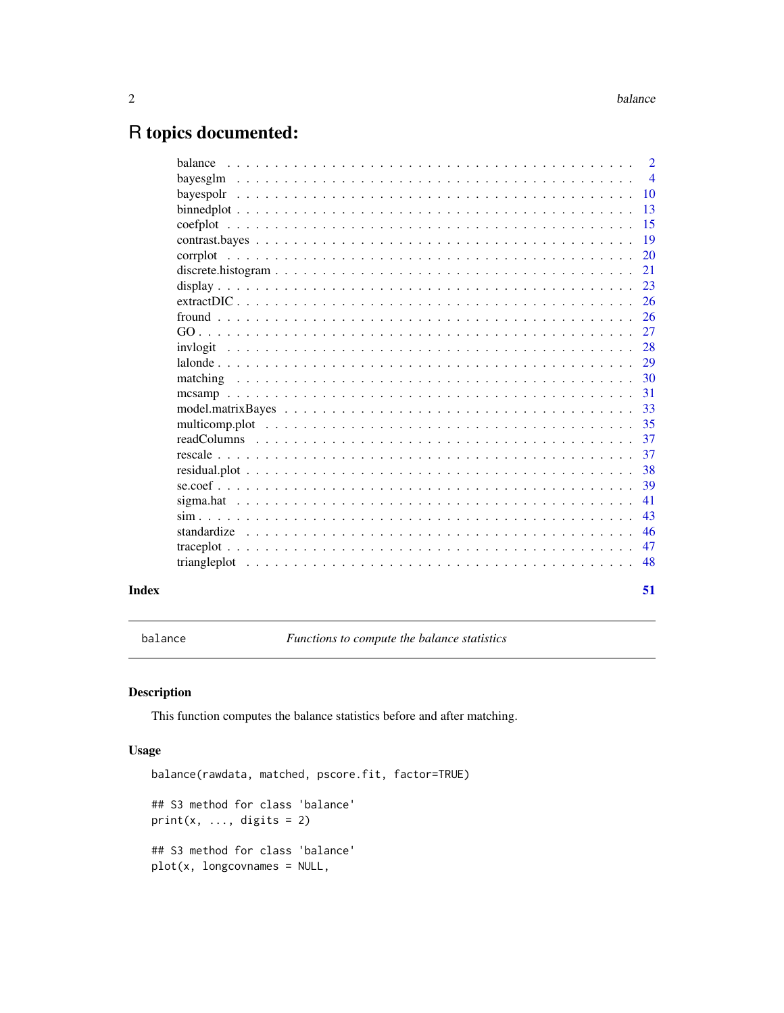# <span id="page-1-0"></span>R topics documented:

|       |                                                                                                                                                                   | $\overline{2}$ |
|-------|-------------------------------------------------------------------------------------------------------------------------------------------------------------------|----------------|
|       | bayesglm, $\ldots$ , $\ldots$ , $\ldots$ , $\ldots$ , $\ldots$ , $\ldots$ , $\ldots$ , $\ldots$ , $\ldots$ , $\ldots$ , $\ldots$ , $\ldots$ , $\ldots$ , $\ldots$ | $\overline{4}$ |
|       |                                                                                                                                                                   | <b>10</b>      |
|       |                                                                                                                                                                   | <sup>13</sup>  |
|       |                                                                                                                                                                   | 15             |
|       |                                                                                                                                                                   | 19             |
|       |                                                                                                                                                                   | 20             |
|       |                                                                                                                                                                   | 21             |
|       |                                                                                                                                                                   | 23             |
|       |                                                                                                                                                                   | 26             |
|       |                                                                                                                                                                   | 26             |
|       |                                                                                                                                                                   | 27             |
|       |                                                                                                                                                                   | 28             |
|       |                                                                                                                                                                   | 29             |
|       |                                                                                                                                                                   | 30             |
|       |                                                                                                                                                                   | 31             |
|       |                                                                                                                                                                   | 33             |
|       |                                                                                                                                                                   | 35             |
|       |                                                                                                                                                                   | 37             |
|       |                                                                                                                                                                   | 37             |
|       |                                                                                                                                                                   | 38             |
|       |                                                                                                                                                                   | 39             |
|       |                                                                                                                                                                   | 41             |
|       |                                                                                                                                                                   | 43             |
|       |                                                                                                                                                                   | 46             |
|       |                                                                                                                                                                   | 47             |
|       |                                                                                                                                                                   | 48             |
|       |                                                                                                                                                                   |                |
| Index |                                                                                                                                                                   | 51             |
|       |                                                                                                                                                                   |                |

<span id="page-1-1"></span>balance *Functions to compute the balance statistics*

# Description

This function computes the balance statistics before and after matching.

#### Usage

```
balance(rawdata, matched, pscore.fit, factor=TRUE)
## S3 method for class 'balance'
print(x, ..., digits = 2)## S3 method for class 'balance'
plot(x, longcovnames = NULL,
```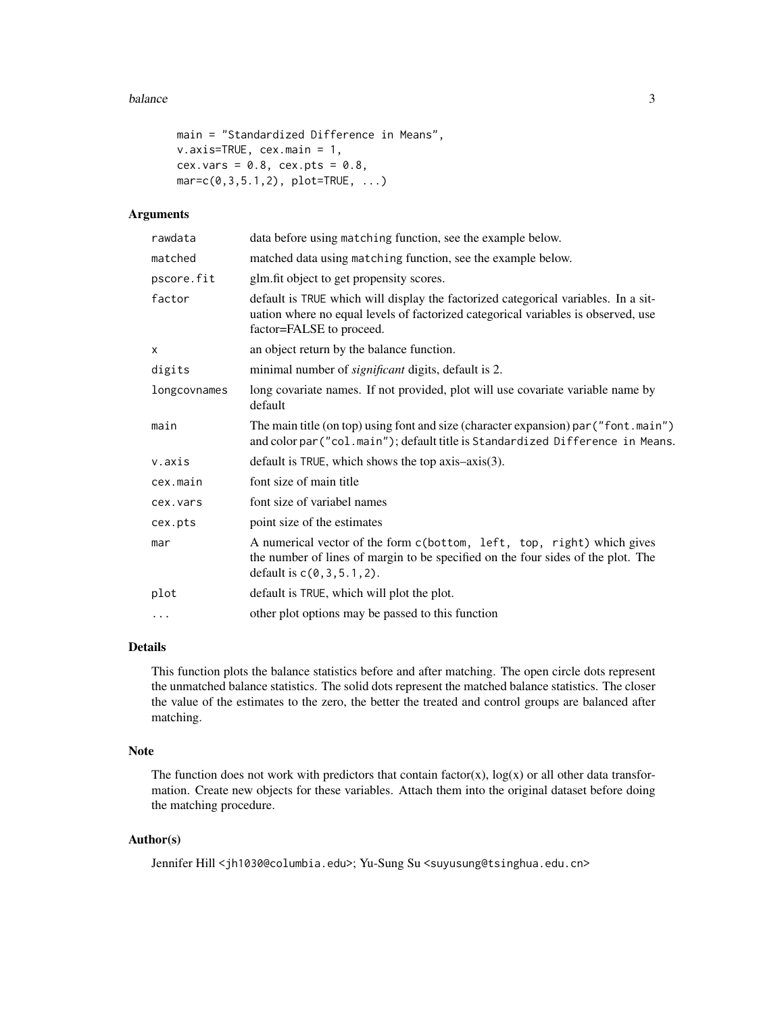#### balance 3 and 3 and 3 and 3 and 3 and 3 and 3 and 3 and 3 and 3 and 3 and 3 and 3 and 3 and 3 and 3 and 3 and 3 and 3 and 3 and 3 and 3 and 3 and 3 and 3 and 3 and 3 and 3 and 3 and 3 and 3 and 3 and 3 and 3 and 3 and 3 an

```
main = "Standardized Difference in Means",
v.axis=TRUE, cex.main = 1,
cex.vars = 0.8, cex.pts = 0.8,
mar = c(0, 3, 5.1, 2), plot = TRUE, ...
```
# Arguments

| rawdata      | data before using matching function, see the example below.                                                                                                                                         |
|--------------|-----------------------------------------------------------------------------------------------------------------------------------------------------------------------------------------------------|
| matched      | matched data using matching function, see the example below.                                                                                                                                        |
| pscore.fit   | glm.fit object to get propensity scores.                                                                                                                                                            |
| factor       | default is TRUE which will display the factorized categorical variables. In a sit-<br>uation where no equal levels of factorized categorical variables is observed, use<br>factor=FALSE to proceed. |
| x            | an object return by the balance function.                                                                                                                                                           |
| digits       | minimal number of <i>significant</i> digits, default is 2.                                                                                                                                          |
| longcovnames | long covariate names. If not provided, plot will use covariate variable name by<br>default                                                                                                          |
| main         | The main title (on top) using font and size (character expansion) par ("font .main")<br>and color par ("col.main"); default title is Standardized Difference in Means.                              |
| v.axis       | default is TRUE, which shows the top $axis-axis(3)$ .                                                                                                                                               |
| cex.main     | font size of main title                                                                                                                                                                             |
| cex.vars     | font size of variabel names                                                                                                                                                                         |
| cex.pts      | point size of the estimates                                                                                                                                                                         |
| mar          | A numerical vector of the form c(bottom, left, top, right) which gives<br>the number of lines of margin to be specified on the four sides of the plot. The<br>default is $c(0, 3, 5.1, 2)$ .        |
| plot         | default is TRUE, which will plot the plot.                                                                                                                                                          |
| $\cdots$     | other plot options may be passed to this function                                                                                                                                                   |

# Details

This function plots the balance statistics before and after matching. The open circle dots represent the unmatched balance statistics. The solid dots represent the matched balance statistics. The closer the value of the estimates to the zero, the better the treated and control groups are balanced after matching.

#### Note

The function does not work with predictors that contain factor(x),  $log(x)$  or all other data transformation. Create new objects for these variables. Attach them into the original dataset before doing the matching procedure.

# Author(s)

Jennifer Hill <jh1030@columbia.edu>; Yu-Sung Su <suyusung@tsinghua.edu.cn>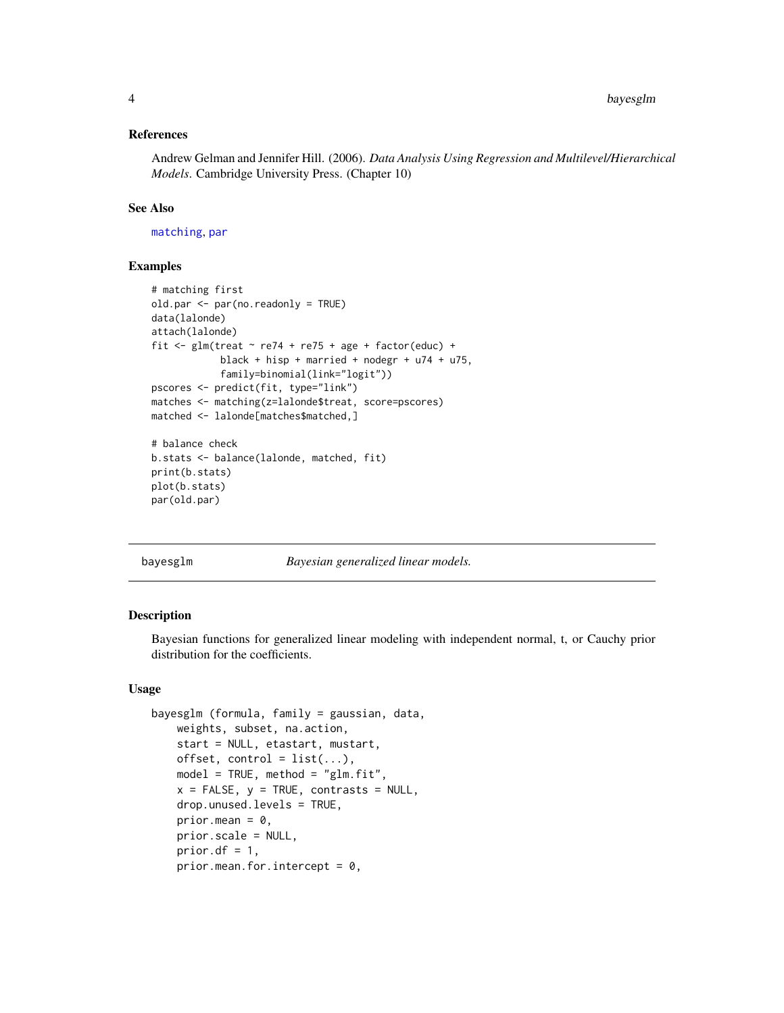#### <span id="page-3-0"></span>References

Andrew Gelman and Jennifer Hill. (2006). *Data Analysis Using Regression and Multilevel/Hierarchical Models*. Cambridge University Press. (Chapter 10)

# See Also

[matching](#page-29-1), [par](#page-0-0)

# Examples

```
# matching first
old.par <- par(no.readonly = TRUE)
data(lalonde)
attach(lalonde)
fit \le glm(treat \sim re74 + re75 + age + factor(educ) +
            black + hisp + married + nodegr + u74 + u75,
            family=binomial(link="logit"))
pscores <- predict(fit, type="link")
matches <- matching(z=lalonde$treat, score=pscores)
matched <- lalonde[matches$matched,]
# balance check
b.stats <- balance(lalonde, matched, fit)
print(b.stats)
plot(b.stats)
par(old.par)
```
<span id="page-3-1"></span>bayesglm *Bayesian generalized linear models.*

#### Description

Bayesian functions for generalized linear modeling with independent normal, t, or Cauchy prior distribution for the coefficients.

# Usage

```
bayesglm (formula, family = gaussian, data,
   weights, subset, na.action,
   start = NULL, etastart, mustart,
   offset, control = list(...),model = TRUE, method = "glm.fit",x = FALSE, y = TRUE, contrasts = NULL,
   drop.unused.levels = TRUE,
   prior.mean = 0,
   prior.scale = NULL,
   prior.df = 1,
   prior.mean.for.intercept = 0,
```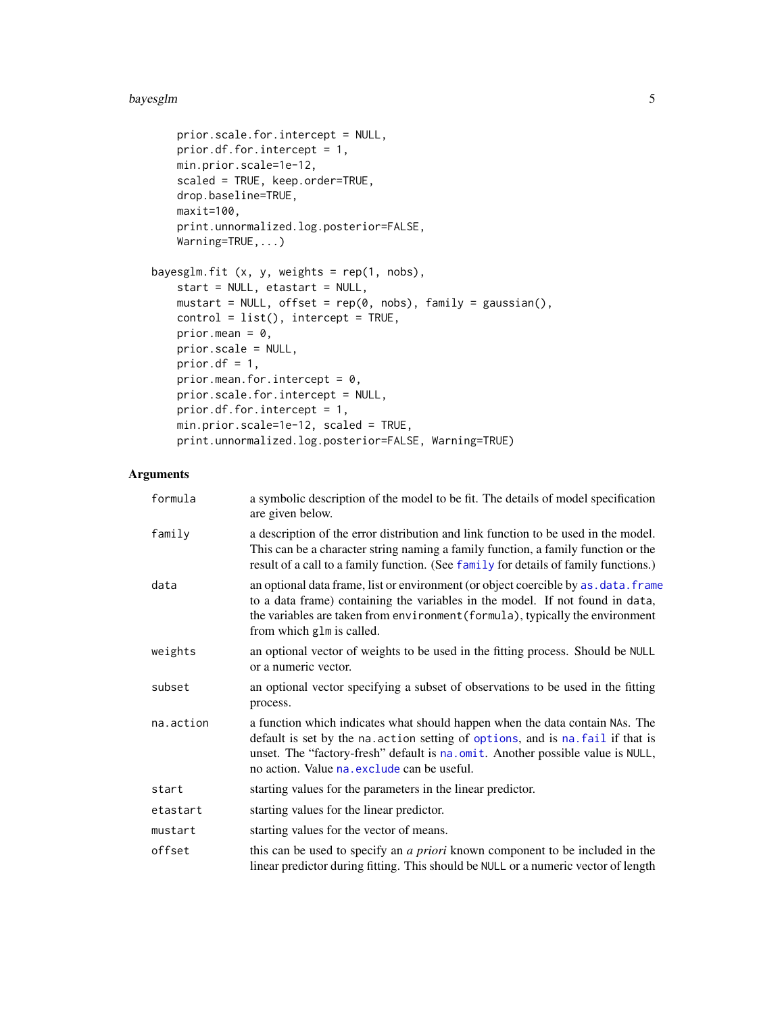#### <span id="page-4-0"></span>bayesglm 5

```
prior.scale.for.intercept = NULL,
   prior.df.for.intercept = 1,
   min.prior.scale=1e-12,
   scaled = TRUE, keep.order=TRUE,
   drop.baseline=TRUE,
   maxit=100,
   print.unnormalized.log.posterior=FALSE,
   Warning=TRUE,...)
bayesglm.fit (x, y, weights = rep(1, nobs),start = NULL, etastart = NULL,
   mustart = NULL, offset = rep(0, nobs), family = gaussian(),
   control = list(), intercept = TRUE,
   prior.mean = 0,
   prior.scale = NULL,
   prior.df = 1,
   prior.mean.for.intercept = 0,
   prior.scale.for.intercept = NULL,
   prior.df.for.intercept = 1,
   min.prior.scale=1e-12, scaled = TRUE,
   print.unnormalized.log.posterior=FALSE, Warning=TRUE)
```
# Arguments

| formula   | a symbolic description of the model to be fit. The details of model specification<br>are given below.                                                                                                                                                                                            |
|-----------|--------------------------------------------------------------------------------------------------------------------------------------------------------------------------------------------------------------------------------------------------------------------------------------------------|
| family    | a description of the error distribution and link function to be used in the model.<br>This can be a character string naming a family function, a family function or the<br>result of a call to a family function. (See family for details of family functions.)                                  |
| data      | an optional data frame, list or environment (or object coercible by as . data. frame<br>to a data frame) containing the variables in the model. If not found in data,<br>the variables are taken from environment (formula), typically the environment<br>from which glm is called.              |
| weights   | an optional vector of weights to be used in the fitting process. Should be NULL<br>or a numeric vector.                                                                                                                                                                                          |
| subset    | an optional vector specifying a subset of observations to be used in the fitting<br>process.                                                                                                                                                                                                     |
| na.action | a function which indicates what should happen when the data contain NAs. The<br>default is set by the na. action setting of options, and is na. fail if that is<br>unset. The "factory-fresh" default is na.omit. Another possible value is NULL,<br>no action. Value na. exclude can be useful. |
| start     | starting values for the parameters in the linear predictor.                                                                                                                                                                                                                                      |
| etastart  | starting values for the linear predictor.                                                                                                                                                                                                                                                        |
| mustart   | starting values for the vector of means.                                                                                                                                                                                                                                                         |
| offset    | this can be used to specify an a priori known component to be included in the<br>linear predictor during fitting. This should be NULL or a numeric vector of length                                                                                                                              |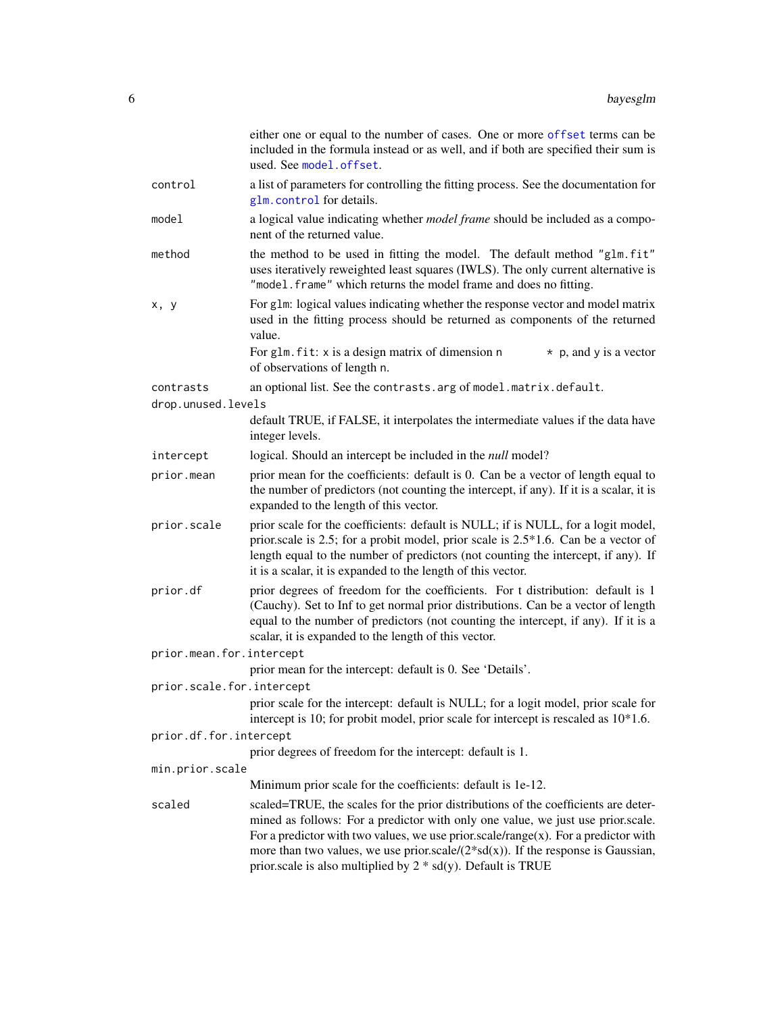<span id="page-5-0"></span>

|                           | either one or equal to the number of cases. One or more offset terms can be<br>included in the formula instead or as well, and if both are specified their sum is<br>used. See model.offset.                                                                                                                                                                                                                             |
|---------------------------|--------------------------------------------------------------------------------------------------------------------------------------------------------------------------------------------------------------------------------------------------------------------------------------------------------------------------------------------------------------------------------------------------------------------------|
| control                   | a list of parameters for controlling the fitting process. See the documentation for<br>glm.control for details.                                                                                                                                                                                                                                                                                                          |
| model                     | a logical value indicating whether <i>model frame</i> should be included as a compo-<br>nent of the returned value.                                                                                                                                                                                                                                                                                                      |
| method                    | the method to be used in fitting the model. The default method "glm.fit"<br>uses iteratively reweighted least squares (IWLS). The only current alternative is<br>"model. frame" which returns the model frame and does no fitting.                                                                                                                                                                                       |
| x, y                      | For g1m: logical values indicating whether the response vector and model matrix<br>used in the fitting process should be returned as components of the returned<br>value.                                                                                                                                                                                                                                                |
|                           | For glm. fit: x is a design matrix of dimension n<br>$\star$ p, and y is a vector<br>of observations of length n.                                                                                                                                                                                                                                                                                                        |
| contrasts                 | an optional list. See the contrasts. arg of model. matrix. default.                                                                                                                                                                                                                                                                                                                                                      |
| drop.unused.levels        |                                                                                                                                                                                                                                                                                                                                                                                                                          |
|                           | default TRUE, if FALSE, it interpolates the intermediate values if the data have<br>integer levels.                                                                                                                                                                                                                                                                                                                      |
| intercept                 | logical. Should an intercept be included in the <i>null</i> model?                                                                                                                                                                                                                                                                                                                                                       |
| prior.mean                | prior mean for the coefficients: default is 0. Can be a vector of length equal to<br>the number of predictors (not counting the intercept, if any). If it is a scalar, it is<br>expanded to the length of this vector.                                                                                                                                                                                                   |
| prior.scale               | prior scale for the coefficients: default is NULL; if is NULL, for a logit model,<br>prior.scale is 2.5; for a probit model, prior scale is 2.5*1.6. Can be a vector of<br>length equal to the number of predictors (not counting the intercept, if any). If<br>it is a scalar, it is expanded to the length of this vector.                                                                                             |
| prior.df                  | prior degrees of freedom for the coefficients. For t distribution: default is 1<br>(Cauchy). Set to Inf to get normal prior distributions. Can be a vector of length<br>equal to the number of predictors (not counting the intercept, if any). If it is a<br>scalar, it is expanded to the length of this vector.                                                                                                       |
| prior.mean.for.intercept  |                                                                                                                                                                                                                                                                                                                                                                                                                          |
|                           | prior mean for the intercept: default is 0. See 'Details'.                                                                                                                                                                                                                                                                                                                                                               |
| prior.scale.for.intercept |                                                                                                                                                                                                                                                                                                                                                                                                                          |
|                           | prior scale for the intercept: default is NULL; for a logit model, prior scale for<br>intercept is 10; for probit model, prior scale for intercept is rescaled as $10*1.6$ .                                                                                                                                                                                                                                             |
| prior.df.for.intercept    |                                                                                                                                                                                                                                                                                                                                                                                                                          |
|                           | prior degrees of freedom for the intercept: default is 1.                                                                                                                                                                                                                                                                                                                                                                |
| min.prior.scale           | Minimum prior scale for the coefficients: default is 1e-12.                                                                                                                                                                                                                                                                                                                                                              |
| scaled                    |                                                                                                                                                                                                                                                                                                                                                                                                                          |
|                           | scaled=TRUE, the scales for the prior distributions of the coefficients are deter-<br>mined as follows: For a predictor with only one value, we just use prior scale.<br>For a predictor with two values, we use prior.scale/range(x). For a predictor with<br>more than two values, we use prior.scale/ $(2 * sd(x))$ . If the response is Gaussian,<br>prior.scale is also multiplied by $2 * sd(y)$ . Default is TRUE |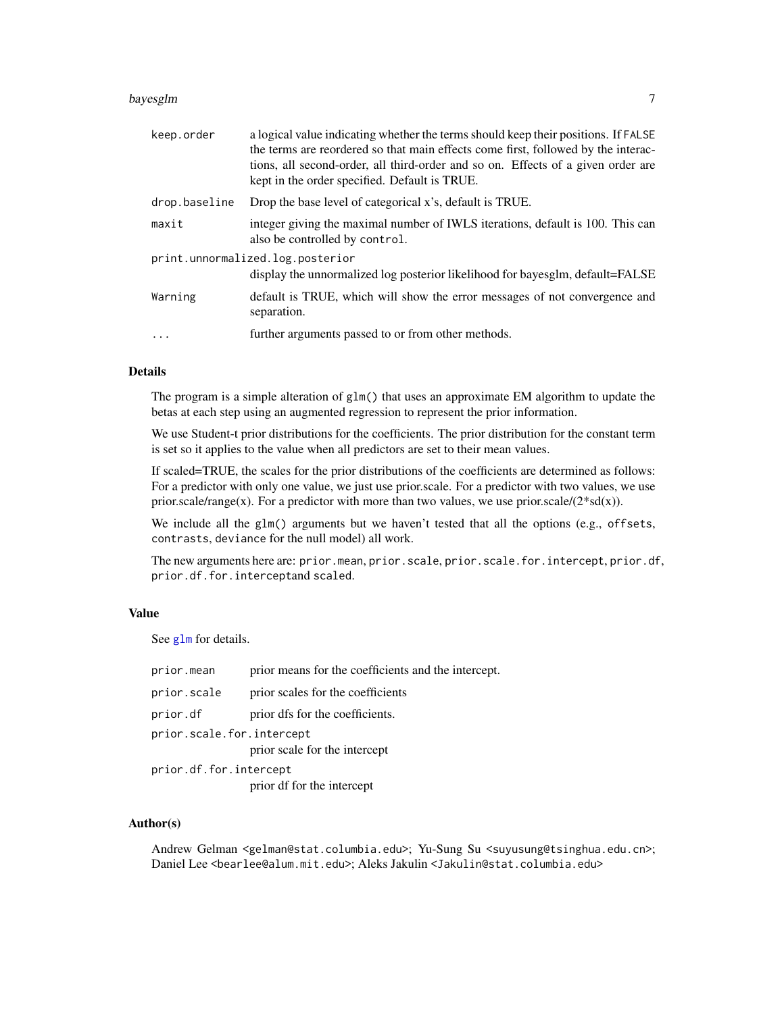#### <span id="page-6-0"></span>bayesglm 7

| keep.order    | a logical value indicating whether the terms should keep their positions. If FALSE<br>the terms are reordered so that main effects come first, followed by the interac-<br>tions, all second-order, all third-order and so on. Effects of a given order are<br>kept in the order specified. Default is TRUE. |
|---------------|--------------------------------------------------------------------------------------------------------------------------------------------------------------------------------------------------------------------------------------------------------------------------------------------------------------|
| drop.baseline | Drop the base level of categorical x's, default is TRUE.                                                                                                                                                                                                                                                     |
| maxit         | integer giving the maximal number of IWLS iterations, default is 100. This can<br>also be controlled by control.                                                                                                                                                                                             |
|               | print.unnormalized.log.posterior<br>display the unnormalized log posterior likelihood for bayesglm, default=FALSE                                                                                                                                                                                            |
| Warning       | default is TRUE, which will show the error messages of not convergence and<br>separation.                                                                                                                                                                                                                    |
| $\ddotsc$     | further arguments passed to or from other methods.                                                                                                                                                                                                                                                           |

# Details

The program is a simple alteration of  $g\text{Im}(\cdot)$  that uses an approximate EM algorithm to update the betas at each step using an augmented regression to represent the prior information.

We use Student-t prior distributions for the coefficients. The prior distribution for the constant term is set so it applies to the value when all predictors are set to their mean values.

If scaled=TRUE, the scales for the prior distributions of the coefficients are determined as follows: For a predictor with only one value, we just use prior.scale. For a predictor with two values, we use prior.scale/range(x). For a predictor with more than two values, we use prior.scale/ $(2 * sd(x))$ .

We include all the glm() arguments but we haven't tested that all the options (e.g., offsets, contrasts, deviance for the null model) all work.

The new arguments here are: prior.mean, prior.scale, prior.scale.for.intercept, prior.df, prior.df.for.interceptand scaled.

# Value

See [glm](#page-0-0) for details.

| prior.mean                | prior means for the coefficients and the intercept. |
|---------------------------|-----------------------------------------------------|
| prior.scale               | prior scales for the coefficients                   |
| prior.df                  | prior dfs for the coefficients.                     |
| prior.scale.for.intercept | prior scale for the intercept                       |
| prior.df.for.intercept    |                                                     |
|                           | prior df for the intercept                          |

#### Author(s)

Andrew Gelman <gelman@stat.columbia.edu>; Yu-Sung Su <suyusung@tsinghua.edu.cn>; Daniel Lee <bearlee@alum.mit.edu>; Aleks Jakulin <Jakulin@stat.columbia.edu>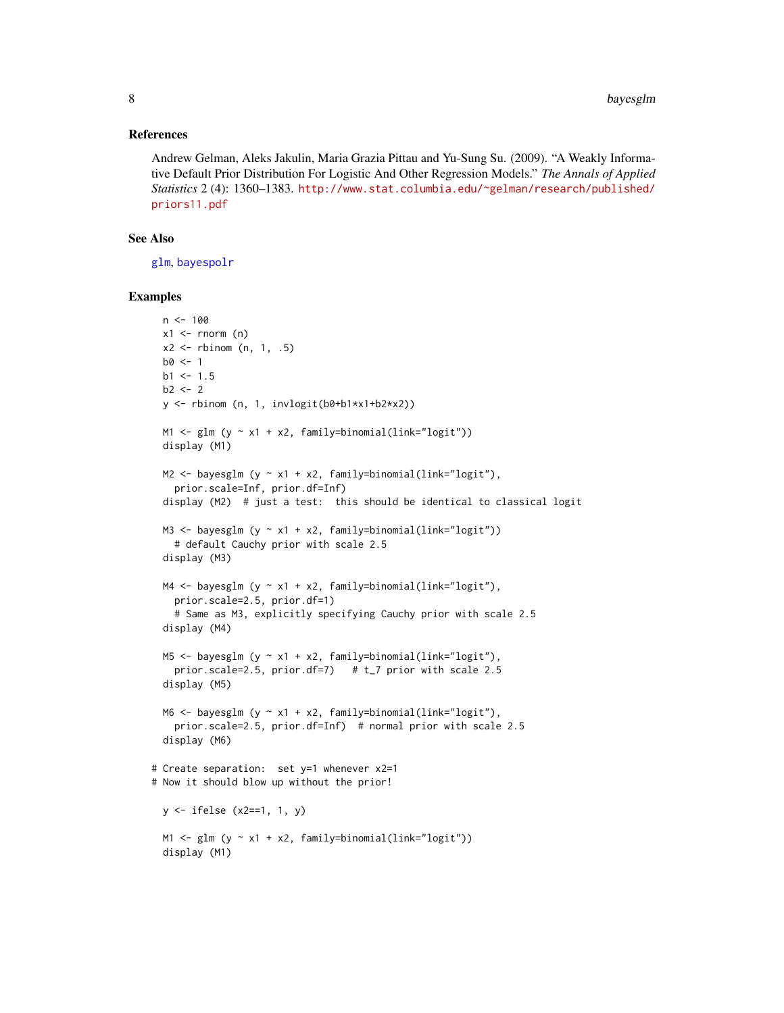#### <span id="page-7-0"></span>References

Andrew Gelman, Aleks Jakulin, Maria Grazia Pittau and Yu-Sung Su. (2009). "A Weakly Informative Default Prior Distribution For Logistic And Other Regression Models." *The Annals of Applied Statistics* 2 (4): 1360–1383. [http://www.stat.columbia.edu/~gelman/research/published/](http://www.stat.columbia.edu/~gelman/research/published/priors11.pdf) [priors11.pdf](http://www.stat.columbia.edu/~gelman/research/published/priors11.pdf)

# See Also

[glm](#page-0-0), [bayespolr](#page-9-1)

```
n < -100x1 \leftarrow \text{rnorm} (n)
 x2 \leq - rbinom (n, 1, .5)b0 < -1b1 < -1.5b2 < -2y <- rbinom (n, 1, invlogit(b0+b1*x1+b2*x2))
 M1 \leftarrow glm (y \sim x1 + x2, family=binomial(link="logit"))
 display (M1)
 M2 \leq bayesglm (y \sim x1 + x2, family=binomial(link="logit"),
   prior.scale=Inf, prior.df=Inf)
 display (M2) # just a test: this should be identical to classical logit
 M3 \leftarrow bayesglm (y \sim x1 + x2, family=binomial(link="logit"))
   # default Cauchy prior with scale 2.5
 display (M3)
 M4 \leftarrow bayesglm (y \sim x1 + x2, family=binomial(link="logit"),
   prior.scale=2.5, prior.df=1)
    # Same as M3, explicitly specifying Cauchy prior with scale 2.5
 display (M4)
 M5 \leq bayesglm (y \sim x1 + x2, family=binomial(link="logit"),
   prior.scale=2.5, prior.df=7) # t_7 prior with scale 2.5
 display (M5)
 M6 <- bayesglm (y \sim x1 + x2, family=binomial(link="logit"),
   prior.scale=2.5, prior.df=Inf) # normal prior with scale 2.5
 display (M6)
# Create separation: set y=1 whenever x2=1
# Now it should blow up without the prior!
 y <- ifelse (x2==1, 1, y)
 M1 \leftarrow glm (y \sim x1 + x2, family=binomial(link="logit"))
 display (M1)
```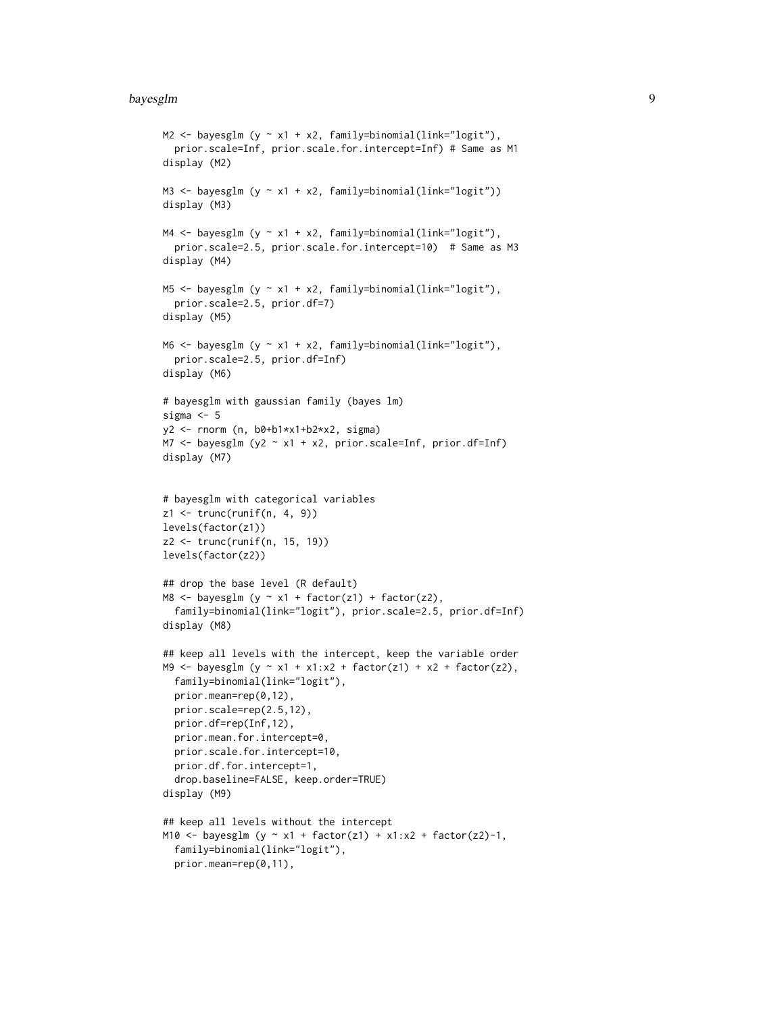#### bayesglm 9

```
M2 <- bayesglm (y \sim x1 + x2, family=binomial(link="logit"),
  prior.scale=Inf, prior.scale.for.intercept=Inf) # Same as M1
display (M2)
M3 \le bayesglm (y \sim x1 + x2, family=binomial(link="logit"))
display (M3)
M4 \leftarrow bayesglm (y \sim x1 + x2, family=binomial(link="logit"),
  prior.scale=2.5, prior.scale.for.intercept=10) # Same as M3
display (M4)
M5 <- bayesglm (y ~ x1 + x2, family=binomial(link="logit"),
  prior.scale=2.5, prior.df=7)
display (M5)
M6 <- bayesglm (y \sim x1 + x2, family=binomial(link="logit"),
  prior.scale=2.5, prior.df=Inf)
display (M6)
# bayesglm with gaussian family (bayes lm)
sigma <-5y2 <- rnorm (n, b0+b1*x1+b2*x2, sigma)
M7 <- bayesglm (y2 ~ x1 + x2, prior.scale=Inf, prior.df=Inf)
display (M7)
# bayesglm with categorical variables
z1 \leftarrow \text{trunc}(\text{runif}(n, 4, 9))levels(factor(z1))
z2 <- trunc(runif(n, 15, 19))
levels(factor(z2))
## drop the base level (R default)
M8 <- bayesglm (y \sim x1 + factor(z1) + factor(z2),
  family=binomial(link="logit"), prior.scale=2.5, prior.df=Inf)
display (M8)
## keep all levels with the intercept, keep the variable order
M9 <- bayesglm (y ~ x1 + x1:x2 + factor(z1) + x2 + factor(z2),
  family=binomial(link="logit"),
  prior.mean=rep(0,12),
  prior.scale=rep(2.5,12),
  prior.df=rep(Inf,12),
  prior.mean.for.intercept=0,
  prior.scale.for.intercept=10,
  prior.df.for.intercept=1,
  drop.baseline=FALSE, keep.order=TRUE)
display (M9)
## keep all levels without the intercept
M10 <- bayesglm (y ~ x1 + factor(z1) + x1:x2 + factor(z2)-1,
  family=binomial(link="logit"),
  prior.mean=rep(0,11),
```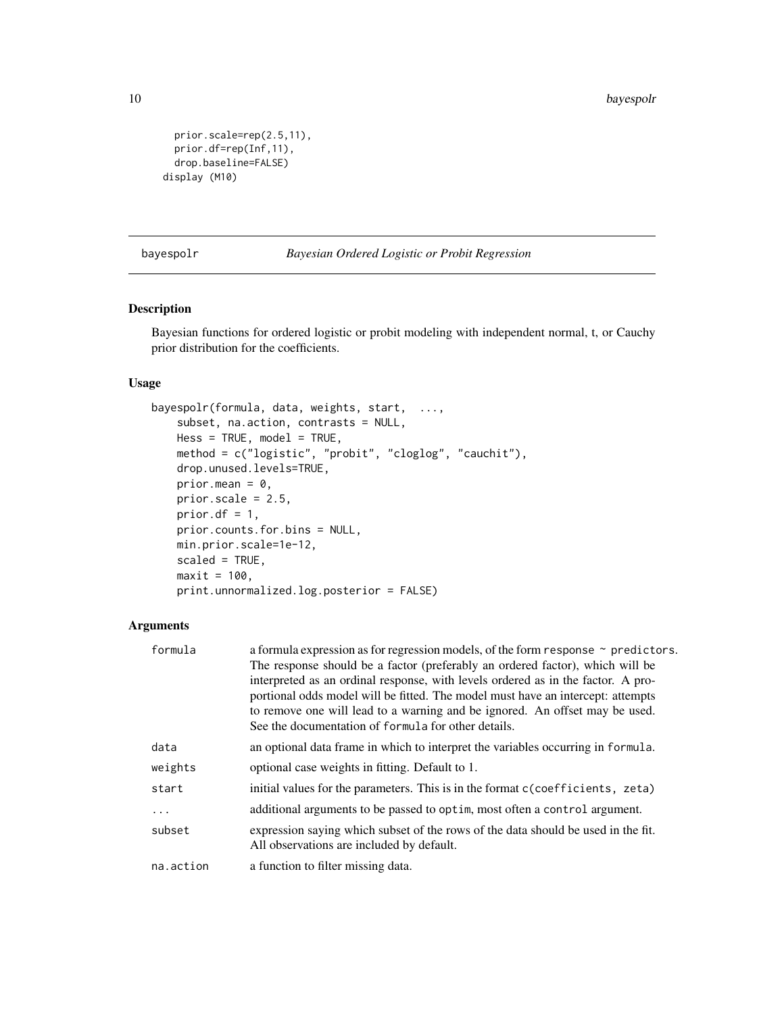```
prior.scale=rep(2.5,11),
 prior.df=rep(Inf,11),
  drop.baseline=FALSE)
display (M10)
```
<span id="page-9-1"></span>bayespolr *Bayesian Ordered Logistic or Probit Regression*

# Description

Bayesian functions for ordered logistic or probit modeling with independent normal, t, or Cauchy prior distribution for the coefficients.

# Usage

```
bayespolr(formula, data, weights, start, ...,
   subset, na.action, contrasts = NULL,
   Hess = TRUE, model = TRUE,method = c("logistic", "probit", "cloglog", "cauchit"),
   drop.unused.levels=TRUE,
   prior.mean = 0,
   prior.scale = 2.5,
   prior.df = 1,
   prior.counts.for.bins = NULL,
   min.prior.scale=1e-12,
   scaled = TRUE,
   maxit = 100,
   print.unnormalized.log.posterior = FALSE)
```
# Arguments

| a formula expression as for regression models, of the form response $\sim$ predictors. |
|----------------------------------------------------------------------------------------|
| The response should be a factor (preferably an ordered factor), which will be          |
| interpreted as an ordinal response, with levels ordered as in the factor. A pro-       |
| portional odds model will be fitted. The model must have an intercept: attempts        |
| to remove one will lead to a warning and be ignored. An offset may be used.            |
| See the documentation of formula for other details.                                    |
| an optional data frame in which to interpret the variables occurring in formula.       |
| optional case weights in fitting. Default to 1.                                        |
| initial values for the parameters. This is in the format c(coefficients, zeta)         |
| additional arguments to be passed to optim, most often a control argument.             |
| expression saying which subset of the rows of the data should be used in the fit.      |
| All observations are included by default.                                              |
| a function to filter missing data.                                                     |
|                                                                                        |

<span id="page-9-0"></span>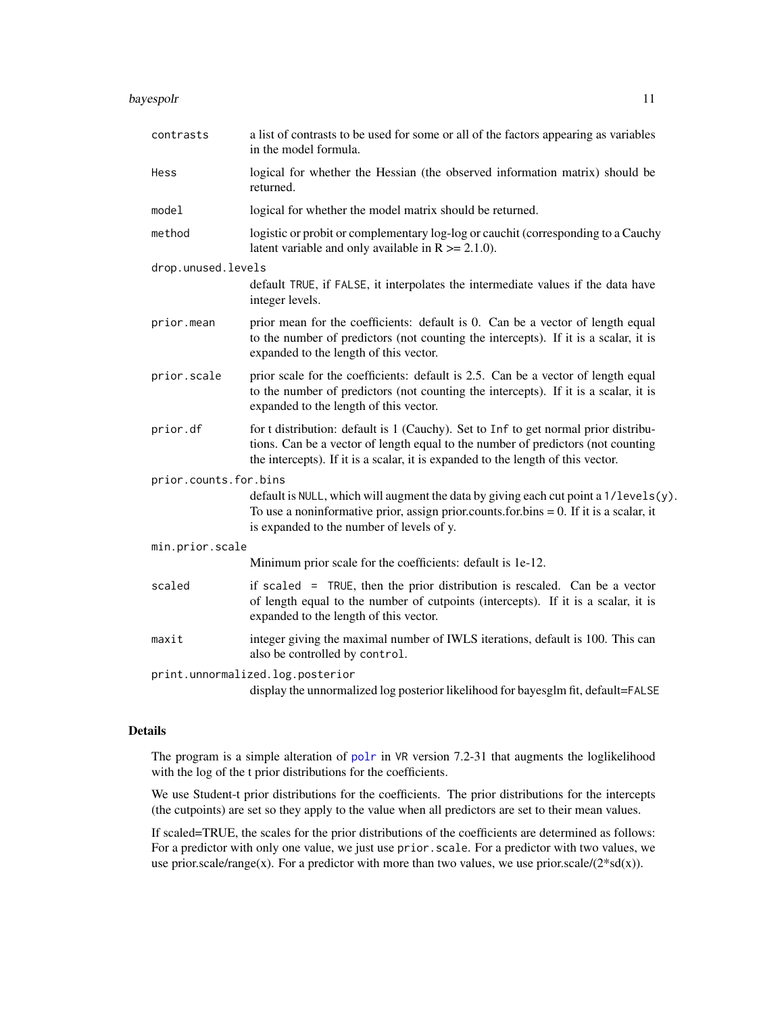#### <span id="page-10-0"></span>bayespolr and the state of the state of the state of the state of the state of the state of the state of the state of the state of the state of the state of the state of the state of the state of the state of the state of

| contrasts             | a list of contrasts to be used for some or all of the factors appearing as variables<br>in the model formula.                                                                                                                                               |
|-----------------------|-------------------------------------------------------------------------------------------------------------------------------------------------------------------------------------------------------------------------------------------------------------|
| Hess                  | logical for whether the Hessian (the observed information matrix) should be<br>returned.                                                                                                                                                                    |
| model                 | logical for whether the model matrix should be returned.                                                                                                                                                                                                    |
| method                | logistic or probit or complementary log-log or cauchit (corresponding to a Cauchy<br>latent variable and only available in $R \ge 2.1.0$ ).                                                                                                                 |
| drop.unused.levels    |                                                                                                                                                                                                                                                             |
|                       | default TRUE, if FALSE, it interpolates the intermediate values if the data have<br>integer levels.                                                                                                                                                         |
| prior.mean            | prior mean for the coefficients: default is 0. Can be a vector of length equal<br>to the number of predictors (not counting the intercepts). If it is a scalar, it is<br>expanded to the length of this vector.                                             |
| prior.scale           | prior scale for the coefficients: default is 2.5. Can be a vector of length equal<br>to the number of predictors (not counting the intercepts). If it is a scalar, it is<br>expanded to the length of this vector.                                          |
| prior.df              | for t distribution: default is 1 (Cauchy). Set to Inf to get normal prior distribu-<br>tions. Can be a vector of length equal to the number of predictors (not counting<br>the intercepts). If it is a scalar, it is expanded to the length of this vector. |
| prior.counts.for.bins |                                                                                                                                                                                                                                                             |
|                       | default is NULL, which will augment the data by giving each cut point a 1/levels(y).<br>To use a noninformative prior, assign prior counts for $bins = 0$ . If it is a scalar, it<br>is expanded to the number of levels of y.                              |
| min.prior.scale       |                                                                                                                                                                                                                                                             |
|                       | Minimum prior scale for the coefficients: default is 1e-12.                                                                                                                                                                                                 |
| scaled                | if scaled $=$ TRUE, then the prior distribution is rescaled. Can be a vector<br>of length equal to the number of cutpoints (intercepts). If it is a scalar, it is<br>expanded to the length of this vector.                                                 |
| maxit                 | integer giving the maximal number of IWLS iterations, default is 100. This can<br>also be controlled by control.                                                                                                                                            |
|                       | print.unnormalized.log.posterior                                                                                                                                                                                                                            |
|                       | display the unnormalized log posterior likelihood for bayesglm fit, default=FALSE                                                                                                                                                                           |

# Details

The program is a simple alteration of [polr](#page-0-0) in VR version 7.2-31 that augments the loglikelihood with the log of the t prior distributions for the coefficients.

We use Student-t prior distributions for the coefficients. The prior distributions for the intercepts (the cutpoints) are set so they apply to the value when all predictors are set to their mean values.

If scaled=TRUE, the scales for the prior distributions of the coefficients are determined as follows: For a predictor with only one value, we just use prior.scale. For a predictor with two values, we use prior.scale/range(x). For a predictor with more than two values, we use prior.scale/ $(2 * sd(x))$ .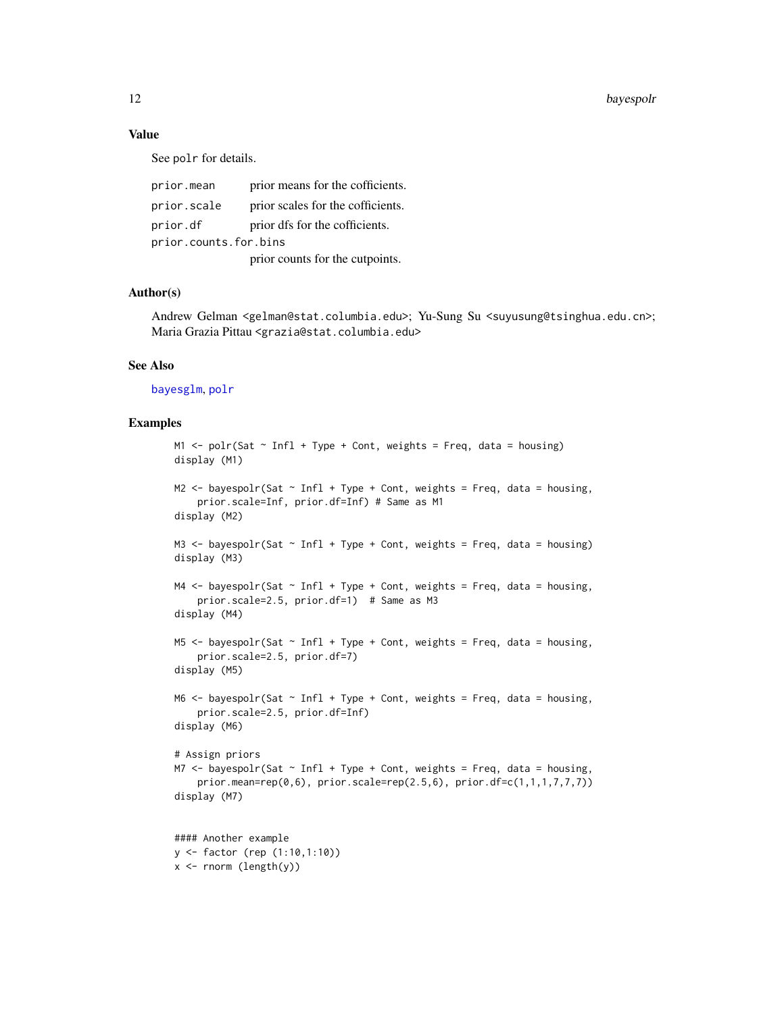# <span id="page-11-0"></span>Value

See polr for details.

| prior.mean            | prior means for the cofficients.  |  |
|-----------------------|-----------------------------------|--|
| prior.scale           | prior scales for the cofficients. |  |
| prior.df              | prior dfs for the cofficients.    |  |
| prior.counts.for.bins |                                   |  |
|                       | prior counts for the cutpoints.   |  |

#### Author(s)

Andrew Gelman <gelman@stat.columbia.edu>; Yu-Sung Su <suyusung@tsinghua.edu.cn>; Maria Grazia Pittau <grazia@stat.columbia.edu>

# See Also

[bayesglm](#page-3-1), [polr](#page-0-0)

```
M1 \le polr(Sat \sim Infl + Type + Cont, weights = Freq, data = housing)
display (M1)
M2 \le bayespolr(Sat \sim Infl + Type + Cont, weights = Freq, data = housing,
    prior.scale=Inf, prior.df=Inf) # Same as M1
display (M2)
M3 \le bayespolr(Sat \sim Infl + Type + Cont, weights = Freq, data = housing)
display (M3)
M4 \leq bayespolr(Sat \sim Infl + Type + Cont, weights = Freq, data = housing,
    prior.scale=2.5, prior.df=1) # Same as M3
display (M4)
M5 \le bayespolr(Sat \sim Infl + Type + Cont, weights = Freq, data = housing,
    prior.scale=2.5, prior.df=7)
display (M5)
M6 \le bayespolr(Sat \sim Infl + Type + Cont, weights = Freq, data = housing,
    prior.scale=2.5, prior.df=Inf)
display (M6)
# Assign priors
M7 \le bayespolr(Sat \sim Infl + Type + Cont, weights = Freq, data = housing,
    prior.mean=rep(0,6), prior.scale=rep(2.5,6), prior.df=c(1,1,1,7,7,7))
display (M7)
#### Another example
y <- factor (rep (1:10,1:10))
x \le rnorm (length(y))
```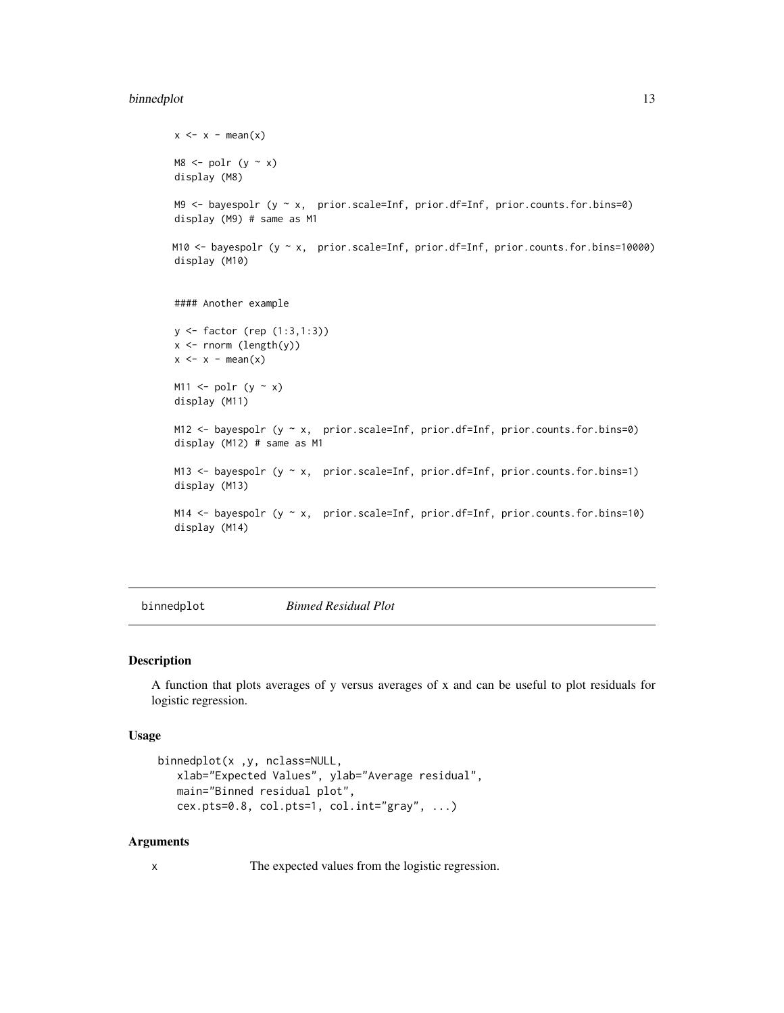#### <span id="page-12-0"></span>binnedplot the contract of the contract of the contract of the contract of the contract of the contract of the contract of the contract of the contract of the contract of the contract of the contract of the contract of the

```
x \leq x - \text{mean}(x)MS \leftarrow polr (y \sim x)display (M8)
M9 <- bayespolr (y ~ x, prior.scale=Inf, prior.df=Inf, prior.counts.for.bins=0)
display (M9) # same as M1
M10 <- bayespolr (y ~ x, prior.scale=Inf, prior.df=Inf, prior.counts.for.bins=10000)
display (M10)
#### Another example
y <- factor (rep (1:3,1:3))
x <- rnorm (length(y))
x \leq x - \text{mean}(x)M11 \leftarrow polr (y \sim x)
display (M11)
M12 <- bayespolr (y ~ x, prior.scale=Inf, prior.df=Inf, prior.counts.for.bins=0)
display (M12) # same as M1
M13 <- bayespolr (y ~ x, prior.scale=Inf, prior.df=Inf, prior.counts.for.bins=1)
display (M13)
M14 <- bayespolr (y ~ x, prior.scale=Inf, prior.df=Inf, prior.counts.for.bins=10)
display (M14)
```
binnedplot *Binned Residual Plot*

#### Description

A function that plots averages of y versus averages of x and can be useful to plot residuals for logistic regression.

#### Usage

```
binnedplot(x ,y, nclass=NULL,
  xlab="Expected Values", ylab="Average residual",
  main="Binned residual plot",
   cex.pts=0.8, col.pts=1, col.int="gray", ...)
```
#### Arguments

x The expected values from the logistic regression.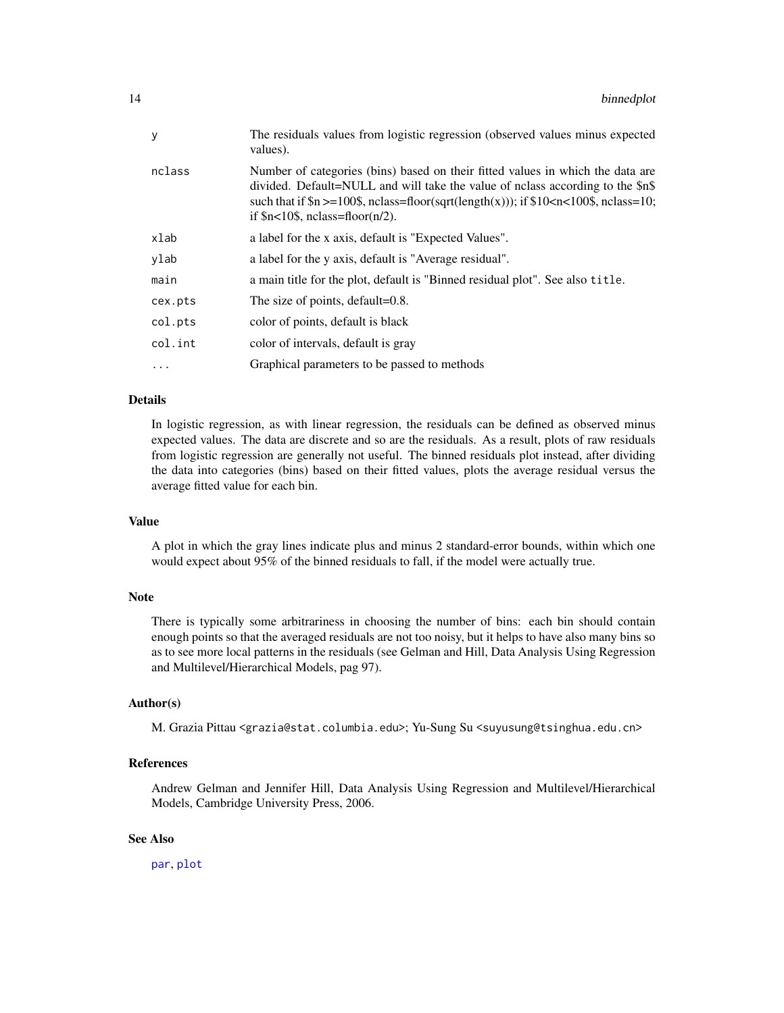<span id="page-13-0"></span>

| The residuals values from logistic regression (observed values minus expected<br>values).                                                                                                                                                                                                               |
|---------------------------------------------------------------------------------------------------------------------------------------------------------------------------------------------------------------------------------------------------------------------------------------------------------|
| Number of categories (bins) based on their fitted values in which the data are<br>divided. Default=NULL and will take the value of nolass according to the \$n\$<br>such that if $\ln \geq 100\$ , nclass=floor(sqrt(length(x))); if $10 < n < 100\$ , nclass=10;<br>if $n < 10$ \$, nclass=floor(n/2). |
| a label for the x axis, default is "Expected Values".                                                                                                                                                                                                                                                   |
| a label for the y axis, default is "Average residual".                                                                                                                                                                                                                                                  |
| a main title for the plot, default is "Binned residual plot". See also title.                                                                                                                                                                                                                           |
| The size of points, default=0.8.                                                                                                                                                                                                                                                                        |
| color of points, default is black                                                                                                                                                                                                                                                                       |
| color of intervals, default is gray                                                                                                                                                                                                                                                                     |
| Graphical parameters to be passed to methods                                                                                                                                                                                                                                                            |
|                                                                                                                                                                                                                                                                                                         |

# Details

In logistic regression, as with linear regression, the residuals can be defined as observed minus expected values. The data are discrete and so are the residuals. As a result, plots of raw residuals from logistic regression are generally not useful. The binned residuals plot instead, after dividing the data into categories (bins) based on their fitted values, plots the average residual versus the average fitted value for each bin.

# Value

A plot in which the gray lines indicate plus and minus 2 standard-error bounds, within which one would expect about 95% of the binned residuals to fall, if the model were actually true.

#### Note

There is typically some arbitrariness in choosing the number of bins: each bin should contain enough points so that the averaged residuals are not too noisy, but it helps to have also many bins so as to see more local patterns in the residuals (see Gelman and Hill, Data Analysis Using Regression and Multilevel/Hierarchical Models, pag 97).

#### Author(s)

M. Grazia Pittau <grazia@stat.columbia.edu>; Yu-Sung Su <suyusung@tsinghua.edu.cn>

#### References

Andrew Gelman and Jennifer Hill, Data Analysis Using Regression and Multilevel/Hierarchical Models, Cambridge University Press, 2006.

# See Also

[par](#page-0-0), [plot](#page-0-0)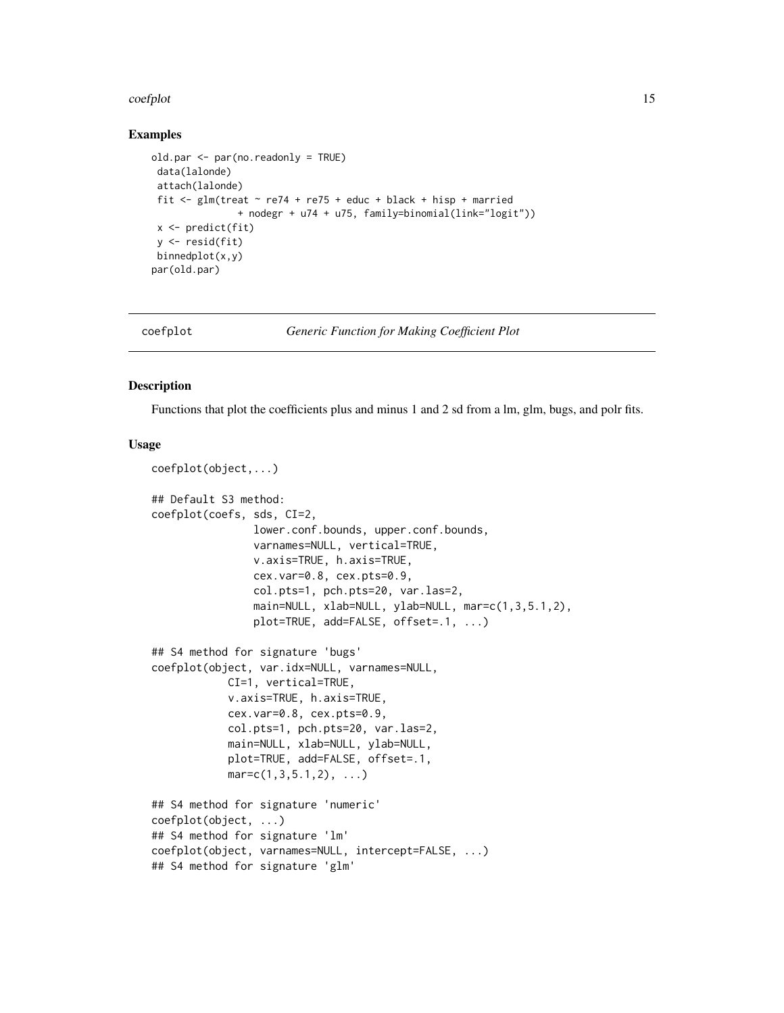#### <span id="page-14-0"></span>coefplot that the coefplot that the coefplot that the coefplot that the coefplot that the coefplot that the coefplot that the coefplot that the coefplot that the coefplot that the coefplot that the coefplot that the coefpl

#### Examples

```
old.par <- par(no.readonly = TRUE)
data(lalonde)
attach(lalonde)
fit \le glm(treat \sim re74 + re75 + educ + black + hisp + married
               + nodegr + u74 + u75, family=binomial(link="logit"))
x <- predict(fit)
y <- resid(fit)
binnedplot(x,y)
par(old.par)
```
<span id="page-14-1"></span>

coefplot *Generic Function for Making Coefficient Plot*

#### Description

Functions that plot the coefficients plus and minus 1 and 2 sd from a lm, glm, bugs, and polr fits.

#### Usage

```
coefplot(object,...)
## Default S3 method:
coefplot(coefs, sds, CI=2,
                lower.conf.bounds, upper.conf.bounds,
                varnames=NULL, vertical=TRUE,
                v.axis=TRUE, h.axis=TRUE,
                cex.var=0.8, cex.pts=0.9,
                col.pts=1, pch.pts=20, var.las=2,
                main=NULL, xlab=NULL, ylab=NULL, mar=c(1,3,5.1,2),
                plot=TRUE, add=FALSE, offset=.1, ...)
## S4 method for signature 'bugs'
coefplot(object, var.idx=NULL, varnames=NULL,
            CI=1, vertical=TRUE,
            v.axis=TRUE, h.axis=TRUE,
            cex.var=0.8, cex.pts=0.9,
            col.pts=1, pch.pts=20, var.las=2,
            main=NULL, xlab=NULL, ylab=NULL,
            plot=TRUE, add=FALSE, offset=.1,
            mar = c(1, 3, 5.1, 2), ...## S4 method for signature 'numeric'
coefplot(object, ...)
## S4 method for signature 'lm'
coefplot(object, varnames=NULL, intercept=FALSE, ...)
## S4 method for signature 'glm'
```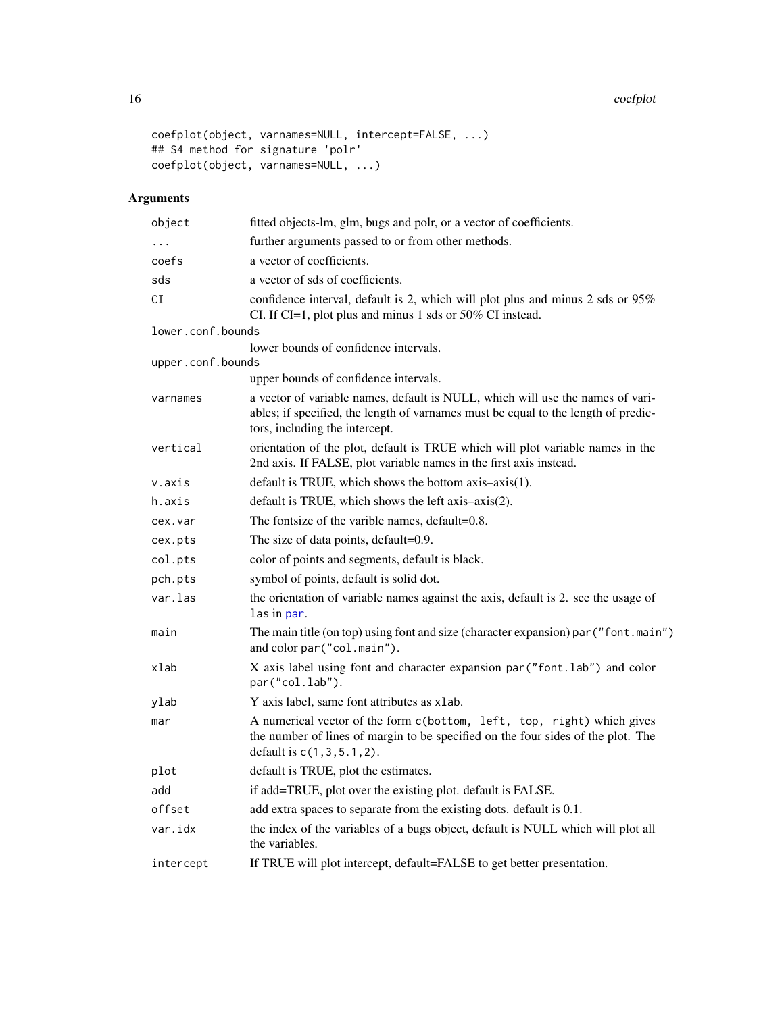#### 16 coefplot

```
coefplot(object, varnames=NULL, intercept=FALSE, ...)
## S4 method for signature 'polr'
coefplot(object, varnames=NULL, ...)
```
# Arguments

| object            | fitted objects-lm, glm, bugs and polr, or a vector of coefficients.                                                                                                                                    |
|-------------------|--------------------------------------------------------------------------------------------------------------------------------------------------------------------------------------------------------|
|                   | further arguments passed to or from other methods.                                                                                                                                                     |
| coefs             | a vector of coefficients.                                                                                                                                                                              |
| sds               | a vector of sds of coefficients.                                                                                                                                                                       |
| СI                | confidence interval, default is 2, which will plot plus and minus 2 sds or 95%<br>CI. If CI=1, plot plus and minus 1 sds or 50% CI instead.                                                            |
| lower.conf.bounds |                                                                                                                                                                                                        |
|                   | lower bounds of confidence intervals.                                                                                                                                                                  |
| upper.conf.bounds | upper bounds of confidence intervals.                                                                                                                                                                  |
| varnames          | a vector of variable names, default is NULL, which will use the names of vari-<br>ables; if specified, the length of varnames must be equal to the length of predic-<br>tors, including the intercept. |
| vertical          | orientation of the plot, default is TRUE which will plot variable names in the<br>2nd axis. If FALSE, plot variable names in the first axis instead.                                                   |
| v.axis            | default is TRUE, which shows the bottom axis-axis(1).                                                                                                                                                  |
| h.axis            | default is TRUE, which shows the left axis-axis(2).                                                                                                                                                    |
| cex.var           | The fontsize of the varible names, default=0.8.                                                                                                                                                        |
| cex.pts           | The size of data points, default=0.9.                                                                                                                                                                  |
| col.pts           | color of points and segments, default is black.                                                                                                                                                        |
| pch.pts           | symbol of points, default is solid dot.                                                                                                                                                                |
| var.las           | the orientation of variable names against the axis, default is 2. see the usage of<br>las in par.                                                                                                      |
| main              | The main title (on top) using font and size (character expansion) par ("font.main")<br>and color par ("col.main").                                                                                     |
| xlab              | X axis label using font and character expansion par ("font.lab") and color<br>par("col.lab").                                                                                                          |
| ylab              | Y axis label, same font attributes as xlab.                                                                                                                                                            |
| mar               | A numerical vector of the form c(bottom, left, top, right) which gives<br>the number of lines of margin to be specified on the four sides of the plot. The<br>default is $c(1, 3, 5.1, 2)$ .           |
| plot              | default is TRUE, plot the estimates.                                                                                                                                                                   |
| add               | if add=TRUE, plot over the existing plot. default is FALSE.                                                                                                                                            |
| offset            | add extra spaces to separate from the existing dots. default is 0.1.                                                                                                                                   |
| var.idx           | the index of the variables of a bugs object, default is NULL which will plot all<br>the variables.                                                                                                     |
| intercept         | If TRUE will plot intercept, default=FALSE to get better presentation.                                                                                                                                 |

<span id="page-15-0"></span>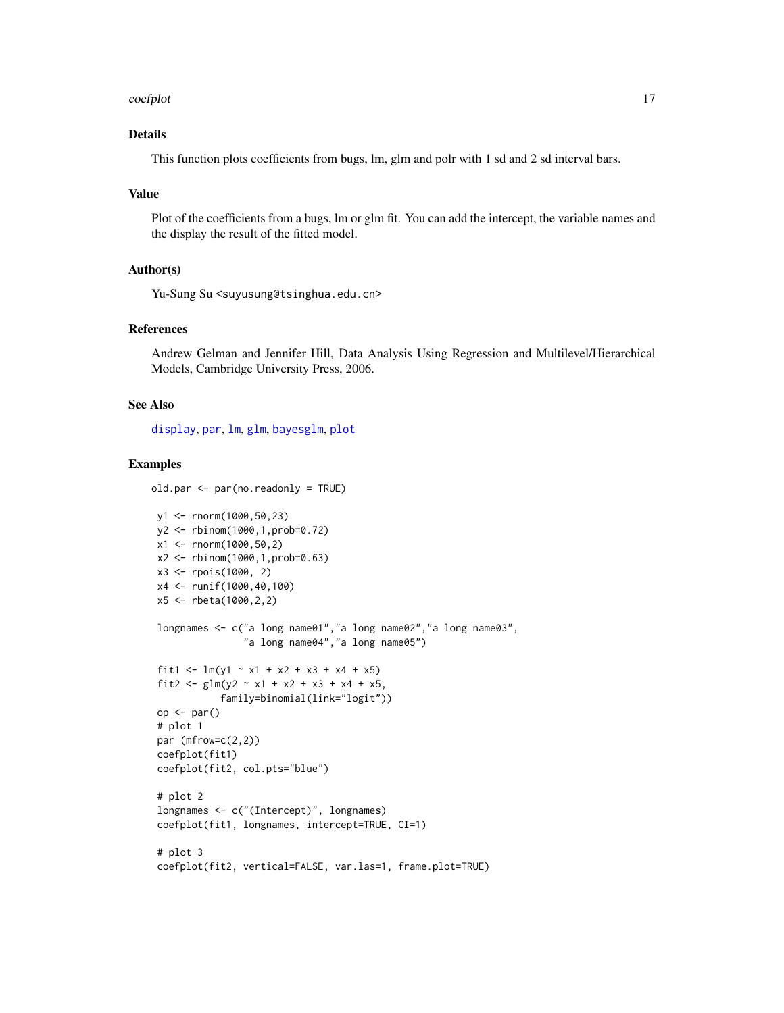#### <span id="page-16-0"></span>coefplot that the coefplot that the coefplot that the coefplot that the coefplot that the coefplot that the coefplot that the coefplot that the coefplot that the coefplot that the coefplot that the coefplot that the coefpl

# Details

This function plots coefficients from bugs, lm, glm and polr with 1 sd and 2 sd interval bars.

# Value

Plot of the coefficients from a bugs, lm or glm fit. You can add the intercept, the variable names and the display the result of the fitted model.

#### Author(s)

Yu-Sung Su <suyusung@tsinghua.edu.cn>

# References

Andrew Gelman and Jennifer Hill, Data Analysis Using Regression and Multilevel/Hierarchical Models, Cambridge University Press, 2006.

#### See Also

[display](#page-22-1), [par](#page-0-0), [lm](#page-0-0), [glm](#page-0-0), [bayesglm](#page-3-1), [plot](#page-0-0)

```
old.par <- par(no.readonly = TRUE)
```

```
y1 <- rnorm(1000,50,23)
y2 <- rbinom(1000,1,prob=0.72)
x1 \le - rnorm(1000,50,2)
x2 <- rbinom(1000,1,prob=0.63)
x3 <- rpois(1000, 2)
x4 <- runif(1000,40,100)
x5 <- rbeta(1000,2,2)
longnames <- c("a long name01","a long name02","a long name03",
               "a long name04","a long name05")
fit1 <- lm(y1 - x1 + x2 + x3 + x4 + x5)fit2 <- glm(y2 ~ x1 + x2 + x3 + x4 + x5,
           family=binomial(link="logit"))
op <- par()
# plot 1
par (mfrow=c(2,2))
coefplot(fit1)
coefplot(fit2, col.pts="blue")
# plot 2
longnames <- c("(Intercept)", longnames)
coefplot(fit1, longnames, intercept=TRUE, CI=1)
# plot 3
coefplot(fit2, vertical=FALSE, var.las=1, frame.plot=TRUE)
```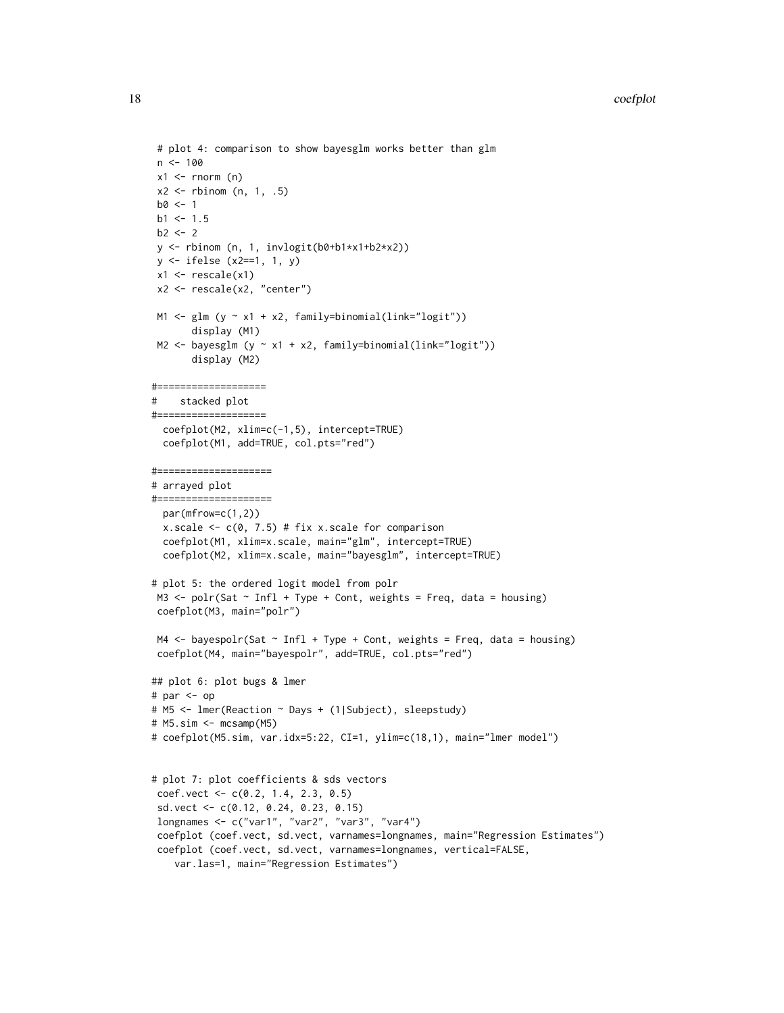```
# plot 4: comparison to show bayesglm works better than glm
n < -100x1 \leftarrow \text{norm} (n)
x2 \le rbinom (n, 1, .5)
b0 < -1b1 < -1.5b2 < -2y <- rbinom (n, 1, invlogit(b0+b1*x1+b2*x2))
y <- ifelse (x2==1, 1, y)
x1 \leftarrow rescale(x1)
x2 <- rescale(x2, "center")
M1 \leftarrow glm (y \sim x1 + x2, family=binomial(link="logit"))
       display (M1)
M2 <- bayesglm (y \sim x1 + x2, family=binomial(link="logit"))
       display (M2)
#===================
# stacked plot
#===================
 coefplot(M2, xlim=c(-1,5), intercept=TRUE)
 coefplot(M1, add=TRUE, col.pts="red")
#====================
# arrayed plot
#====================
 par(mfrow=c(1,2))
 x.scale <- c(0, 7.5) # fix x.scale for comparison
 coefplot(M1, xlim=x.scale, main="glm", intercept=TRUE)
 coefplot(M2, xlim=x.scale, main="bayesglm", intercept=TRUE)
# plot 5: the ordered logit model from polr
M3 \le polr(Sat \sim Infl + Type + Cont, weights = Freq, data = housing)
coefplot(M3, main="polr")
M4 \leq- bayespolr(Sat \sim Infl + Type + Cont, weights = Freq, data = housing)
coefplot(M4, main="bayespolr", add=TRUE, col.pts="red")
## plot 6: plot bugs & lmer
# par <- op
# M5 <- lmer(Reaction ~ Days + (1|Subject), sleepstudy)
# M5.sim <- mcsamp(M5)
# coefplot(M5.sim, var.idx=5:22, CI=1, ylim=c(18,1), main="lmer model")
# plot 7: plot coefficients & sds vectors
coef.vect <- c(0.2, 1.4, 2.3, 0.5)
sd.vect <- c(0.12, 0.24, 0.23, 0.15)
longnames <- c("var1", "var2", "var3", "var4")
coefplot (coef.vect, sd.vect, varnames=longnames, main="Regression Estimates")
 coefplot (coef.vect, sd.vect, varnames=longnames, vertical=FALSE,
   var.las=1, main="Regression Estimates")
```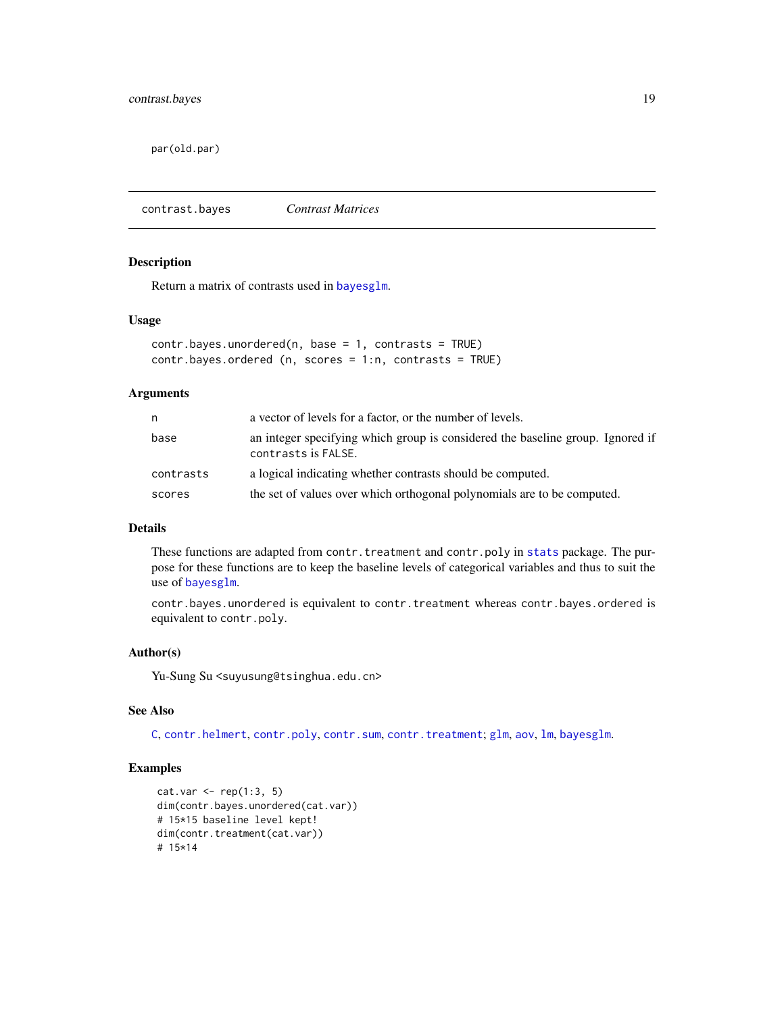<span id="page-18-0"></span>par(old.par)

contrast.bayes *Contrast Matrices*

#### Description

Return a matrix of contrasts used in [bayesglm](#page-3-1).

#### Usage

```
contr.bayes.unordered(n, base = 1, contrasts = TRUE)
contr.bayes.ordered (n, scores = 1:n, contrasts = TRUE)
```
# Arguments

| n         | a vector of levels for a factor, or the number of levels.                                             |
|-----------|-------------------------------------------------------------------------------------------------------|
| base      | an integer specifying which group is considered the baseline group. Ignored if<br>contrasts is FALSE. |
| contrasts | a logical indicating whether contrasts should be computed.                                            |
| scores    | the set of values over which orthogonal polynomials are to be computed.                               |

# Details

These functions are adapted from contr.treatment and contr.poly in [stats](#page-0-0) package. The purpose for these functions are to keep the baseline levels of categorical variables and thus to suit the use of [bayesglm](#page-3-1).

contr.bayes.unordered is equivalent to contr.treatment whereas contr.bayes.ordered is equivalent to contr.poly.

# Author(s)

Yu-Sung Su <suyusung@tsinghua.edu.cn>

# See Also

[C](#page-0-0), [contr.helmert](#page-0-0), [contr.poly](#page-0-0), [contr.sum](#page-0-0), [contr.treatment](#page-0-0); [glm](#page-0-0), [aov](#page-0-0), [lm](#page-0-0), [bayesglm](#page-3-1).

```
cat.var < - rep(1:3, 5)dim(contr.bayes.unordered(cat.var))
# 15*15 baseline level kept!
dim(contr.treatment(cat.var))
# 15*14
```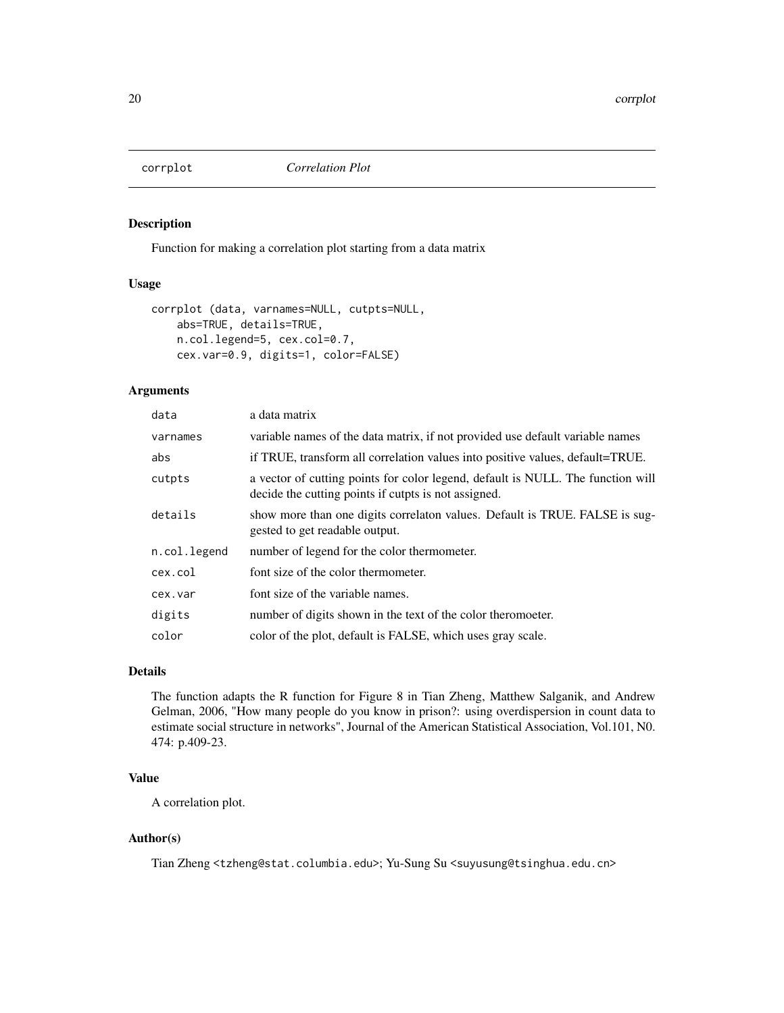<span id="page-19-1"></span><span id="page-19-0"></span>

#### Description

Function for making a correlation plot starting from a data matrix

# Usage

```
corrplot (data, varnames=NULL, cutpts=NULL,
   abs=TRUE, details=TRUE,
   n.col.legend=5, cex.col=0.7,
   cex.var=0.9, digits=1, color=FALSE)
```
# Arguments

| data         | a data matrix                                                                                                                           |
|--------------|-----------------------------------------------------------------------------------------------------------------------------------------|
| varnames     | variable names of the data matrix, if not provided use default variable names                                                           |
| abs          | if TRUE, transform all correlation values into positive values, default=TRUE.                                                           |
| cutpts       | a vector of cutting points for color legend, default is NULL. The function will<br>decide the cutting points if cutpts is not assigned. |
| details      | show more than one digits correlaton values. Default is TRUE. FALSE is sug-<br>gested to get readable output.                           |
| n.col.legend | number of legend for the color thermometer.                                                                                             |
| cex.col      | font size of the color thermometer.                                                                                                     |
| cex.var      | font size of the variable names.                                                                                                        |
| digits       | number of digits shown in the text of the color theromoeter.                                                                            |
| color        | color of the plot, default is FALSE, which uses gray scale.                                                                             |

# Details

The function adapts the R function for Figure 8 in Tian Zheng, Matthew Salganik, and Andrew Gelman, 2006, "How many people do you know in prison?: using overdispersion in count data to estimate social structure in networks", Journal of the American Statistical Association, Vol.101, N0. 474: p.409-23.

#### Value

A correlation plot.

#### Author(s)

Tian Zheng <tzheng@stat.columbia.edu>; Yu-Sung Su <suyusung@tsinghua.edu.cn>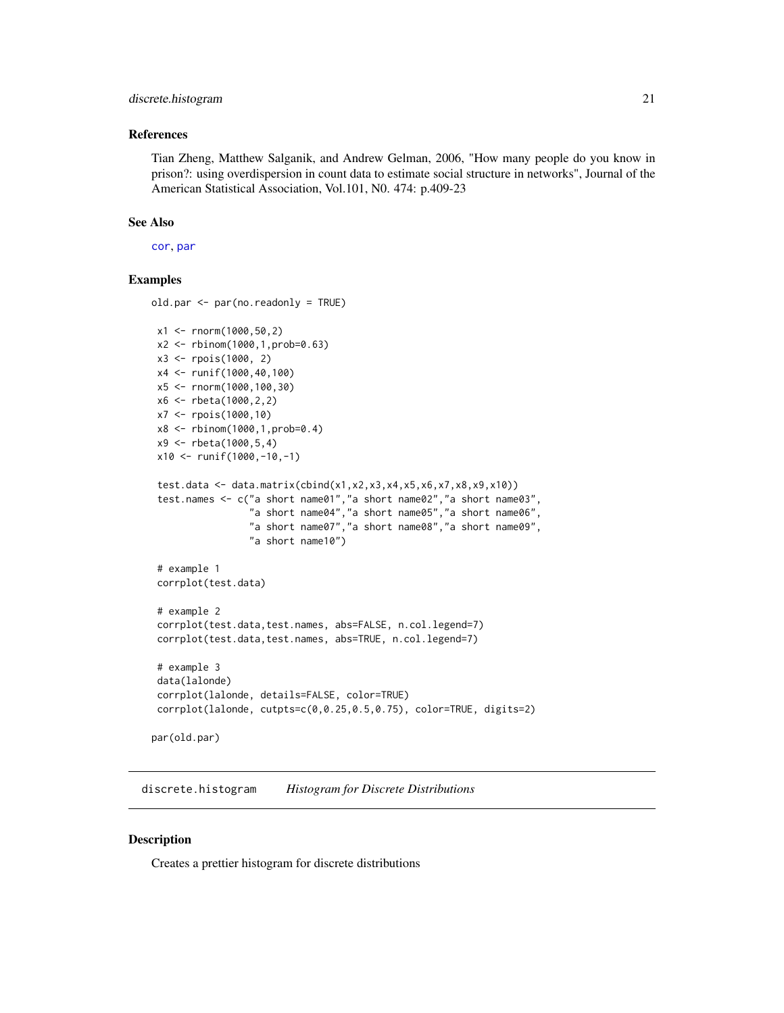# <span id="page-20-0"></span>discrete.histogram 21

#### References

Tian Zheng, Matthew Salganik, and Andrew Gelman, 2006, "How many people do you know in prison?: using overdispersion in count data to estimate social structure in networks", Journal of the American Statistical Association, Vol.101, N0. 474: p.409-23

#### See Also

[cor](#page-0-0), [par](#page-0-0)

# Examples

```
old.par <- par(no.readonly = TRUE)
```

```
x1 <- rnorm(1000,50,2)
x2 <- rbinom(1000,1,prob=0.63)
x3 <- rpois(1000, 2)
x4 <- runif(1000,40,100)
x5 <- rnorm(1000,100,30)
x6 <- rbeta(1000,2,2)
x7 <- rpois(1000,10)
x8 <- rbinom(1000,1,prob=0.4)
x9 <- rbeta(1000,5,4)
x10 <- runif(1000,-10,-1)
test.data <- data.matrix(cbind(x1,x2,x3,x4,x5,x6,x7,x8,x9,x10))
test.names <- c("a short name01","a short name02","a short name03",
                "a short name04","a short name05","a short name06",
                "a short name07","a short name08","a short name09",
                "a short name10")
# example 1
corrplot(test.data)
# example 2
corrplot(test.data,test.names, abs=FALSE, n.col.legend=7)
corrplot(test.data,test.names, abs=TRUE, n.col.legend=7)
# example 3
data(lalonde)
corrplot(lalonde, details=FALSE, color=TRUE)
corrplot(lalonde, cutpts=c(0,0.25,0.5,0.75), color=TRUE, digits=2)
```
par(old.par)

discrete.histogram *Histogram for Discrete Distributions*

#### Description

Creates a prettier histogram for discrete distributions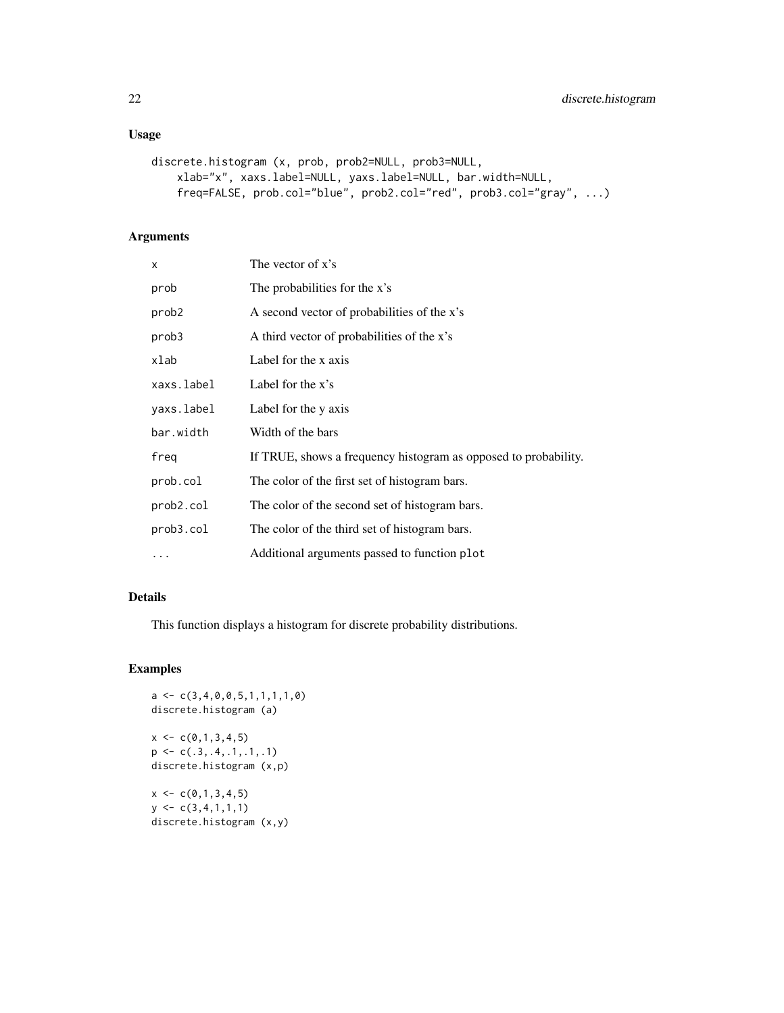# Usage

```
discrete.histogram (x, prob, prob2=NULL, prob3=NULL,
   xlab="x", xaxs.label=NULL, yaxs.label=NULL, bar.width=NULL,
    freq=FALSE, prob.col="blue", prob2.col="red", prob3.col="gray", ...)
```
# Arguments

| x          | The vector of x's                                               |
|------------|-----------------------------------------------------------------|
| prob       | The probabilities for the x's                                   |
| prob2      | A second vector of probabilities of the x's                     |
| prob3      | A third vector of probabilities of the x's                      |
| xlab       | Label for the x axis                                            |
| xaxs.label | Label for the $x$ 's                                            |
| yaxs.label | Label for the y axis                                            |
| bar.width  | Width of the bars                                               |
| freg       | If TRUE, shows a frequency histogram as opposed to probability. |
| prob.col   | The color of the first set of histogram bars.                   |
| prob2.col  | The color of the second set of histogram bars.                  |
| prob3.col  | The color of the third set of histogram bars.                   |
| $\cdots$   | Additional arguments passed to function plot                    |

# Details

This function displays a histogram for discrete probability distributions.

```
a \leftarrow c(3, 4, 0, 0, 5, 1, 1, 1, 1, 0)discrete.histogram (a)
x \leq -c(0,1,3,4,5)p \leftarrow c(.3,.4,.1,.1,.1)discrete.histogram (x,p)
x \leftarrow c(0,1,3,4,5)y \leftarrow c(3, 4, 1, 1, 1)discrete.histogram (x,y)
```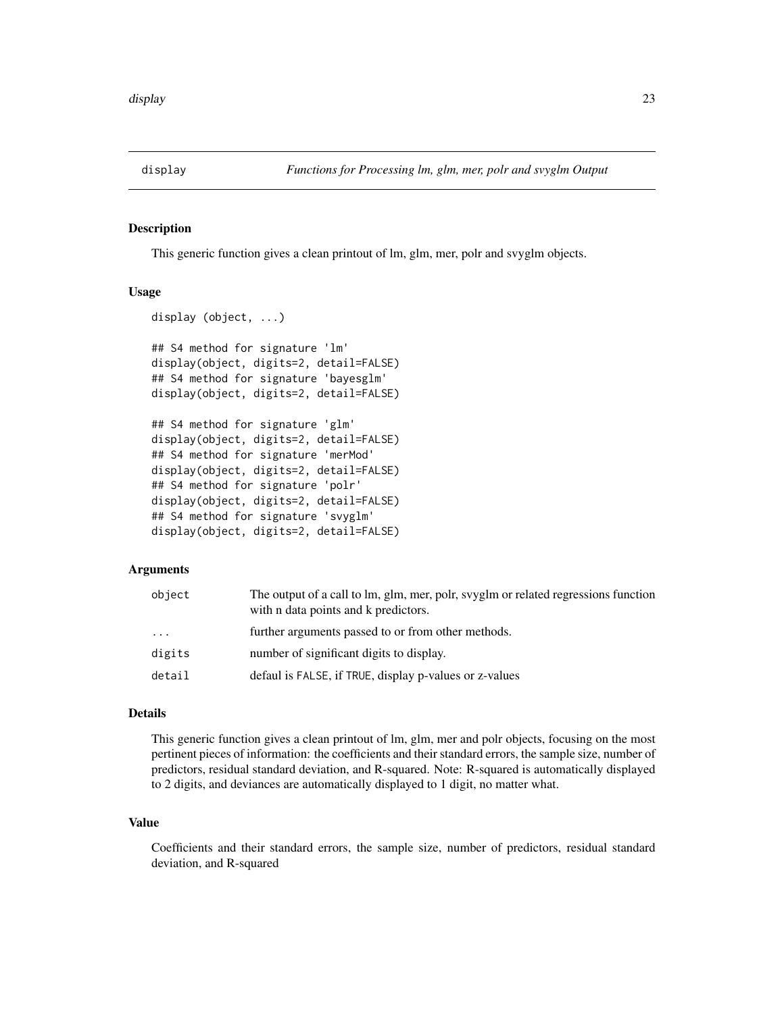<span id="page-22-1"></span><span id="page-22-0"></span>

# Description

This generic function gives a clean printout of lm, glm, mer, polr and svyglm objects.

#### Usage

```
display (object, ...)
## S4 method for signature 'lm'
display(object, digits=2, detail=FALSE)
## S4 method for signature 'bayesglm'
display(object, digits=2, detail=FALSE)
## S4 method for signature 'glm'
display(object, digits=2, detail=FALSE)
## S4 method for signature 'merMod'
display(object, digits=2, detail=FALSE)
## S4 method for signature 'polr'
display(object, digits=2, detail=FALSE)
## S4 method for signature 'svyglm'
display(object, digits=2, detail=FALSE)
```
# Arguments

| object | The output of a call to lm, glm, mer, polr, svyglm or related regressions function<br>with n data points and k predictors. |
|--------|----------------------------------------------------------------------------------------------------------------------------|
| .      | further arguments passed to or from other methods.                                                                         |
| digits | number of significant digits to display.                                                                                   |
| detail | defaul is FALSE, if TRUE, display p-values or z-values                                                                     |

# Details

This generic function gives a clean printout of lm, glm, mer and polr objects, focusing on the most pertinent pieces of information: the coefficients and their standard errors, the sample size, number of predictors, residual standard deviation, and R-squared. Note: R-squared is automatically displayed to 2 digits, and deviances are automatically displayed to 1 digit, no matter what.

# Value

Coefficients and their standard errors, the sample size, number of predictors, residual standard deviation, and R-squared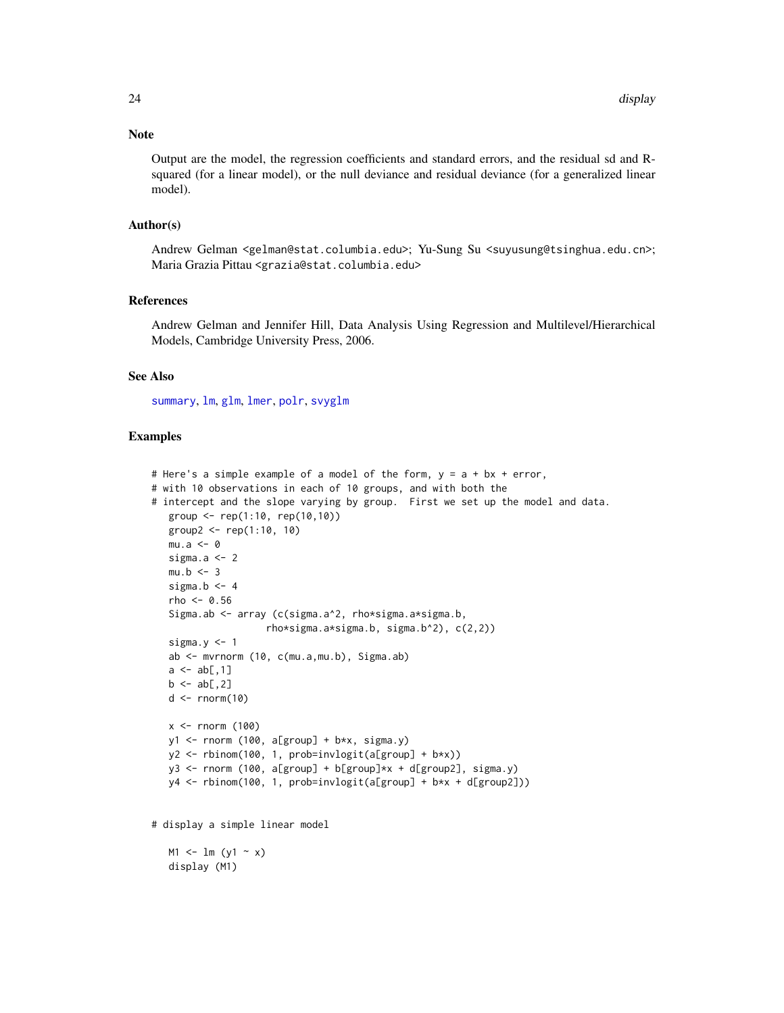# <span id="page-23-0"></span>Note

Output are the model, the regression coefficients and standard errors, and the residual sd and Rsquared (for a linear model), or the null deviance and residual deviance (for a generalized linear model).

# Author(s)

Andrew Gelman <gelman@stat.columbia.edu>; Yu-Sung Su <suyusung@tsinghua.edu.cn>; Maria Grazia Pittau <grazia@stat.columbia.edu>

# References

Andrew Gelman and Jennifer Hill, Data Analysis Using Regression and Multilevel/Hierarchical Models, Cambridge University Press, 2006.

#### See Also

[summary](#page-0-0), [lm](#page-0-0), [glm](#page-0-0), [lmer](#page-0-0), [polr](#page-0-0), [svyglm](#page-0-0)

```
# Here's a simple example of a model of the form, y = a + bx + error,
# with 10 observations in each of 10 groups, and with both the
# intercept and the slope varying by group. First we set up the model and data.
  group <- rep(1:10, rep(10,10))
  group2 <- rep(1:10, 10)
  mu.a < -0sigma.a <-2mu.b < - 3sigma.b <-4rho < -0.56Sigma.ab <- array (c(sigma.a^2, rho*sigma.a*sigma.b,
                    rho*sigma.a*sigma.b, sigma.b^2), c(2,2))
  sigma.y < -1ab <- mvrnorm (10, c(mu.a,mu.b), Sigma.ab)
  a \leq ab[, 1]b \leftarrow ab[, 2]d \leq -rnorm(10)x \le rnorm (100)
  y1 \leftarrow rnorm (100, a[group] + b*x, sigma.y)
  y2 <- rbinom(100, 1, prob=invlogit(a[group] + b*x))
  y3 \le rnorm (100, a[group] + b[group]*x + d[group2], sigma.y)
  y4 <- rbinom(100, 1, prob=invlogit(a[group] + b*x + d[group2]))
# display a simple linear model
  M1 \leq - \ln (y1 - x)display (M1)
```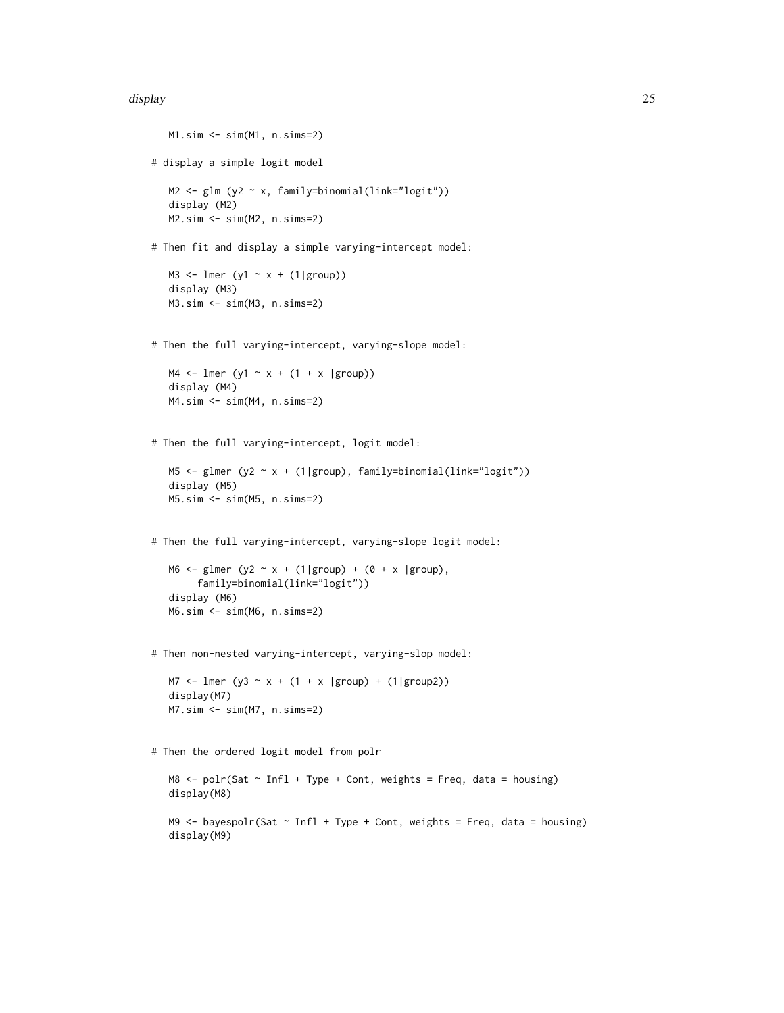#### display the control of the control of the control of the control of the control of the control of the control of the control of the control of the control of the control of the control of the control of the control of the

```
M1.sim <- sim(M1, n.sims=2)
# display a simple logit model
  M2 <- glm (y2 ~ x, family=binomial(link="logit"))
  display (M2)
  M2.sim <- sim(M2, n.sims=2)
# Then fit and display a simple varying-intercept model:
  M3 <- lmer (y1 \sim x + (1|group))
  display (M3)
  M3.sim <- sim(M3, n.sims=2)
# Then the full varying-intercept, varying-slope model:
  M4 \leftarrow lmer (y1 \sim x + (1 + x |group))
  display (M4)
  M4.sim <- sim(M4, n.sims=2)
# Then the full varying-intercept, logit model:
  M5 <- glmer (y2 ~ x + (1|group), family=binomial(link="logit"))
  display (M5)
  M5.sim <- sim(M5, n.sims=2)
# Then the full varying-intercept, varying-slope logit model:
  M6 <- glmer (y2 ~ x + (1|group) + (0 + x |group),
        family=binomial(link="logit"))
  display (M6)
  M6.sim <- sim(M6, n.sims=2)
# Then non-nested varying-intercept, varying-slop model:
  M7 <- lmer (y3 - x + (1 + x \ | group) + (1 \ | group))display(M7)
  M7.sim <- sim(M7, n.sims=2)
# Then the ordered logit model from polr
  MS < - polr(Sat \sim Infl + Type + Cont, weights = Freq, data = housing)
  display(M8)
  M9 \leq- bayespolr(Sat \sim Infl + Type + Cont, weights = Freq, data = housing)
  display(M9)
```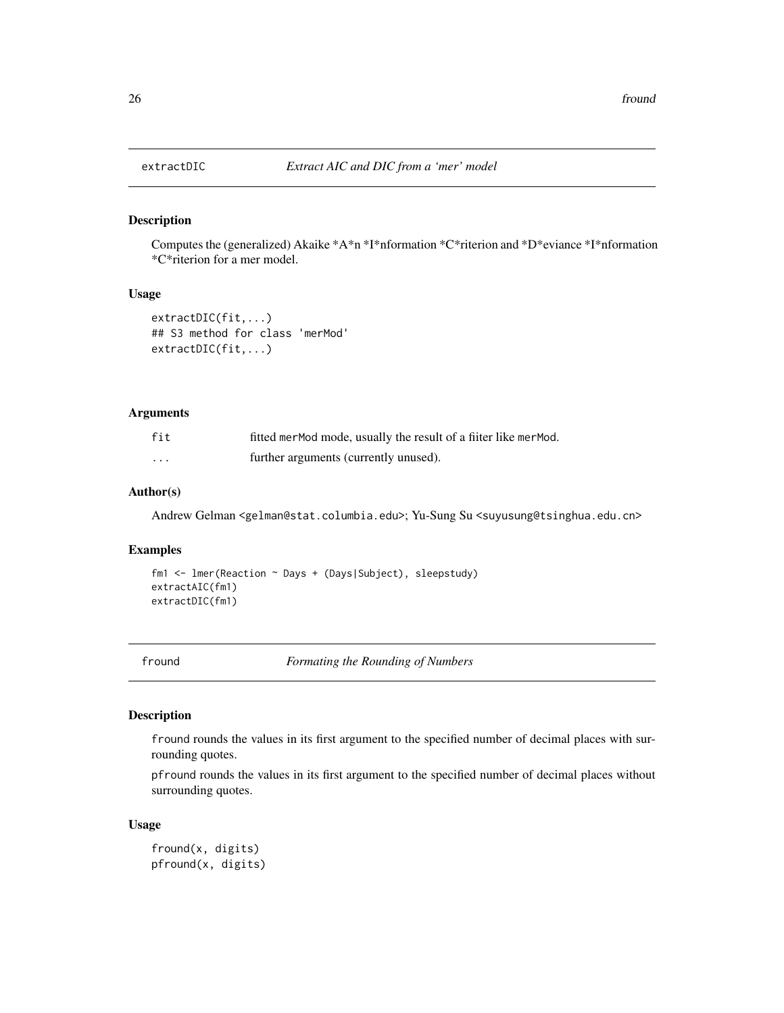# Description

Computes the (generalized) Akaike \*A\*n \*I\*nformation \*C\*riterion and \*D\*eviance \*I\*nformation \*C\*riterion for a mer model.

# Usage

```
extractDIC(fit,...)
## S3 method for class 'merMod'
extractDIC(fit,...)
```
#### Arguments

| fit | fitted merMod mode, usually the result of a fiiter like merMod. |
|-----|-----------------------------------------------------------------|
| .   | further arguments (currently unused).                           |

# Author(s)

Andrew Gelman <gelman@stat.columbia.edu>; Yu-Sung Su <suyusung@tsinghua.edu.cn>

# Examples

```
fm1 <- lmer(Reaction ~ Days + (Days|Subject), sleepstudy)
extractAIC(fm1)
extractDIC(fm1)
```
fround *Formating the Rounding of Numbers*

#### Description

fround rounds the values in its first argument to the specified number of decimal places with surrounding quotes.

pfround rounds the values in its first argument to the specified number of decimal places without surrounding quotes.

# Usage

fround(x, digits) pfround(x, digits)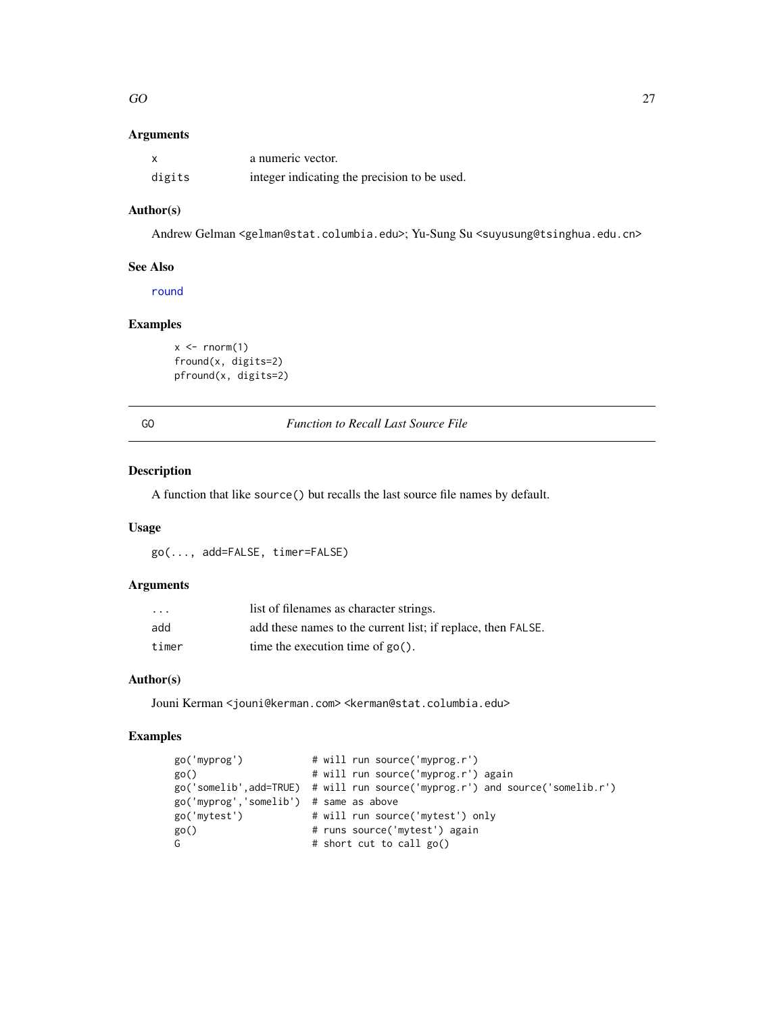#### <span id="page-26-0"></span> $G$ O 27

# Arguments

|        | a numeric vector.                            |
|--------|----------------------------------------------|
| digits | integer indicating the precision to be used. |

# Author(s)

Andrew Gelman <gelman@stat.columbia.edu>; Yu-Sung Su <suyusung@tsinghua.edu.cn>

# See Also

[round](#page-0-0)

# Examples

```
x \leftarrow \text{rnorm}(1)fround(x, digits=2)
pfround(x, digits=2)
```
GO *Function to Recall Last Source File*

# Description

A function that like source() but recalls the last source file names by default.

# Usage

go(..., add=FALSE, timer=FALSE)

# Arguments

| $\cdot$ | list of filenames as character strings.                      |
|---------|--------------------------------------------------------------|
| add     | add these names to the current list; if replace, then FALSE. |
| timer   | time the execution time of $\text{go}()$ .                   |

# Author(s)

Jouni Kerman <jouni@kerman.com> <kerman@stat.columbia.edu>

| go('myprog')                           | # will run source('myprog.r')                                                |
|----------------------------------------|------------------------------------------------------------------------------|
| go()                                   | # will run source('myprog.r') again                                          |
|                                        | go('somelib',add=TRUE) # will run source('myprog.r') and source('somelib.r') |
| go('myprog','somelib') # same as above |                                                                              |
| go('mytest')                           | # will run source('mytest') only                                             |
| go()                                   | # runs source('mytest') again                                                |
| G                                      | # short cut to call go()                                                     |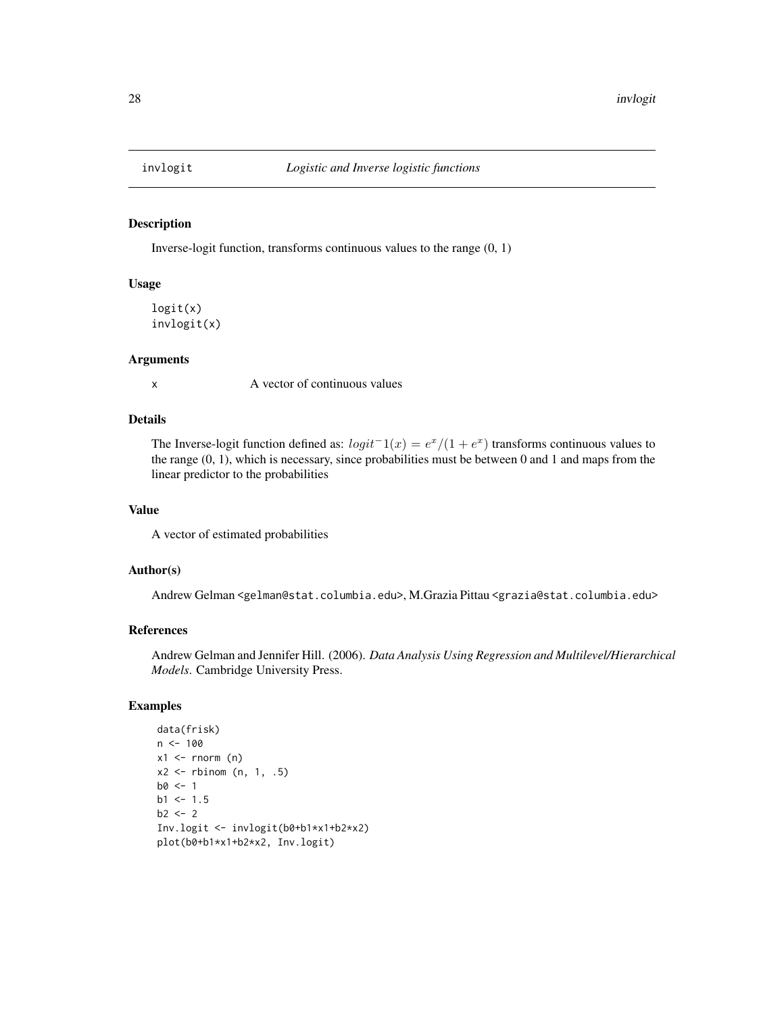<span id="page-27-0"></span>

#### Description

Inverse-logit function, transforms continuous values to the range (0, 1)

#### Usage

logit(x) invlogit(x)

# Arguments

x A vector of continuous values

# Details

The Inverse-logit function defined as:  $logit^{-1}(x) = e^x/(1 + e^x)$  transforms continuous values to the range (0, 1), which is necessary, since probabilities must be between 0 and 1 and maps from the linear predictor to the probabilities

#### Value

A vector of estimated probabilities

# Author(s)

Andrew Gelman <gelman@stat.columbia.edu>, M.Grazia Pittau <grazia@stat.columbia.edu>

# References

Andrew Gelman and Jennifer Hill. (2006). *Data Analysis Using Regression and Multilevel/Hierarchical Models*. Cambridge University Press.

```
data(frisk)
n < -100x1 \leftarrow \text{norm} (n)
x2 \leftarrow rbinom (n, 1, .5)
b0 < -1b1 < -1.5b2 < -2Inv.logit <- invlogit(b0+b1*x1+b2*x2)
plot(b0+b1*x1+b2*x2, Inv.logit)
```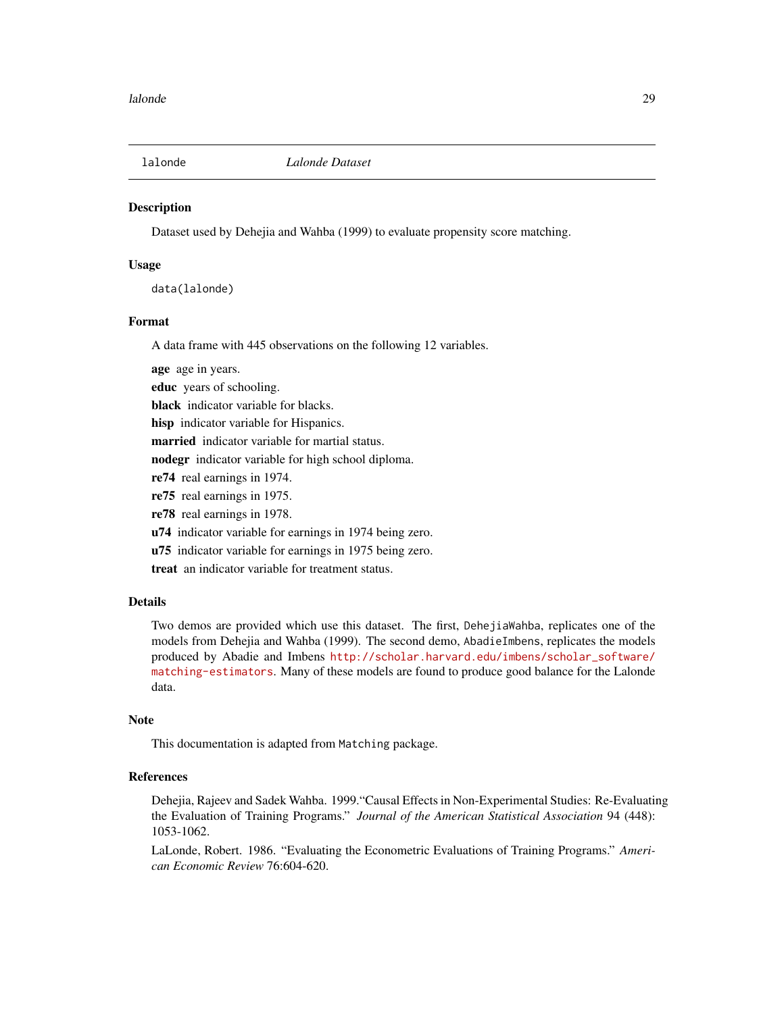<span id="page-28-0"></span>

#### **Description**

Dataset used by Dehejia and Wahba (1999) to evaluate propensity score matching.

#### Usage

data(lalonde)

#### Format

A data frame with 445 observations on the following 12 variables.

age age in years.

educ years of schooling.

black indicator variable for blacks.

hisp indicator variable for Hispanics.

married indicator variable for martial status.

nodegr indicator variable for high school diploma.

re74 real earnings in 1974.

re75 real earnings in 1975.

re78 real earnings in 1978.

u74 indicator variable for earnings in 1974 being zero.

u75 indicator variable for earnings in 1975 being zero.

treat an indicator variable for treatment status.

# Details

Two demos are provided which use this dataset. The first, DehejiaWahba, replicates one of the models from Dehejia and Wahba (1999). The second demo, AbadieImbens, replicates the models produced by Abadie and Imbens [http://scholar.harvard.edu/imbens/scholar\\_software/](http://scholar.harvard.edu/imbens/scholar_software/matching-estimators) [matching-estimators](http://scholar.harvard.edu/imbens/scholar_software/matching-estimators). Many of these models are found to produce good balance for the Lalonde data.

#### **Note**

This documentation is adapted from Matching package.

#### References

Dehejia, Rajeev and Sadek Wahba. 1999."Causal Effects in Non-Experimental Studies: Re-Evaluating the Evaluation of Training Programs." *Journal of the American Statistical Association* 94 (448): 1053-1062.

LaLonde, Robert. 1986. "Evaluating the Econometric Evaluations of Training Programs." *American Economic Review* 76:604-620.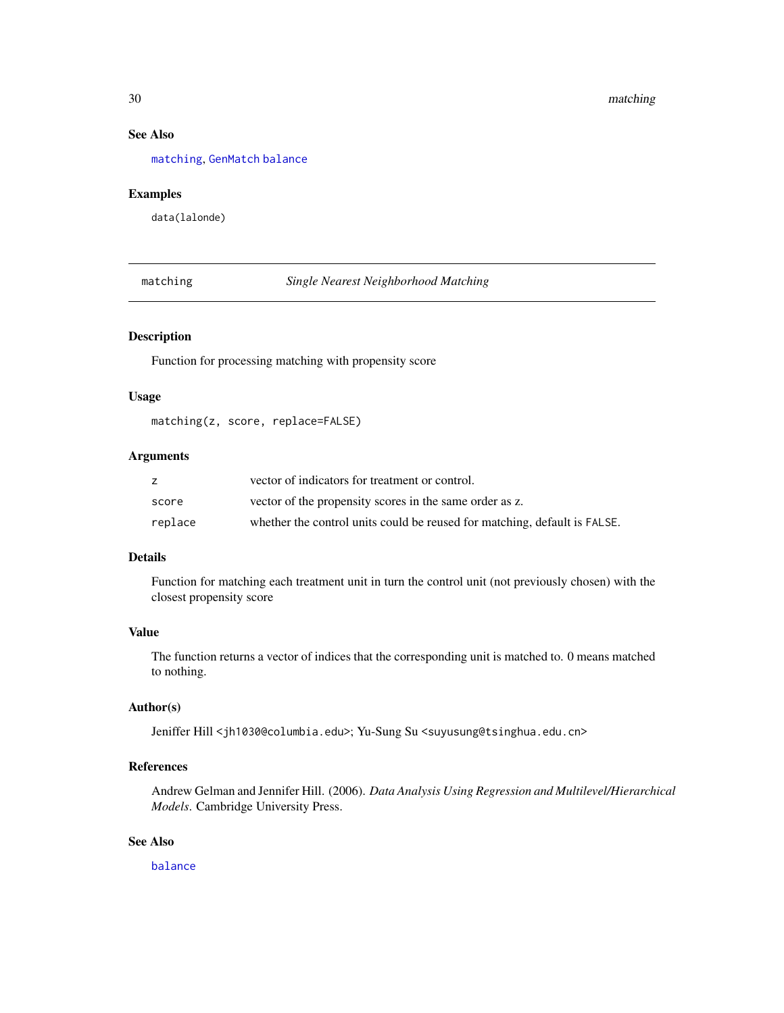# <span id="page-29-0"></span>See Also

[matching](#page-29-1), [GenMatch](#page-0-0) [balance](#page-1-1)

# Examples

data(lalonde)

<span id="page-29-1"></span>matching *Single Nearest Neighborhood Matching*

# Description

Function for processing matching with propensity score

#### Usage

matching(z, score, replace=FALSE)

# Arguments

|         | vector of indicators for treatment or control.                            |
|---------|---------------------------------------------------------------------------|
| score   | vector of the propensity scores in the same order as z.                   |
| replace | whether the control units could be reused for matching, default is FALSE. |

# Details

Function for matching each treatment unit in turn the control unit (not previously chosen) with the closest propensity score

# Value

The function returns a vector of indices that the corresponding unit is matched to. 0 means matched to nothing.

# Author(s)

Jeniffer Hill <jh1030@columbia.edu>; Yu-Sung Su <suyusung@tsinghua.edu.cn>

# References

Andrew Gelman and Jennifer Hill. (2006). *Data Analysis Using Regression and Multilevel/Hierarchical Models*. Cambridge University Press.

# See Also

[balance](#page-1-1)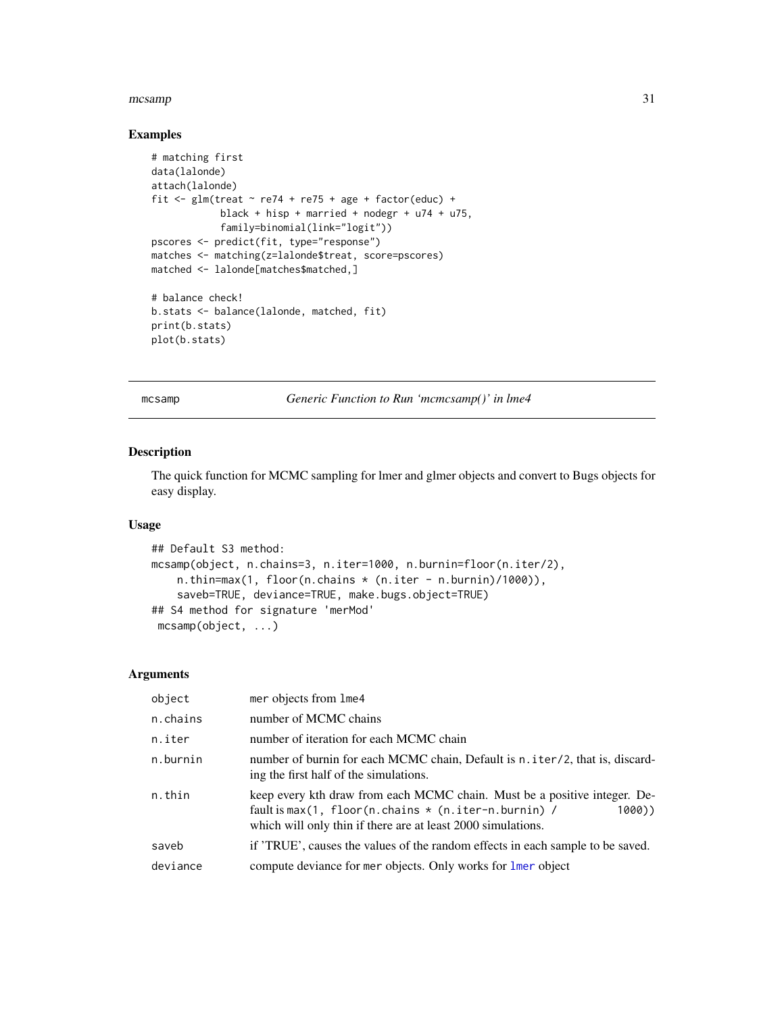#### <span id="page-30-0"></span> $\frac{1}{31}$

#### Examples

```
# matching first
data(lalonde)
attach(lalonde)
fit \le glm(treat \sim re74 + re75 + age + factor(educ) +
            black + hisp + married + nodegr + u74 + u75,
            family=binomial(link="logit"))
pscores <- predict(fit, type="response")
matches <- matching(z=lalonde$treat, score=pscores)
matched <- lalonde[matches$matched,]
# balance check!
b.stats <- balance(lalonde, matched, fit)
print(b.stats)
plot(b.stats)
```
mcsamp *Generic Function to Run 'mcmcsamp()' in lme4*

#### Description

The quick function for MCMC sampling for lmer and glmer objects and convert to Bugs objects for easy display.

#### Usage

```
## Default S3 method:
mcsamp(object, n.chains=3, n.iter=1000, n.burnin=floor(n.iter/2),
    n.thin=max(1, floor(n.chains * (n.iter - n.burnin)/1000)),
    saveb=TRUE, deviance=TRUE, make.bugs.object=TRUE)
## S4 method for signature 'merMod'
mcsamp(object, ...)
```
#### Arguments

| object   | mer objects from lme4                                                                                                                                                                                                    |
|----------|--------------------------------------------------------------------------------------------------------------------------------------------------------------------------------------------------------------------------|
| n.chains | number of MCMC chains                                                                                                                                                                                                    |
| n.iter   | number of iteration for each MCMC chain                                                                                                                                                                                  |
| n.burnin | number of burnin for each MCMC chain, Default is n. iter/2, that is, discard-<br>ing the first half of the simulations.                                                                                                  |
| n.thin   | keep every kth draw from each MCMC chain. Must be a positive integer. De-<br>fault is max $(1, floor(n)$ .chains $\star$ $(n.iter-n.burnin)$ /<br>1000))<br>which will only thin if there are at least 2000 simulations. |
| saveb    | if 'TRUE', causes the values of the random effects in each sample to be saved.                                                                                                                                           |
| deviance | compute deviance for mer objects. Only works for lmer object                                                                                                                                                             |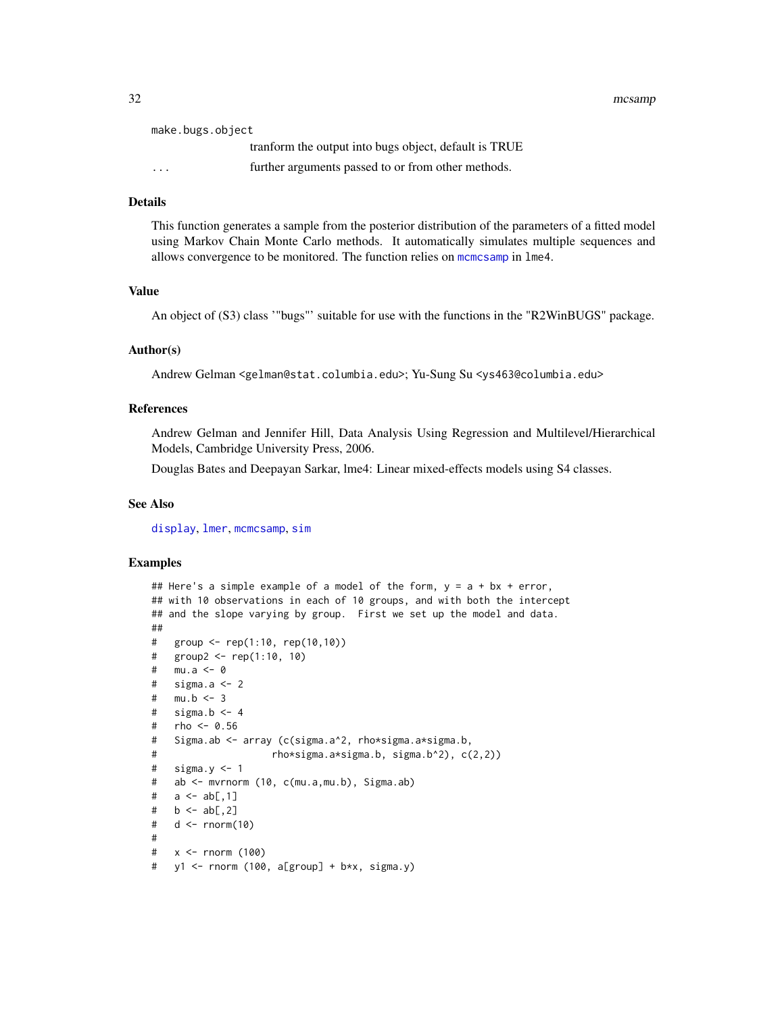<span id="page-31-0"></span>32 mcsamp mcsamp mcsamp mcsamp mcsamp mcsamp mcsamp mcsamp mcsamp mcsamp mcsamp mcsamp mcsamp mcsamp mcsamp mc

| make.bugs.object |                                                        |
|------------------|--------------------------------------------------------|
|                  | transform the output into bugs object, default is TRUE |
| $\cdots$         | further arguments passed to or from other methods.     |

# Details

This function generates a sample from the posterior distribution of the parameters of a fitted model using Markov Chain Monte Carlo methods. It automatically simulates multiple sequences and allows convergence to be monitored. The function relies on [mcmcsamp](#page-0-0) in lme4.

#### Value

An object of (S3) class '"bugs"' suitable for use with the functions in the "R2WinBUGS" package.

#### Author(s)

Andrew Gelman <gelman@stat.columbia.edu>; Yu-Sung Su <ys463@columbia.edu>

# References

Andrew Gelman and Jennifer Hill, Data Analysis Using Regression and Multilevel/Hierarchical Models, Cambridge University Press, 2006.

Douglas Bates and Deepayan Sarkar, lme4: Linear mixed-effects models using S4 classes.

#### See Also

[display](#page-22-1), [lmer](#page-0-0), [mcmcsamp](#page-0-0), [sim](#page-42-1)

```
## Here's a simple example of a model of the form, y = a + bx + error,
## with 10 observations in each of 10 groups, and with both the intercept
## and the slope varying by group. First we set up the model and data.
##
# group <- rep(1:10, rep(10,10))
# group2 <- rep(1:10, 10)
# mu.a <- 0
# sigma.a <-2# mu.b <- 3
# sigma.b <- 4
# rho <- 0.56
# Sigma.ab <- array (c(sigma.a^2, rho*sigma.a*sigma.b,
# rho*sigma.a*sigma.b, sigma.b^2), c(2,2))
# sigma.y <-1# ab <- mvrnorm (10, c(mu.a,mu.b), Sigma.ab)
# a \le ab[, 1]# b \leq ab[, 2]# d <- rnorm(10)
#
# x <- rnorm (100)
# y1 <- rnorm (100, a[group] + b*x, sigma.y)
```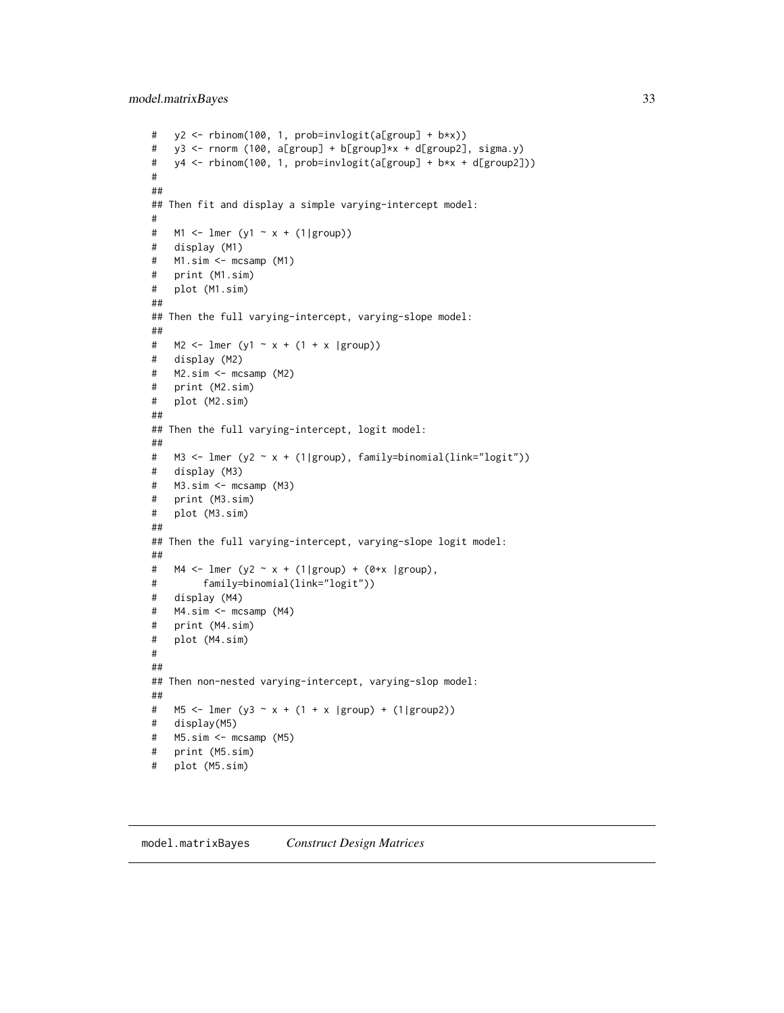# <span id="page-32-0"></span>model.matrixBayes 33

```
# y2 <- rbinom(100, 1, prob=invlogit(a[group] + b*x))
# y3 <- rnorm (100, a[group] + b[group]*x + d[group2], sigma.y)
# y4 <- rbinom(100, 1, prob=invlogit(a[group] + b*x + d[group2]))
#
##
## Then fit and display a simple varying-intercept model:
#
# M1 <- lmer (y1 \sim x + (1|group))
# display (M1)
# M1.sim <- mcsamp (M1)
# print (M1.sim)
# plot (M1.sim)
##
## Then the full varying-intercept, varying-slope model:
##
# M2 <- lmer (y1 ~ x + (1 + x |group))
# display (M2)
# M2.sim <- mcsamp (M2)
# print (M2.sim)
# plot (M2.sim)
##
## Then the full varying-intercept, logit model:
##
# M3 <- lmer (y2 ~ x + (1|group), family=binomial(link="logit"))
# display (M3)
# M3.sim <- mcsamp (M3)
# print (M3.sim)
# plot (M3.sim)
##
## Then the full varying-intercept, varying-slope logit model:
##
# M4 \leq \text{Imer } (y2 \approx x + (1 | group) + (0+x | group),# family=binomial(link="logit"))
# display (M4)
# M4.sim <- mcsamp (M4)
# print (M4.sim)
# plot (M4.sim)
#
##
## Then non-nested varying-intercept, varying-slop model:
##
# M5 <- lmer (y3 ~ x + (1 + x |group) + (1|group2))
# display(M5)
# M5.sim <- mcsamp (M5)
# print (M5.sim)
# plot (M5.sim)
```
model.matrixBayes *Construct Design Matrices*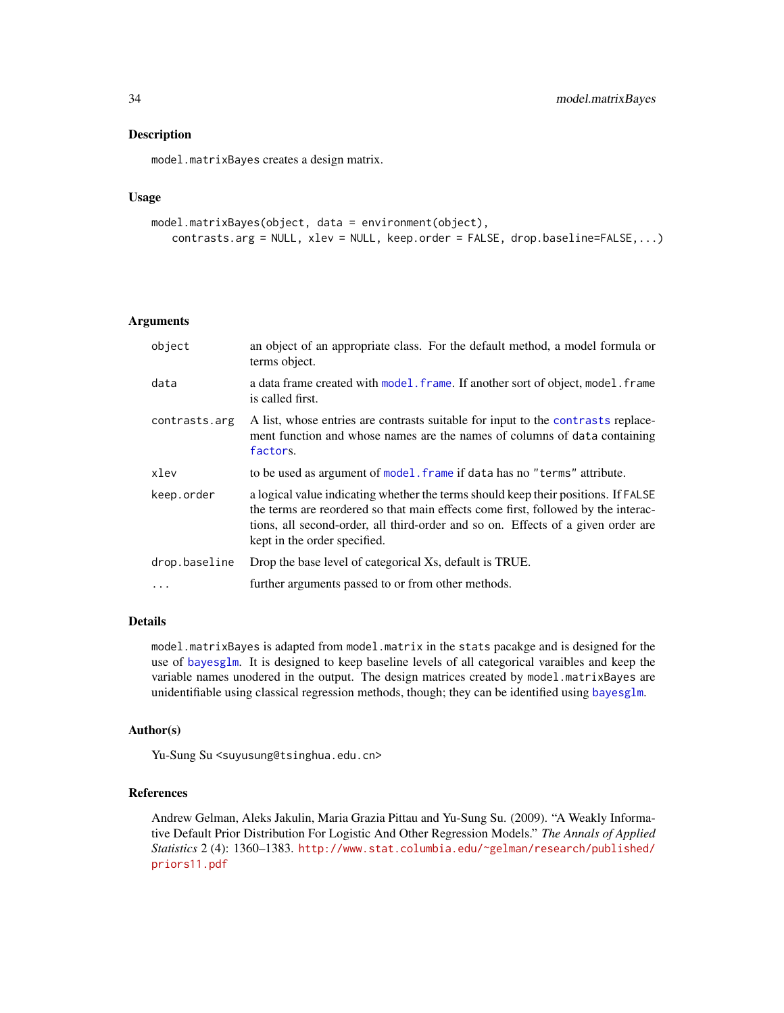#### Description

model.matrixBayes creates a design matrix.

#### Usage

```
model.matrixBayes(object, data = environment(object),
   contrasts.arg = NULL, xlev = NULL, keep.order = FALSE, drop.baseline=FALSE,...)
```
#### Arguments

| object        | an object of an appropriate class. For the default method, a model formula or<br>terms object.                                                                                                                                                                                              |
|---------------|---------------------------------------------------------------------------------------------------------------------------------------------------------------------------------------------------------------------------------------------------------------------------------------------|
| data          | a data frame created with model. frame. If another sort of object, model. frame<br>is called first.                                                                                                                                                                                         |
| contrasts.arg | A list, whose entries are contrasts suitable for input to the contrasts replace-<br>ment function and whose names are the names of columns of data containing<br>factors.                                                                                                                   |
| xlev          | to be used as argument of model. frame if data has no "terms" attribute.                                                                                                                                                                                                                    |
| keep.order    | a logical value indicating whether the terms should keep their positions. If FALSE<br>the terms are reordered so that main effects come first, followed by the interac-<br>tions, all second-order, all third-order and so on. Effects of a given order are<br>kept in the order specified. |
| drop.baseline | Drop the base level of categorical Xs, default is TRUE.                                                                                                                                                                                                                                     |
|               | further arguments passed to or from other methods.                                                                                                                                                                                                                                          |

#### Details

model.matrixBayes is adapted from model.matrix in the stats pacakge and is designed for the use of [bayesglm](#page-3-1). It is designed to keep baseline levels of all categorical varaibles and keep the variable names unodered in the output. The design matrices created by model.matrixBayes are unidentifiable using classical regression methods, though; they can be identified using [bayesglm](#page-3-1).

#### Author(s)

Yu-Sung Su <suyusung@tsinghua.edu.cn>

#### References

Andrew Gelman, Aleks Jakulin, Maria Grazia Pittau and Yu-Sung Su. (2009). "A Weakly Informative Default Prior Distribution For Logistic And Other Regression Models." *The Annals of Applied Statistics* 2 (4): 1360–1383. [http://www.stat.columbia.edu/~gelman/research/published/](http://www.stat.columbia.edu/~gelman/research/published/priors11.pdf) [priors11.pdf](http://www.stat.columbia.edu/~gelman/research/published/priors11.pdf)

<span id="page-33-0"></span>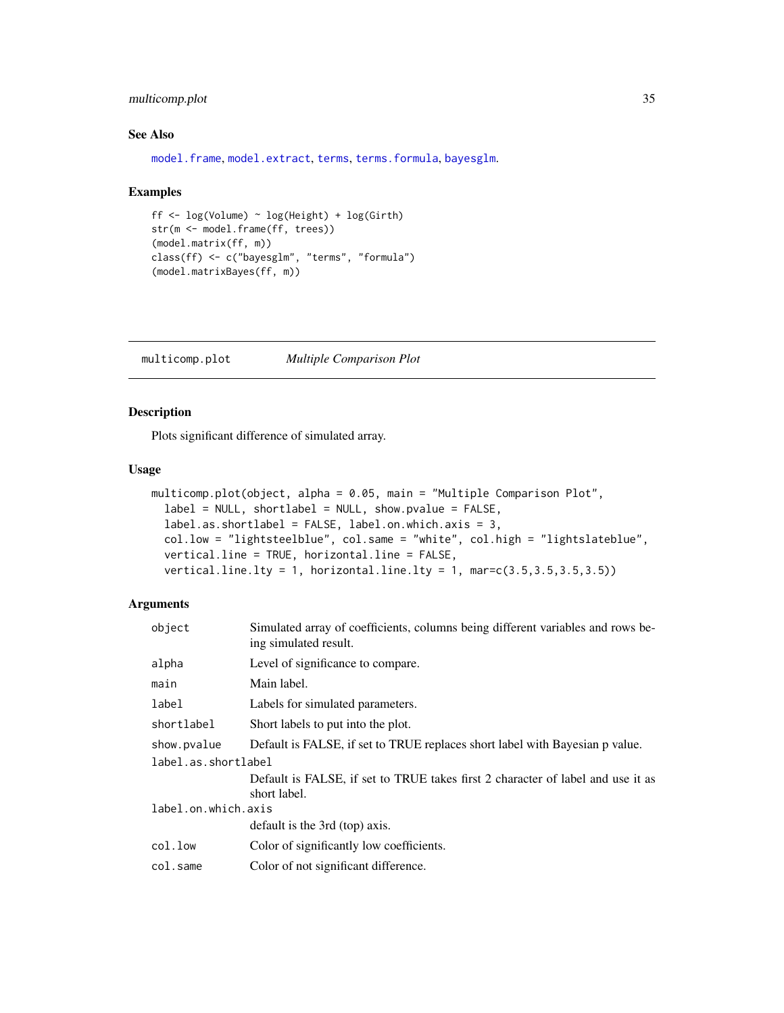# <span id="page-34-0"></span>multicomp.plot 35

# See Also

[model.frame](#page-0-0), [model.extract](#page-0-0), [terms](#page-0-0), [terms.formula](#page-0-0), [bayesglm](#page-3-1).

#### Examples

```
ff <- log(Volume) ~ log(Height) + log(Girth)
str(m <- model.frame(ff, trees))
(model.matrix(ff, m))
class(ff) <- c("bayesglm", "terms", "formula")
(model.matrixBayes(ff, m))
```
multicomp.plot *Multiple Comparison Plot*

# Description

Plots significant difference of simulated array.

#### Usage

```
multicomp.plot(object, alpha = 0.05, main = "Multiple Comparison Plot",
  label = NULL, short label = NULL, show. pvalue = FALSE,label.as.shortlabel = FALSE, label.on.which.axis = 3,
  col.low = "lightsteelblue", col.same = "white", col.high = "lightslateblue",
  vertical.line = TRUE, horizontal.line = FALSE,
  vertical.line.lty = 1, horizontal.line.lty = 1, mar=c(3.5, 3.5, 3.5, 3.5))
```
# Arguments

| Simulated array of coefficients, columns being different variables and rows be-<br>ing simulated result. |  |  |
|----------------------------------------------------------------------------------------------------------|--|--|
| Level of significance to compare.                                                                        |  |  |
| Main label.                                                                                              |  |  |
| Labels for simulated parameters.                                                                         |  |  |
| Short labels to put into the plot.                                                                       |  |  |
| Default is FALSE, if set to TRUE replaces short label with Bayesian p value.                             |  |  |
| label.as.shortlabel                                                                                      |  |  |
| Default is FALSE, if set to TRUE takes first 2 character of label and use it as<br>short label.          |  |  |
| label.on.which.axis                                                                                      |  |  |
| default is the 3rd (top) axis.                                                                           |  |  |
| Color of significantly low coefficients.                                                                 |  |  |
| Color of not significant difference.                                                                     |  |  |
|                                                                                                          |  |  |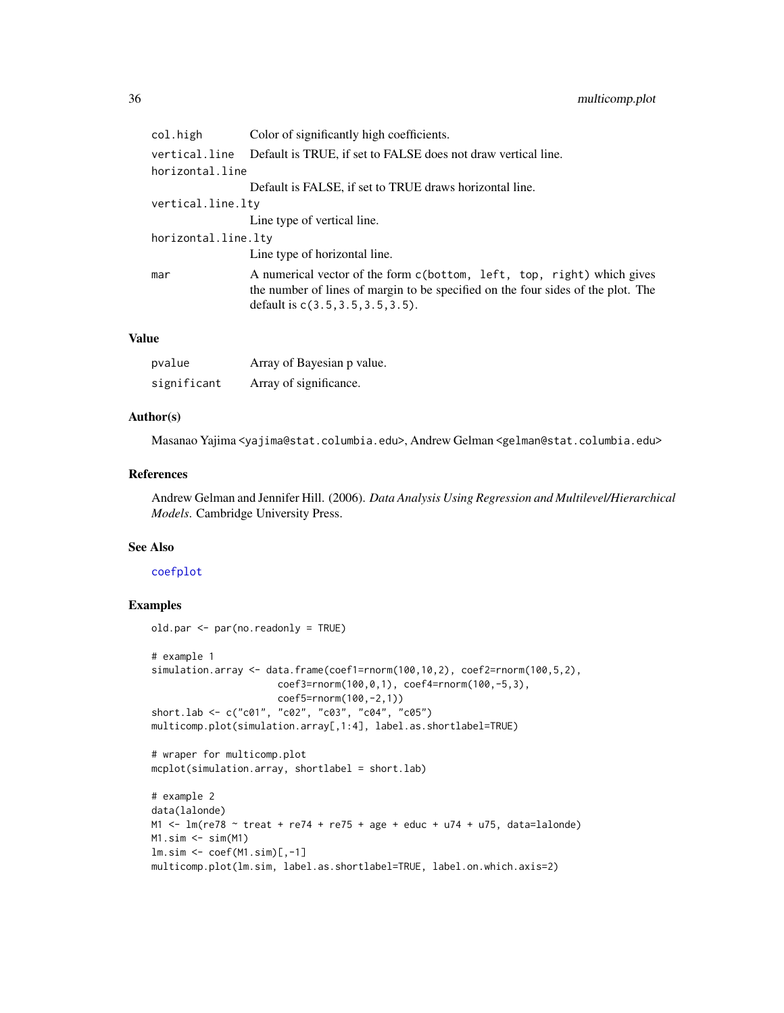<span id="page-35-0"></span>

| col.high            | Color of significantly high coefficients.                                                                                                                                                          |
|---------------------|----------------------------------------------------------------------------------------------------------------------------------------------------------------------------------------------------|
| vertical.line       | Default is TRUE, if set to FALSE does not draw vertical line.                                                                                                                                      |
| horizontal.line     |                                                                                                                                                                                                    |
|                     | Default is FALSE, if set to TRUE draws horizontal line.                                                                                                                                            |
| vertical.line.lty   |                                                                                                                                                                                                    |
|                     | Line type of vertical line.                                                                                                                                                                        |
| horizontal.line.lty |                                                                                                                                                                                                    |
|                     | Line type of horizontal line.                                                                                                                                                                      |
| mar                 | A numerical vector of the form c(bottom, left, top, right) which gives<br>the number of lines of margin to be specified on the four sides of the plot. The<br>default is $c(3.5, 3.5, 3.5, 3.5)$ . |

# Value

| pvalue      | Array of Bayesian p value. |
|-------------|----------------------------|
| significant | Array of significance.     |

# Author(s)

Masanao Yajima <yajima@stat.columbia.edu>, Andrew Gelman <gelman@stat.columbia.edu>

# References

Andrew Gelman and Jennifer Hill. (2006). *Data Analysis Using Regression and Multilevel/Hierarchical Models*. Cambridge University Press.

#### See Also

# [coefplot](#page-14-1)

# Examples

```
old.par <- par(no.readonly = TRUE)
# example 1
simulation.array <- data.frame(coef1=rnorm(100,10,2), coef2=rnorm(100,5,2),
                     coef3=rnorm(100,0,1), coef4=rnorm(100,-5,3),
                      coef5=rnorm(100,-2,1))
short.lab <- c("c01", "c02", "c03", "c04", "c05")
multicomp.plot(simulation.array[,1:4], label.as.shortlabel=TRUE)
# wraper for multicomp.plot
mcplot(simulation.array, shortlabel = short.lab)
# example 2
data(lalonde)
M1 \le lm(re78 \sim treat + re74 + re75 + age + educ + u74 + u75, data=lalonde)
M1.sim \leftarrow sim(M1)lm.sim <- coef(M1.sim)[,-1]
```
multicomp.plot(lm.sim, label.as.shortlabel=TRUE, label.on.which.axis=2)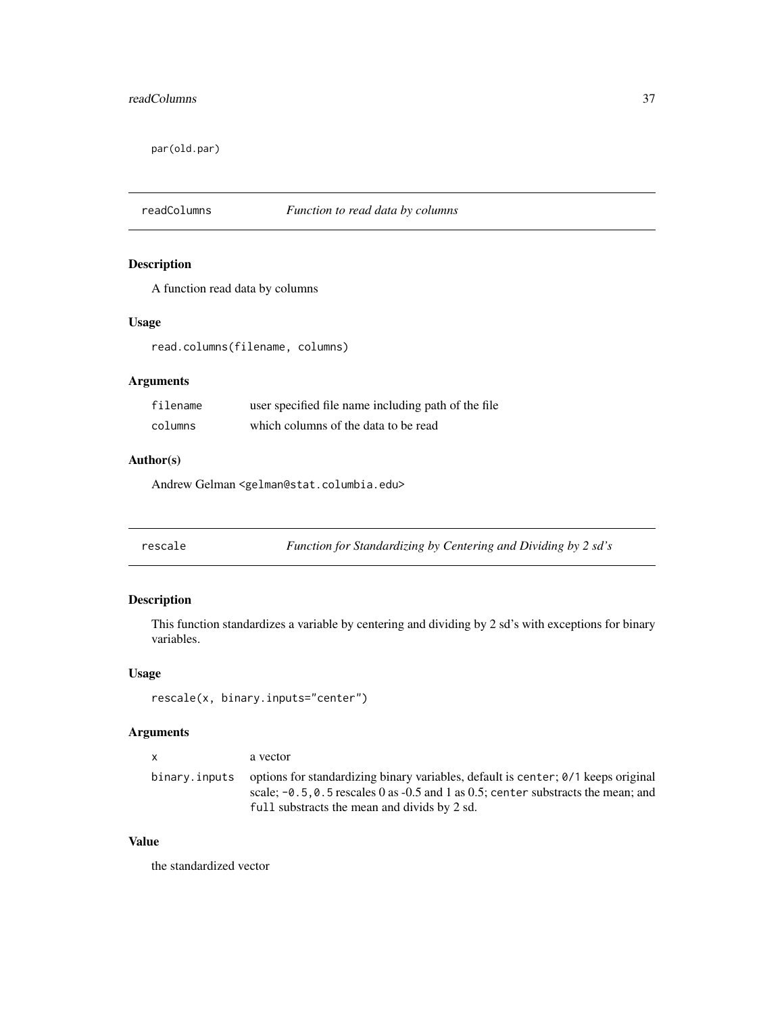<span id="page-36-0"></span>par(old.par)

# readColumns *Function to read data by columns*

# Description

A function read data by columns

#### Usage

read.columns(filename, columns)

# Arguments

| filename | user specified file name including path of the file |
|----------|-----------------------------------------------------|
| columns  | which columns of the data to be read                |

# Author(s)

Andrew Gelman <gelman@stat.columbia.edu>

<span id="page-36-1"></span>rescale *Function for Standardizing by Centering and Dividing by 2 sd's*

# Description

This function standardizes a variable by centering and dividing by 2 sd's with exceptions for binary variables.

# Usage

rescale(x, binary.inputs="center")

#### Arguments

x a vector

binary.inputs options for standardizing binary variables, default is center; 0/1 keeps original scale;  $-0.5, 0.5$  rescales 0 as  $-0.5$  and 1 as 0.5; center substracts the mean; and full substracts the mean and divids by 2 sd.

# Value

the standardized vector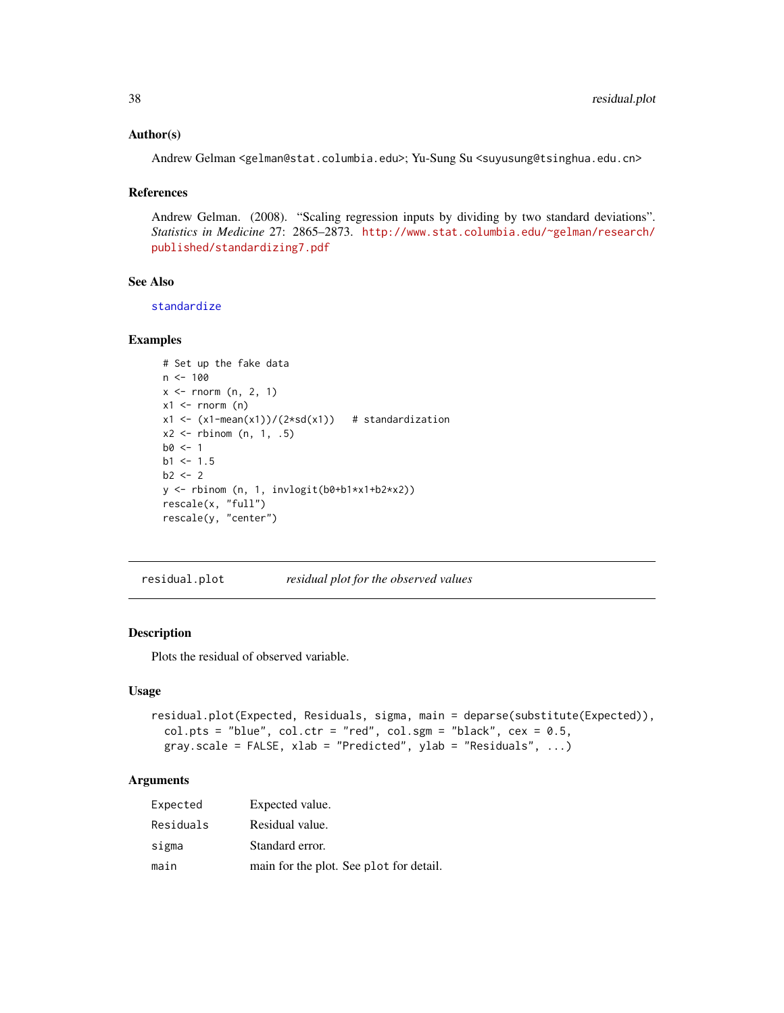#### <span id="page-37-0"></span>Author(s)

Andrew Gelman <gelman@stat.columbia.edu>; Yu-Sung Su <suyusung@tsinghua.edu.cn>

#### References

Andrew Gelman. (2008). "Scaling regression inputs by dividing by two standard deviations". *Statistics in Medicine* 27: 2865–2873. [http://www.stat.columbia.edu/~gelman/research/](http://www.stat.columbia.edu/~gelman/research/published/standardizing7.pdf) [published/standardizing7.pdf](http://www.stat.columbia.edu/~gelman/research/published/standardizing7.pdf)

# See Also

[standardize](#page-45-1)

#### Examples

```
# Set up the fake data
n < -100x \le rnorm (n, 2, 1)
x1 \leftarrow \text{norm} (n)
x1 \leftarrow (x1 - \text{mean}(x1))/(2 * \text{sd}(x1)) # standardization
x2 \le rbinom (n, 1, .5)
b0 < -1b1 < -1.5b2 < -2y <- rbinom (n, 1, invlogit(b0+b1*x1+b2*x2))
rescale(x, "full")
rescale(y, "center")
```
residual.plot *residual plot for the observed values*

# Description

Plots the residual of observed variable.

#### Usage

```
residual.plot(Expected, Residuals, sigma, main = deparse(substitute(Expected)),
 col.pts = "blue", col.ctr = "red", col.sgm = "black", ces = 0.5,gray.scale = FALSE, xlab = "Predicted", ylab = "Residuals", ...)
```
# Arguments

| Expected  | Expected value.                         |
|-----------|-----------------------------------------|
| Residuals | Residual value.                         |
| sigma     | Standard error.                         |
| main      | main for the plot. See plot for detail. |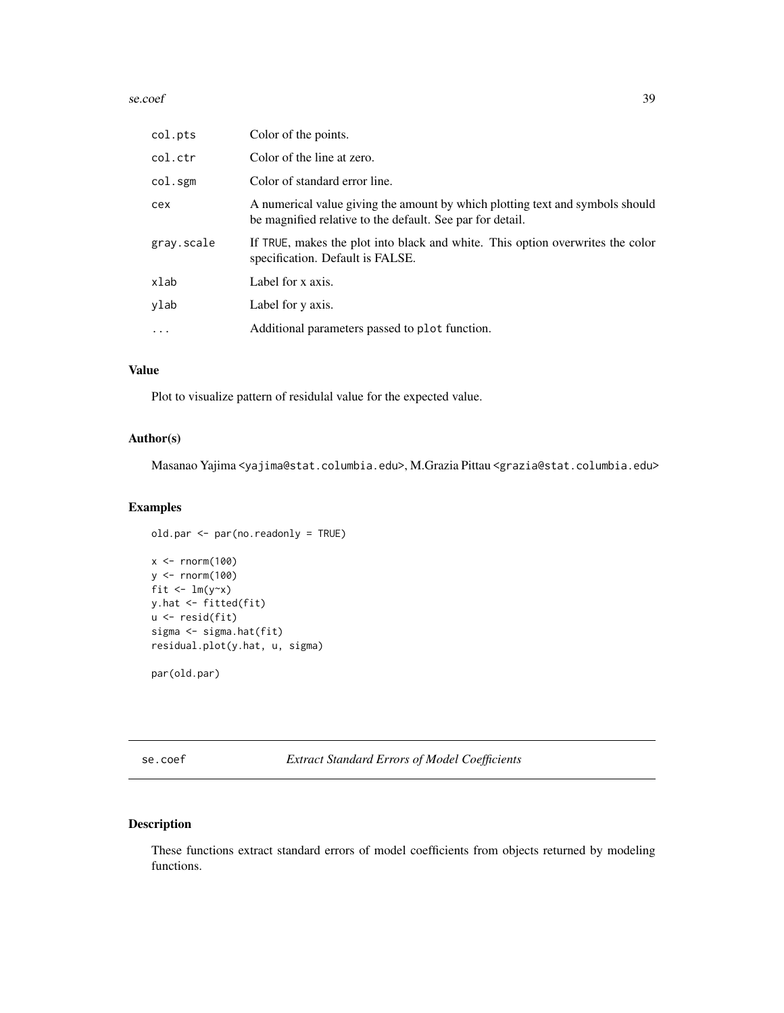#### <span id="page-38-0"></span>se.coef 39

| col.pts    | Color of the points.                                                                                                                       |
|------------|--------------------------------------------------------------------------------------------------------------------------------------------|
| col.ctr    | Color of the line at zero.                                                                                                                 |
| col.sgm    | Color of standard error line.                                                                                                              |
| cex        | A numerical value giving the amount by which plotting text and symbols should<br>be magnified relative to the default. See par for detail. |
| gray.scale | If TRUE, makes the plot into black and white. This option overwrites the color<br>specification. Default is FALSE.                         |
| xlab       | Label for x axis.                                                                                                                          |
| ylab       | Label for y axis.                                                                                                                          |
| $\ddots$ . | Additional parameters passed to plot function.                                                                                             |

# Value

Plot to visualize pattern of residulal value for the expected value.

# Author(s)

Masanao Yajima <yajima@stat.columbia.edu>, M.Grazia Pittau <grazia@stat.columbia.edu>

# Examples

```
old.par <- par(no.readonly = TRUE)
```

```
x <- rnorm(100)
y <- rnorm(100)
fit \leftarrow \text{lm}(y \sim x)y.hat <- fitted(fit)
u <- resid(fit)
sigma <- sigma.hat(fit)
residual.plot(y.hat, u, sigma)
```
par(old.par)

se.coef *Extract Standard Errors of Model Coefficients*

# Description

These functions extract standard errors of model coefficients from objects returned by modeling functions.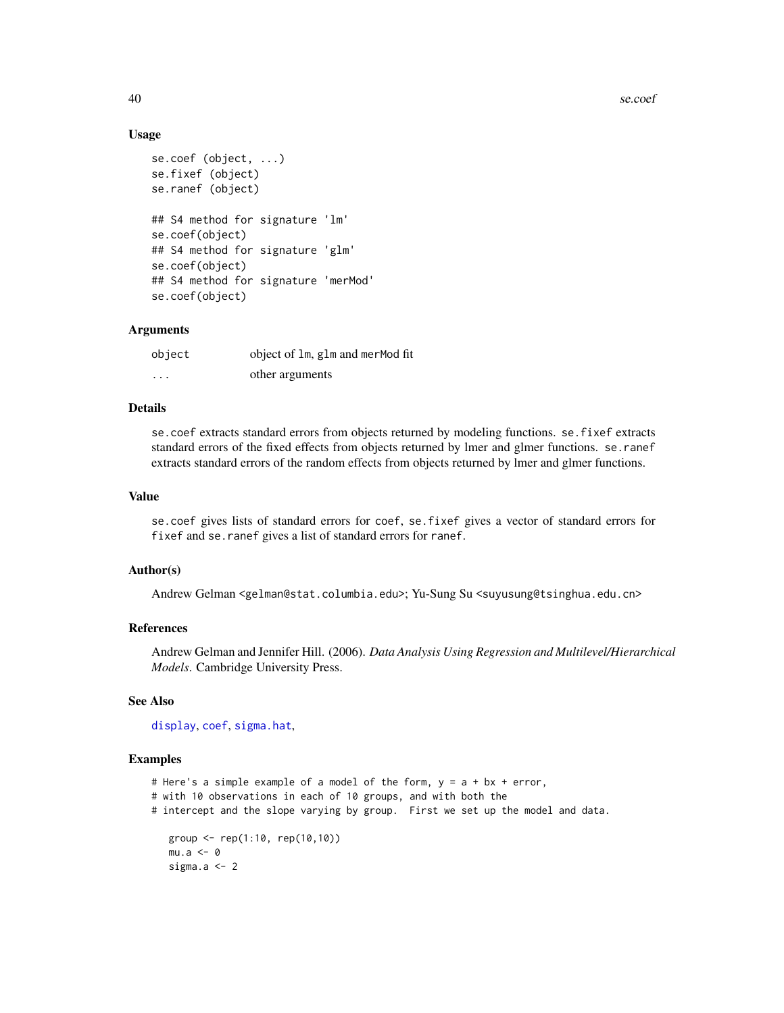40 se.coef

#### Usage

```
se.coef (object, ...)
se.fixef (object)
se.ranef (object)
## S4 method for signature 'lm'
se.coef(object)
## S4 method for signature 'glm'
se.coef(object)
## S4 method for signature 'merMod'
se.coef(object)
```
# Arguments

| object   | object of 1m, g1m and merMod fit |
|----------|----------------------------------|
| $\cdots$ | other arguments                  |

# Details

se.coef extracts standard errors from objects returned by modeling functions. se.fixef extracts standard errors of the fixed effects from objects returned by lmer and glmer functions. se.ranef extracts standard errors of the random effects from objects returned by lmer and glmer functions.

#### Value

se.coef gives lists of standard errors for coef, se.fixef gives a vector of standard errors for fixef and se.ranef gives a list of standard errors for ranef.

# Author(s)

Andrew Gelman <gelman@stat.columbia.edu>; Yu-Sung Su <suyusung@tsinghua.edu.cn>

#### References

Andrew Gelman and Jennifer Hill. (2006). *Data Analysis Using Regression and Multilevel/Hierarchical Models*. Cambridge University Press.

# See Also

[display](#page-22-1), [coef](#page-0-0), [sigma.hat](#page-40-1),

#### Examples

```
# Here's a simple example of a model of the form, y = a + bx + error,
```

```
# with 10 observations in each of 10 groups, and with both the
```
# intercept and the slope varying by group. First we set up the model and data.

```
group <- rep(1:10, rep(10,10))
mu.a < -0sigma.a <- 2
```
<span id="page-39-0"></span>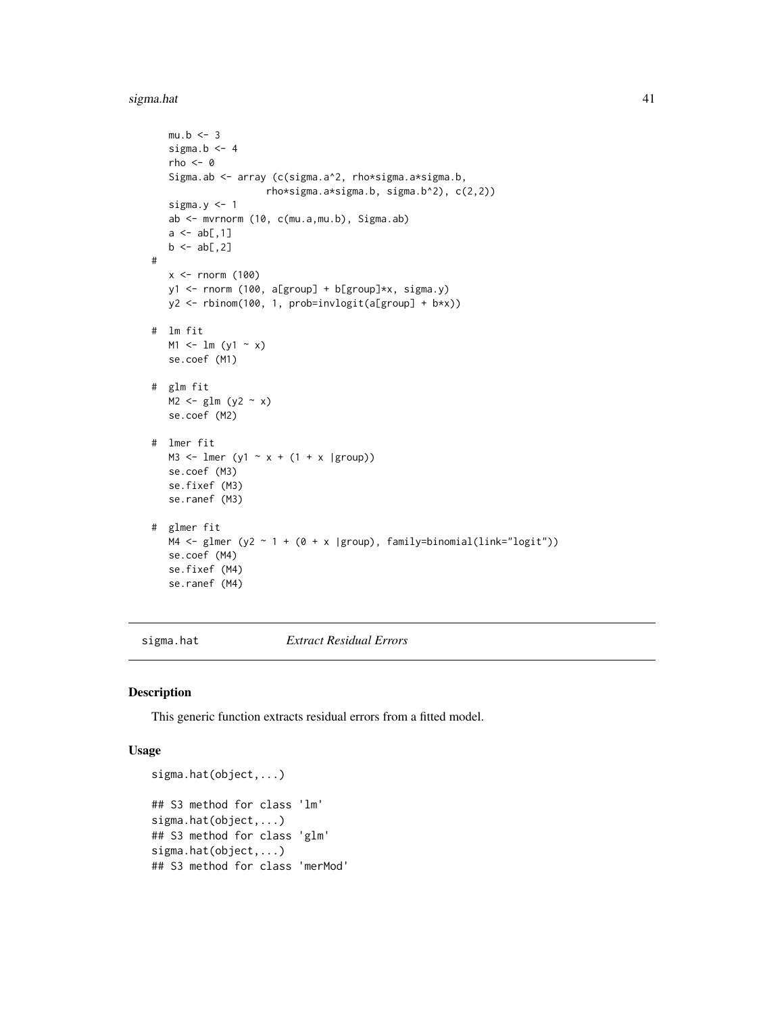#### <span id="page-40-0"></span>sigma.hat 41

```
mu.b \leq -3sigma.b <-4rho < -0Sigma.ab <- array (c(sigma.a^2, rho*sigma.a*sigma.b,
                     rho*sigma.a*sigma.b, sigma.b^2), c(2,2))
   sigma.y <-1ab <- mvrnorm (10, c(mu.a,mu.b), Sigma.ab)
   a \leftarrow ab[, 1]b \leftarrow ab[, 2]#
   x \le rnorm (100)
   y1 <- rnorm (100, a[group] + b[group]*x, sigma.y)
   y2 <- rbinom(100, 1, prob=invlogit(a[group] + b*x))
# lm fit
  M1 \leftarrow lm (y1 \sim x)se.coef (M1)
# glm fit
  M2 \leftarrow glm (y2 \sim x)
   se.coef (M2)
# lmer fit
  M3 <- lmer (y1 \sim x + (1 + x \text{ | group)})se.coef (M3)
   se.fixef (M3)
   se.ranef (M3)
# glmer fit
  M4 \leftarrow glmer (y2 \sim 1 + (0 + x |group), family=binomial(link="logit"))
   se.coef (M4)
   se.fixef (M4)
   se.ranef (M4)
```
sigma.hat *Extract Residual Errors*

#### Description

This generic function extracts residual errors from a fitted model.

#### Usage

```
sigma.hat(object,...)
## S3 method for class 'lm'
sigma.hat(object,...)
## S3 method for class 'glm'
sigma.hat(object,...)
## S3 method for class 'merMod'
```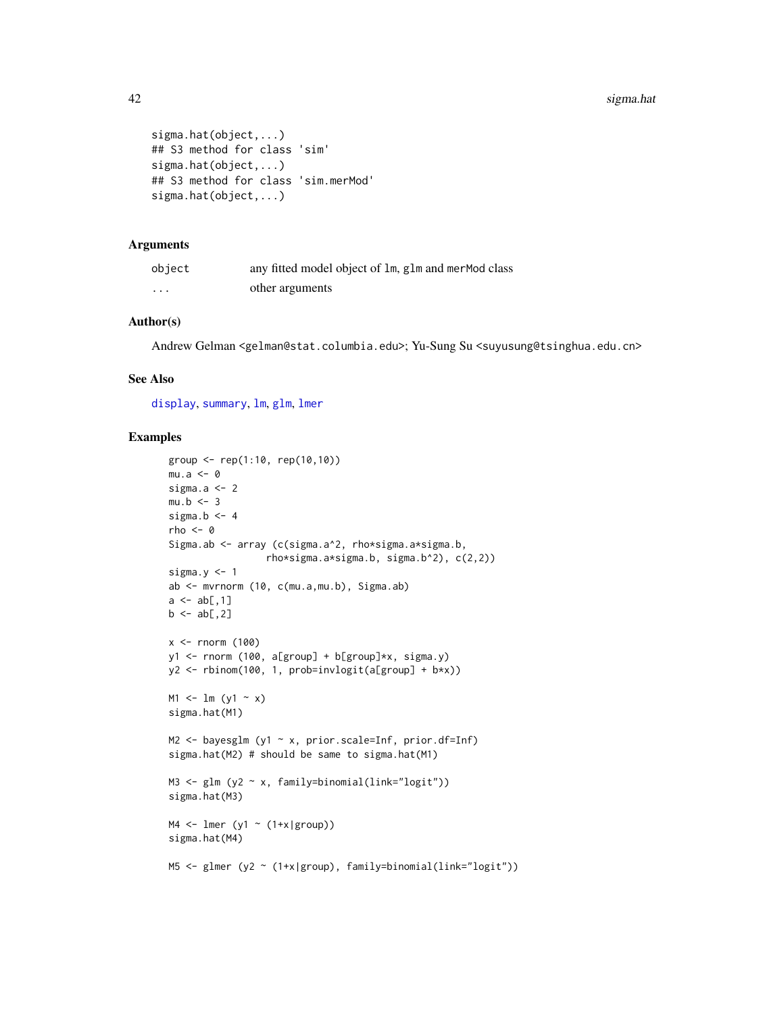```
sigma.hat(object,...)
## S3 method for class 'sim'
sigma.hat(object,...)
## S3 method for class 'sim.merMod'
sigma.hat(object,...)
```
#### Arguments

| object   | any fitted model object of 1m, g1m and merMod class |
|----------|-----------------------------------------------------|
| $\cdots$ | other arguments                                     |

# Author(s)

Andrew Gelman <gelman@stat.columbia.edu>; Yu-Sung Su <suyusung@tsinghua.edu.cn>

# See Also

[display](#page-22-1), [summary](#page-0-0), [lm](#page-0-0), [glm](#page-0-0), [lmer](#page-0-0)

```
group <- rep(1:10, rep(10,10))
mu.a < -0sigma.a <- 2
mu.b \le -3sigma.b \leq -4rho <- 0
Sigma.ab <- array (c(sigma.a^2, rho*sigma.a*sigma.b,
                  rho*sigma.a*sigma.b, sigma.b^2), c(2,2))
sigma.y \leq -1ab <- mvrnorm (10, c(mu.a,mu.b), Sigma.ab)
a \leq ab[, 1]b \leftarrow ab[, 2]x \le rnorm (100)
y1 <- rnorm (100, a[group] + b[group]*x, sigma.y)
y2 <- rbinom(100, 1, prob=invlogit(a[group] + b*x))
M1 <- 1m (y1 - x)
sigma.hat(M1)
M2 <- bayesglm (y1 ~ x, prior.scale=Inf, prior.df=Inf)
sigma.hat(M2) # should be same to sigma.hat(M1)
M3 \leftarrow glm (y2 \sim x, family=binomial(link="logit"))
sigma.hat(M3)
M4 \leftarrow lmer (y1 \sim (1+x|group))
sigma.hat(M4)
M5 <- glmer (y2 ~ (1+x|group), family=binomial(link="logit"))
```
<span id="page-41-0"></span>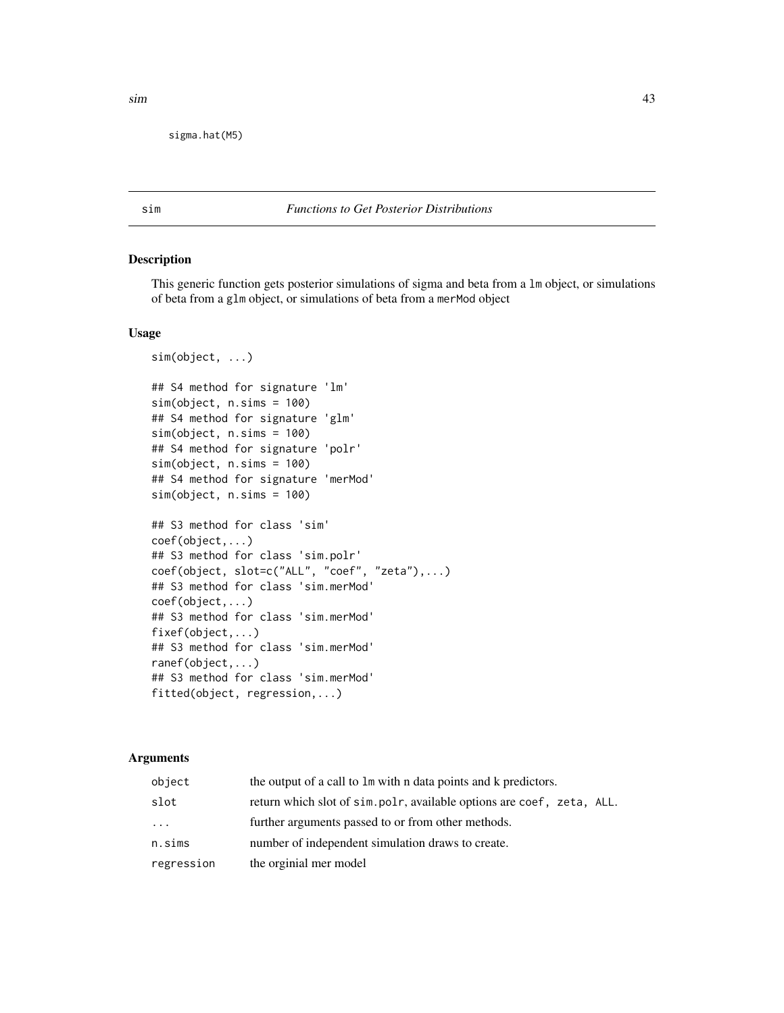<span id="page-42-0"></span>sigma.hat(M5)

<span id="page-42-1"></span>

#### sim *Functions to Get Posterior Distributions*

# Description

This generic function gets posterior simulations of sigma and beta from a lm object, or simulations of beta from a glm object, or simulations of beta from a merMod object

# Usage

```
sim(object, ...)
## S4 method for signature 'lm'
sim(object, n.sims = 100)
## S4 method for signature 'glm'
sim(object, n.sims = 100)
## S4 method for signature 'polr'
sim(object, n.sims = 100)
## S4 method for signature 'merMod'
sim(object, n.sims = 100)
## S3 method for class 'sim'
coef(object,...)
## S3 method for class 'sim.polr'
coef(object, slot=c("ALL", "coef", "zeta"),...)
## S3 method for class 'sim.merMod'
coef(object,...)
## S3 method for class 'sim.merMod'
fixef(object,...)
## S3 method for class 'sim.merMod'
ranef(object,...)
## S3 method for class 'sim.merMod'
fitted(object, regression,...)
```
# Arguments

| object     | the output of a call to $\text{Im}$ with n data points and k predictors. |
|------------|--------------------------------------------------------------------------|
| slot       | return which slot of sim.polr, available options are coef, zeta, ALL.    |
| $\cdots$   | further arguments passed to or from other methods.                       |
| n.sims     | number of independent simulation draws to create.                        |
| regression | the orginial mer model                                                   |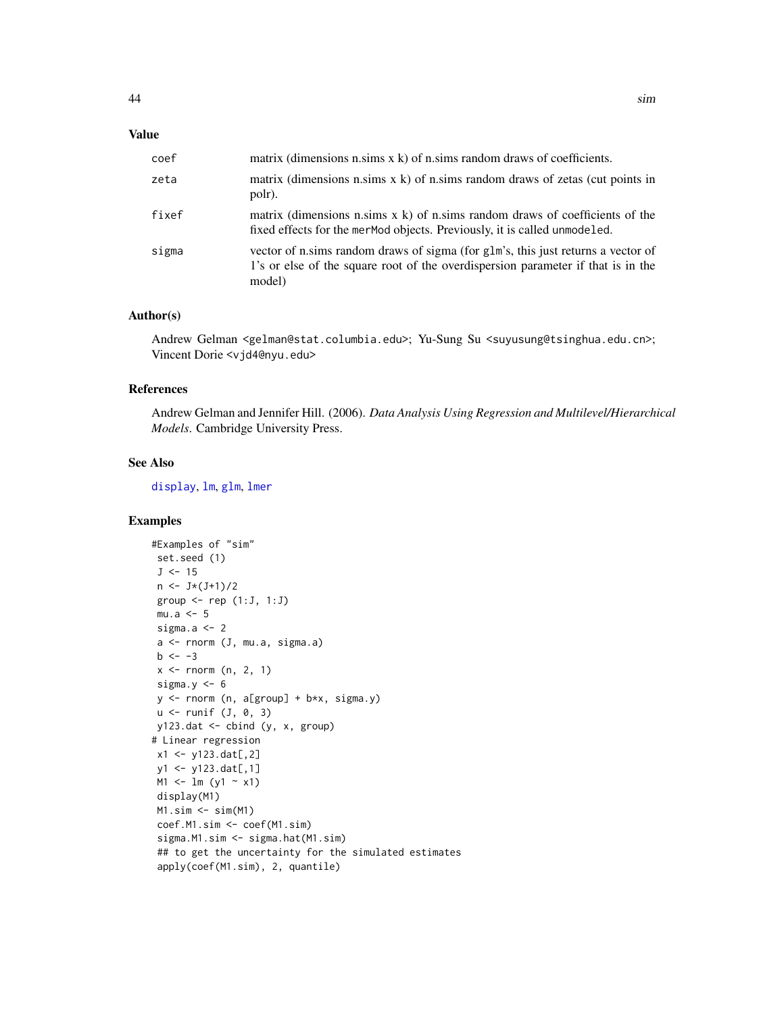# <span id="page-43-0"></span>Value

| coef  | matrix (dimensions n.sims $x$ k) of n.sims random draws of coefficients.                                                                                                       |
|-------|--------------------------------------------------------------------------------------------------------------------------------------------------------------------------------|
| zeta  | matrix (dimensions n.sims $x$ k) of n.sims random draws of zetas (cut points in<br>polr).                                                                                      |
| fixef | matrix (dimensions n.sims $x \, k$ ) of n.sims random draws of coefficients of the<br>fixed effects for the mermod objects. Previously, it is called unmodeled.                |
| sigma | vector of n.sims random draws of sigma (for glm's, this just returns a vector of<br>1's or else of the square root of the overdispersion parameter if that is in the<br>model) |

# Author(s)

Andrew Gelman <gelman@stat.columbia.edu>; Yu-Sung Su <suyusung@tsinghua.edu.cn>; Vincent Dorie <vjd4@nyu.edu>

# References

Andrew Gelman and Jennifer Hill. (2006). *Data Analysis Using Regression and Multilevel/Hierarchical Models*. Cambridge University Press.

# See Also

[display](#page-22-1), [lm](#page-0-0), [glm](#page-0-0), [lmer](#page-0-0)

```
#Examples of "sim"
set.seed (1)
J \le -15n <- J*(J+1)/2
group \leq- rep (1:J, 1:J)mu.a < -5sigma.a <-2a <- rnorm (J, mu.a, sigma.a)
b \le -3x \le rnorm (n, 2, 1)
sigma.y <-6y <- rnorm (n, a[group] + b*x, sigma.y)
u \leftarrow runif (J, 0, 3)y123.dat <- cbind (y, x, group)
# Linear regression
x1 <- y123.dat[,2]
y1 <- y123.dat[,1]
M1 <- lm (y1 ~ x1)
display(M1)
M1.sim \leftarrow sim(M1)coef.M1.sim <- coef(M1.sim)
sigma.M1.sim <- sigma.hat(M1.sim)
## to get the uncertainty for the simulated estimates
apply(coef(M1.sim), 2, quantile)
```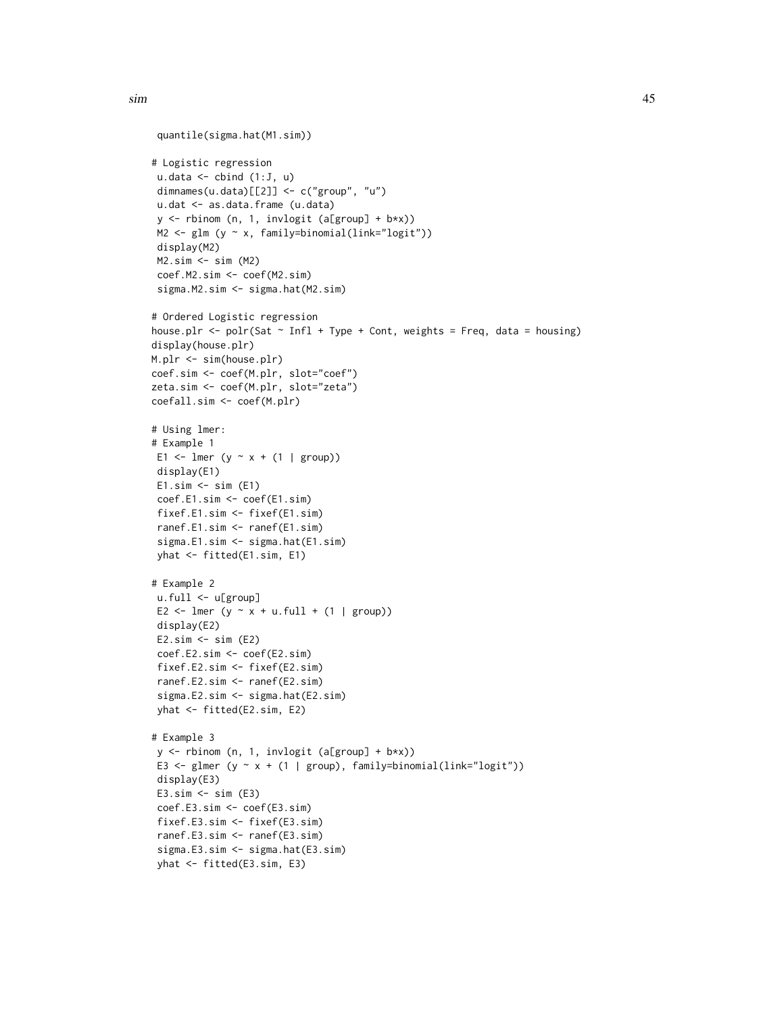```
quantile(sigma.hat(M1.sim))
# Logistic regression
u.data \leftarrow \text{cbind} (1:J, u)dimnames(u.data)[[2]] <- c("group", "u")
u.dat <- as.data.frame (u.data)
 y <- rbinom (n, 1, invlogit (a[group] + b*x))
M2 <- glm (y ~ x, family=binomial(link="logit"))
 display(M2)
M2.sim <- sim (M2)
 coef.M2.sim <- coef(M2.sim)
 sigma.M2.sim <- sigma.hat(M2.sim)
# Ordered Logistic regression
house.plr <- polr(Sat \sim Infl + Type + Cont, weights = Freq, data = housing)
display(house.plr)
M.plr <- sim(house.plr)
coef.sim <- coef(M.plr, slot="coef")
zeta.sim <- coef(M.plr, slot="zeta")
coefall.sim <- coef(M.plr)
# Using lmer:
# Example 1
E1 <- lmer (y \sim x + (1 | group))
 display(E1)
 E1.sim \leftarrow sim (E1)coef.E1.sim <- coef(E1.sim)
 fixef.E1.sim <- fixef(E1.sim)
 ranef.E1.sim <- ranef(E1.sim)
 sigma.E1.sim <- sigma.hat(E1.sim)
 yhat <- fitted(E1.sim, E1)
# Example 2
 u.full <- u[group]
 E2 <- lmer (y \sim x + u.full + (1 | group))
 display(E2)
 E2.sim \leftarrow sim (E2)coef.E2.sim <- coef(E2.sim)
 fixef.E2.sim <- fixef(E2.sim)
 ranef.E2.sim <- ranef(E2.sim)
 sigma.E2.sim <- sigma.hat(E2.sim)
yhat <- fitted(E2.sim, E2)
# Example 3
 y <- rbinom (n, 1, invlogit (a[group] + b*x))
 E3 <- glmer (y \sim x + (1 | group), family=binomial(link="logit"))
 display(E3)
 E3.sim \leftarrow sim (E3)coef.E3.sim <- coef(E3.sim)
 fixef.E3.sim <- fixef(E3.sim)
 ranef.E3.sim <- ranef(E3.sim)
 sigma.E3.sim <- sigma.hat(E3.sim)
 yhat <- fitted(E3.sim, E3)
```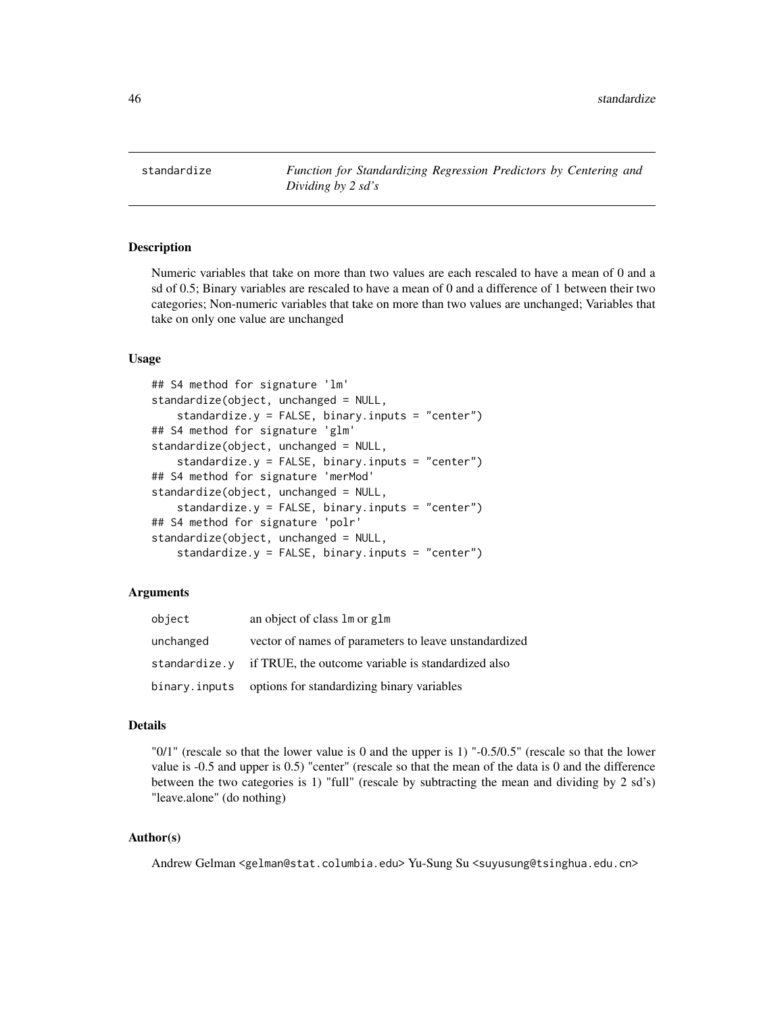<span id="page-45-1"></span><span id="page-45-0"></span>standardize *Function for Standardizing Regression Predictors by Centering and Dividing by 2 sd's*

# **Description**

Numeric variables that take on more than two values are each rescaled to have a mean of 0 and a sd of 0.5; Binary variables are rescaled to have a mean of 0 and a difference of 1 between their two categories; Non-numeric variables that take on more than two values are unchanged; Variables that take on only one value are unchanged

# Usage

```
## S4 method for signature 'lm'
standardize(object, unchanged = NULL,
    standardize.y = FALSE, binary.inputs = "center")
## S4 method for signature 'glm'
standardize(object, unchanged = NULL,
    standardize.y = FALSE, binary.inputs = "center")
## S4 method for signature 'merMod'
standardize(object, unchanged = NULL,
    standardize.y = FALSE, binary.inputs = "center")
## S4 method for signature 'polr'
standardize(object, unchanged = NULL,
    standardize.y = FALSE, binary.inputs = "center")
```
#### Arguments

| object        | an object of class 1m or g1m                                     |
|---------------|------------------------------------------------------------------|
| unchanged     | vector of names of parameters to leave unstandardized            |
|               | standardize.y if TRUE, the outcome variable is standardized also |
| binary.inputs | options for standardizing binary variables                       |

#### Details

"0/1" (rescale so that the lower value is 0 and the upper is 1) "-0.5/0.5" (rescale so that the lower value is -0.5 and upper is 0.5) "center" (rescale so that the mean of the data is 0 and the difference between the two categories is 1) "full" (rescale by subtracting the mean and dividing by 2 sd's) "leave.alone" (do nothing)

# Author(s)

Andrew Gelman <gelman@stat.columbia.edu> Yu-Sung Su <suyusung@tsinghua.edu.cn>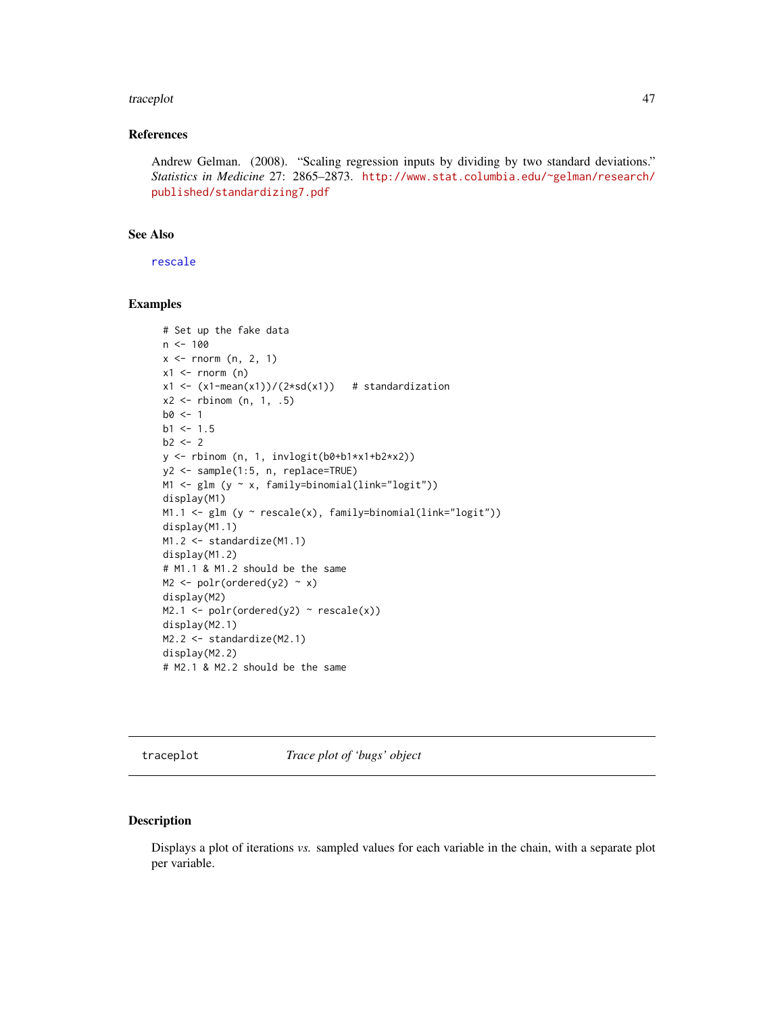#### <span id="page-46-0"></span>traceplot the contract of the contract of the contract of the contract of the contract of the contract of the contract of the contract of the contract of the contract of the contract of the contract of the contract of the

# References

Andrew Gelman. (2008). "Scaling regression inputs by dividing by two standard deviations." *Statistics in Medicine* 27: 2865–2873. [http://www.stat.columbia.edu/~gelman/research/](http://www.stat.columbia.edu/~gelman/research/published/standardizing7.pdf) [published/standardizing7.pdf](http://www.stat.columbia.edu/~gelman/research/published/standardizing7.pdf)

# See Also

[rescale](#page-36-1)

# Examples

```
# Set up the fake data
n < -100x \le rnorm (n, 2, 1)x1 \leftarrow \text{norm} (n)
x1 \leftarrow (x1 - \text{mean}(x1))/(2 * \text{sd}(x1)) # standardization
x2 \le rbinom (n, 1, .5)
b0 < -1b1 < -1.5b2 < -2y <- rbinom (n, 1, invlogit(b0+b1*x1+b2*x2))
y2 <- sample(1:5, n, replace=TRUE)
M1 <- glm (y ~ x, family=binomial(link="logit"))
display(M1)
M1.1 <- glm (y \sim rescale(x), family=binomial(link="logit"))
display(M1.1)
M1.2 <- standardize(M1.1)
display(M1.2)
# M1.1 & M1.2 should be the same
M2 \leftarrow polr(ordered(y2) \sim x)display(M2)
M2.1 \leftarrow polr(ordered(y2) \sim rescale(x))display(M2.1)
M2.2 <- standardize(M2.1)
display(M2.2)
# M2.1 & M2.2 should be the same
```
<span id="page-46-1"></span>traceplot *Trace plot of 'bugs' object*

#### Description

Displays a plot of iterations *vs.* sampled values for each variable in the chain, with a separate plot per variable.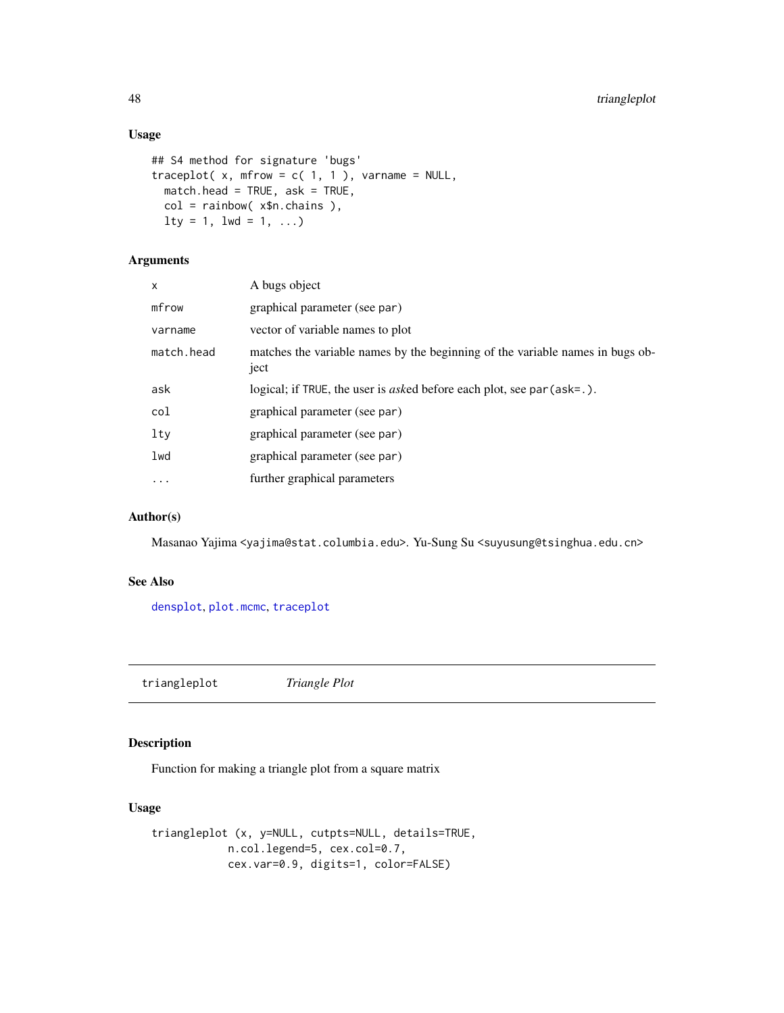# Usage

```
## S4 method for signature 'bugs'
traceplot(x, mfrow = c(1, 1), varname = NULL,
 match.head = TRUE, ask = TRUE,
 col = rainbow( x$n.chains ),
 lty = 1, lwd = 1, ...
```
# Arguments

| x          | A bugs object                                                                         |
|------------|---------------------------------------------------------------------------------------|
| mfrow      | graphical parameter (see par)                                                         |
| varname    | vector of variable names to plot                                                      |
| match.head | matches the variable names by the beginning of the variable names in bugs ob-<br>ject |
| ask        | logical; if TRUE, the user is <i>asked</i> before each plot, see par (ask=.).         |
| col        | graphical parameter (see par)                                                         |
| lty        | graphical parameter (see par)                                                         |
| lwd        | graphical parameter (see par)                                                         |
| .          | further graphical parameters                                                          |
|            |                                                                                       |

# Author(s)

Masanao Yajima <yajima@stat.columbia.edu>. Yu-Sung Su <suyusung@tsinghua.edu.cn>

#### See Also

[densplot](#page-0-0), [plot.mcmc](#page-0-0), [traceplot](#page-46-1)

triangleplot *Triangle Plot*

# Description

Function for making a triangle plot from a square matrix

# Usage

```
triangleplot (x, y=NULL, cutpts=NULL, details=TRUE,
           n.col.legend=5, cex.col=0.7,
           cex.var=0.9, digits=1, color=FALSE)
```
<span id="page-47-0"></span>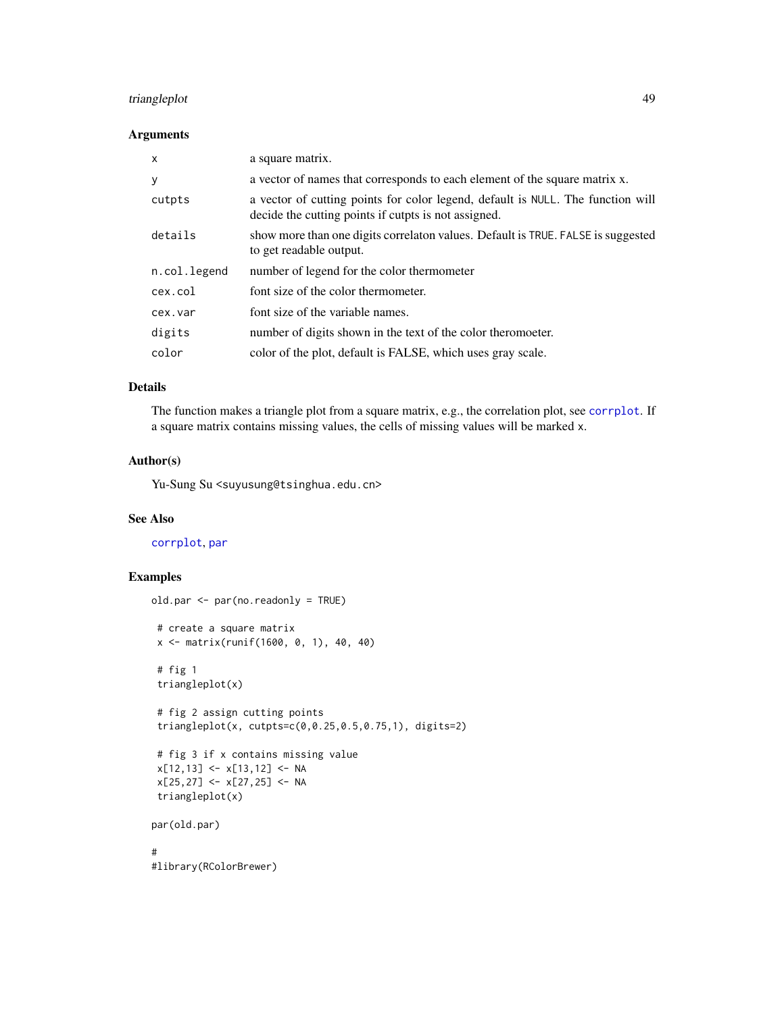# <span id="page-48-0"></span>triangleplot 49

# Arguments

| $\mathsf{x}$ | a square matrix.                                                                                                                        |
|--------------|-----------------------------------------------------------------------------------------------------------------------------------------|
| y            | a vector of names that corresponds to each element of the square matrix x.                                                              |
| cutpts       | a vector of cutting points for color legend, default is NULL. The function will<br>decide the cutting points if cutpts is not assigned. |
| details      | show more than one digits correlaton values. Default is TRUE. FALSE is suggested<br>to get readable output.                             |
| n.col.legend | number of legend for the color thermometer                                                                                              |
| cex.col      | font size of the color thermometer.                                                                                                     |
| cex.var      | font size of the variable names.                                                                                                        |
| digits       | number of digits shown in the text of the color theromoeter.                                                                            |
| color        | color of the plot, default is FALSE, which uses gray scale.                                                                             |

# Details

The function makes a triangle plot from a square matrix, e.g., the correlation plot, see [corrplot](#page-19-1). If a square matrix contains missing values, the cells of missing values will be marked x.

# Author(s)

Yu-Sung Su <suyusung@tsinghua.edu.cn>

# See Also

[corrplot](#page-19-1), [par](#page-0-0)

```
old.par <- par(no.readonly = TRUE)
 # create a square matrix
 x <- matrix(runif(1600, 0, 1), 40, 40)
 # fig 1
 triangleplot(x)
 # fig 2 assign cutting points
 triangleplot(x, cutpts=c(0,0.25,0.5,0.75,1), digits=2)
 # fig 3 if x contains missing value
 x[12,13] <- x[13,12] <- NA
 x[25,27] <- x[27,25] <- NA
 triangleplot(x)
par(old.par)
#
#library(RColorBrewer)
```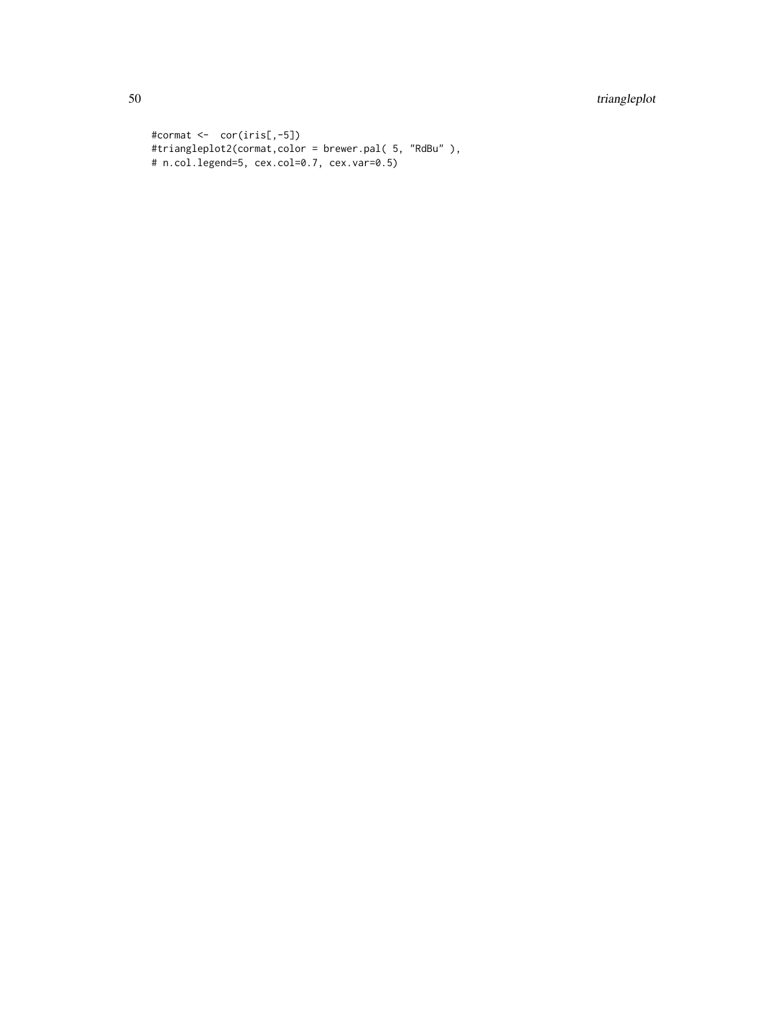# 50 triangleplot

```
#cormat <- cor(iris[,-5])
#triangleplot2(cormat,color = brewer.pal( 5, "RdBu" ),
# n.col.legend=5, cex.col=0.7, cex.var=0.5)
```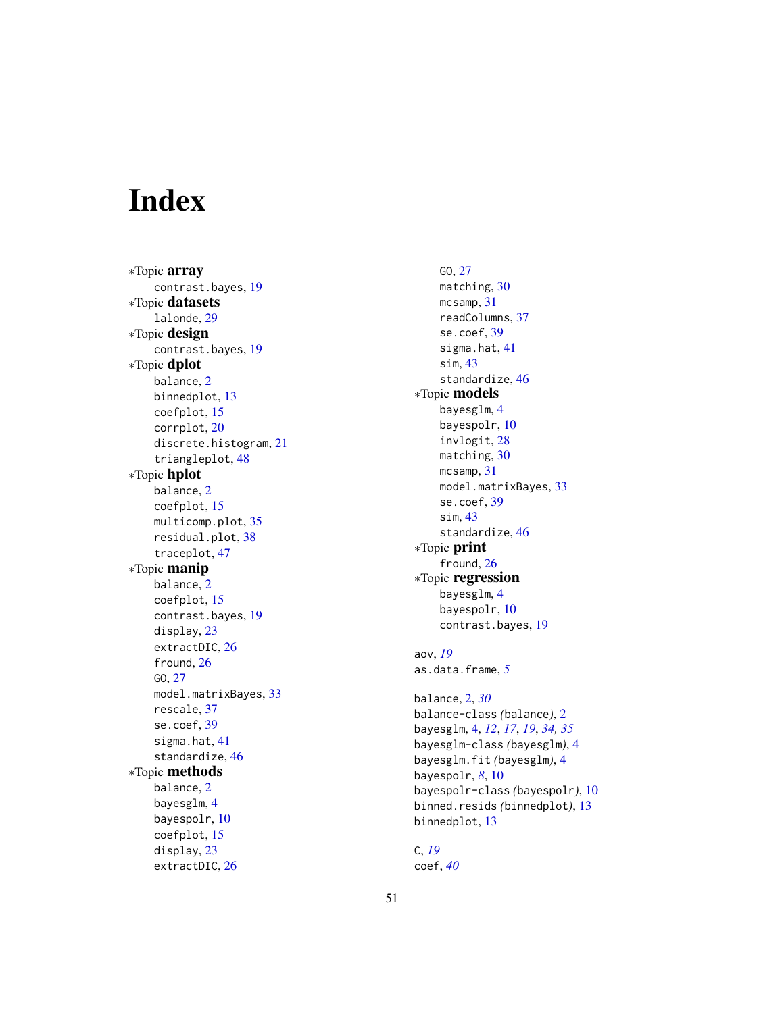# <span id="page-50-0"></span>Index

∗Topic array contrast.bayes , [19](#page-18-0) ∗Topic datasets lalonde , [29](#page-28-0) ∗Topic design contrast.bayes , [19](#page-18-0) ∗Topic dplot balance , [2](#page-1-0) binnedplot , [13](#page-12-0) coefplot , [15](#page-14-0) corrplot , [20](#page-19-0) discrete.histogram , [21](#page-20-0) triangleplot , [48](#page-47-0) ∗Topic hplot balance , [2](#page-1-0) coefplot , [15](#page-14-0) multicomp.plot, [35](#page-34-0) residual.plot , [38](#page-37-0) traceplot , [47](#page-46-0) ∗Topic manip balance , [2](#page-1-0) coefplot , [15](#page-14-0) contrast.bayes , [19](#page-18-0) display , [23](#page-22-0) extractDIC, [26](#page-25-0) fround, [26](#page-25-0) GO , [27](#page-26-0) model.matrixBayes , [33](#page-32-0) rescale , [37](#page-36-0) se.coef, [39](#page-38-0) sigma.hat, [41](#page-40-0) standardize, [46](#page-45-0) ∗Topic methods balance , [2](#page-1-0) bayesglm , [4](#page-3-0) bayespolr , [10](#page-9-0) coefplot , [15](#page-14-0) display , [23](#page-22-0) extractDIC, [26](#page-25-0)

GO , [27](#page-26-0) matching, [30](#page-29-0) mcsamp, [31](#page-30-0) readColumns , [37](#page-36-0) se.coef , [39](#page-38-0) sigma.hat, [41](#page-40-0) sim , [43](#page-42-0) standardize , [46](#page-45-0) ∗Topic models bayesglm , [4](#page-3-0) bayespolr, [10](#page-9-0) invlogit , [28](#page-27-0) matching, [30](#page-29-0) mcsamp, [31](#page-30-0) model.matrixBayes , [33](#page-32-0) se.coef, [39](#page-38-0) sim , [43](#page-42-0) standardize, [46](#page-45-0) ∗Topic print fround, [26](#page-25-0) ∗Topic regression bayesglm , [4](#page-3-0) bayespolr, [10](#page-9-0) contrast.bayes , [19](#page-18-0) aov , *[19](#page-18-0)* as.data.frame , *[5](#page-4-0)* balance , [2](#page-1-0) , *[30](#page-29-0)* balance-class *(*balance *)* , [2](#page-1-0) bayesglm , [4](#page-3-0) , *[12](#page-11-0)* , *[17](#page-16-0)* , *[19](#page-18-0)* , *[34](#page-33-0) , [35](#page-34-0)* bayesglm-class *(*bayesglm *)* , [4](#page-3-0) bayesglm.fit *(*bayesglm *)* , [4](#page-3-0)

bayespolr , *[8](#page-7-0)* , [10](#page-9-0) bayespolr-class *(*bayespolr *)* , [10](#page-9-0) binned.resids *(*binnedplot *)* , [13](#page-12-0) binnedplot , [13](#page-12-0)

C , *[19](#page-18-0)* coef , *[40](#page-39-0)*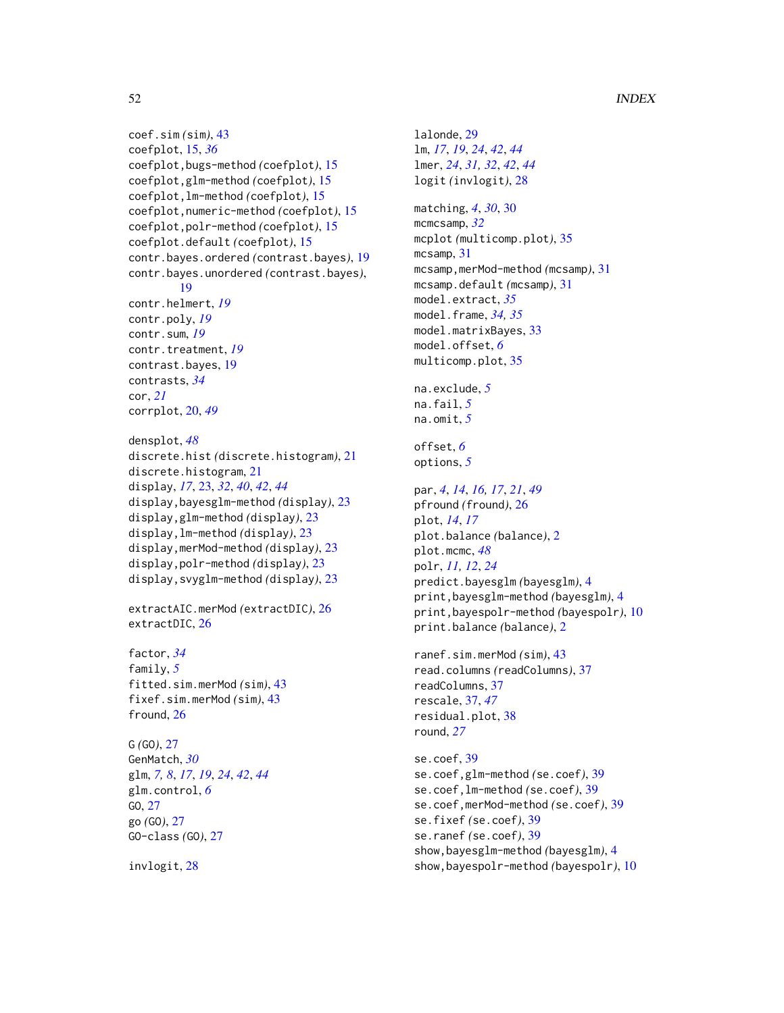```
coef.sim (sim), 43
coefplot, 15, 36
coefplot,bugs-method (coefplot), 15
coefplot,glm-method (coefplot), 15
coefplot,lm-method (coefplot), 15
coefplot,numeric-method (coefplot), 15
coefplot,polr-method (coefplot), 15
coefplot.default (coefplot), 15
contr.bayes.ordered (contrast.bayes), 19
contr.bayes.unordered (contrast.bayes),
        19
contr.helmert, 19
contr.poly, 19
contr.sum, 19
contr.treatment, 19
contrast.bayes, 19
contrasts, 34
cor, 21
corrplot, 20, 49
```

```
densplot, 48
discrete.hist (discrete.histogram), 21
discrete.histogram, 21
display, 17, 23, 32, 40, 42, 44
display,bayesglm-method (display), 23
display,glm-method (display), 23
display,lm-method (display), 23
display,merMod-method (display), 23
display,polr-method (display), 23
display,svyglm-method (display), 23
```
extractAIC.merMod *(*extractDIC*)*, [26](#page-25-0) extractDIC, [26](#page-25-0)

```
factor, 34
family, 5
fitted.sim.merMod (sim), 43
fixef.sim.merMod (sim), 43
fround, 26
```

```
G (GO), 27
GenMatch, 30
glm, 7, 8, 17, 19, 24, 42, 44
glm.control, 6
GO, 27
go (GO), 27
GO-class (GO), 27
```
invlogit, [28](#page-27-0)

lalonde, [29](#page-28-0) lm, *[17](#page-16-0)*, *[19](#page-18-0)*, *[24](#page-23-0)*, *[42](#page-41-0)*, *[44](#page-43-0)* lmer, *[24](#page-23-0)*, *[31,](#page-30-0) [32](#page-31-0)*, *[42](#page-41-0)*, *[44](#page-43-0)* logit *(*invlogit*)*, [28](#page-27-0)

matching, *[4](#page-3-0)*, *[30](#page-29-0)*, [30](#page-29-0) mcmcsamp, *[32](#page-31-0)* mcplot *(*multicomp.plot*)*, [35](#page-34-0) mcsamp, [31](#page-30-0) mcsamp,merMod-method *(mcsamp)*, [31](#page-30-0) mcsamp.default *(*mcsamp*)*, [31](#page-30-0) model.extract, *[35](#page-34-0)* model.frame, *[34,](#page-33-0) [35](#page-34-0)* model.matrixBayes, [33](#page-32-0) model.offset, *[6](#page-5-0)* multicomp.plot, [35](#page-34-0)

na.exclude, *[5](#page-4-0)* na.fail, *[5](#page-4-0)* na.omit, *[5](#page-4-0)*

```
offset, 6
options, 5
```

```
par, 4, 14, 16, 17, 21, 49
pfround (fround), 26
plot, 14, 17
plot.balance (balance), 2
plot.mcmc, 48
polr, 11, 12, 24
predict.bayesglm (bayesglm), 4
print,bayesglm-method (bayesglm), 4
print,bayespolr-method (bayespolr), 10
print.balance (balance), 2
```
ranef.sim.merMod *(*sim*)*, [43](#page-42-0) read.columns *(*readColumns*)*, [37](#page-36-0) readColumns, [37](#page-36-0) rescale, [37,](#page-36-0) *[47](#page-46-0)* residual.plot, [38](#page-37-0) round, *[27](#page-26-0)*

```
se.coef, 39
se.coef,glm-method (se.coef), 39
se.coef,lm-method (se.coef), 39
se.coef,merMod-method (se.coef), 39
se.fixef (se.coef), 39
se.ranef (se.coef), 39
show,bayesglm-method (bayesglm), 4
show,bayespolr-method (bayespolr), 10
```